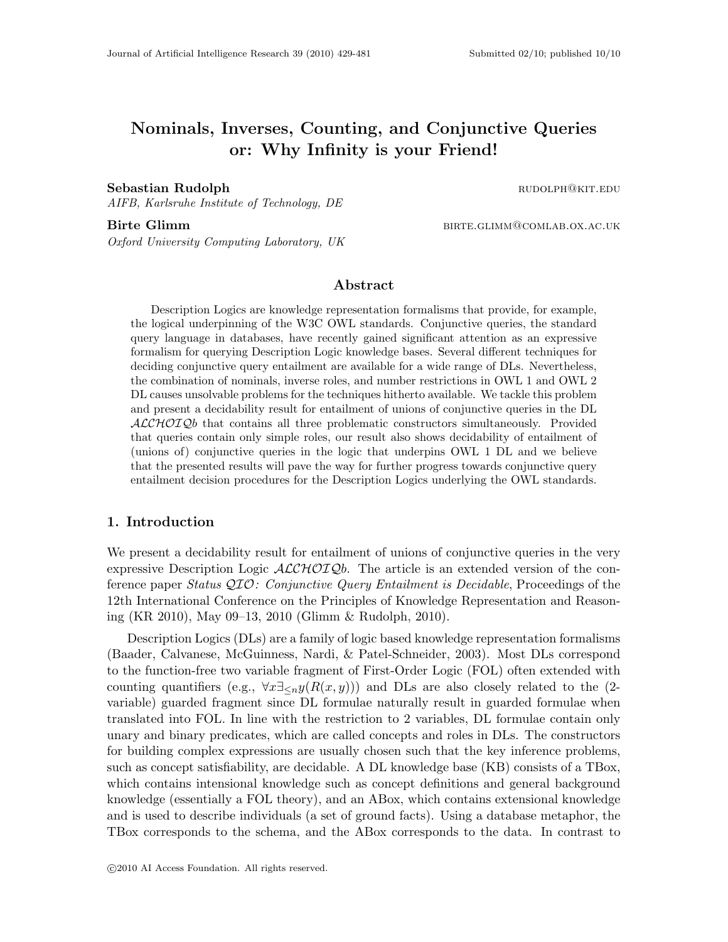# Nominals, Inverses, Counting, and Conjunctive Queries or: Why Infinity is your Friend!

#### Sebastian Rudolph **rudolph rudolph rudolph rudolph rudolph rudolph rudolph rudolph rudolph rudolph rudolph rudolph rudolph rudolph rudolph rudolph rudolph rudolph rudolph rudolph rud**

AIFB, Karlsruhe Institute of Technology, DE

Birte Glimm birth birther and the Birte.glimm@comlab.ox.ac.uk Oxford University Computing Laboratory, UK

#### Abstract

Description Logics are knowledge representation formalisms that provide, for example, the logical underpinning of the W3C OWL standards. Conjunctive queries, the standard query language in databases, have recently gained significant attention as an expressive formalism for querying Description Logic knowledge bases. Several different techniques for deciding conjunctive query entailment are available for a wide range of DLs. Nevertheless, the combination of nominals, inverse roles, and number restrictions in OWL 1 and OWL 2 DL causes unsolvable problems for the techniques hitherto available. We tackle this problem and present a decidability result for entailment of unions of conjunctive queries in the DL  $ALCHOTQb$  that contains all three problematic constructors simultaneously. Provided that queries contain only simple roles, our result also shows decidability of entailment of (unions of) conjunctive queries in the logic that underpins OWL 1 DL and we believe that the presented results will pave the way for further progress towards conjunctive query entailment decision procedures for the Description Logics underlying the OWL standards.

#### 1. Introduction

We present a decidability result for entailment of unions of conjunctive queries in the very expressive Description Logic  $\mathcal{ALCHOLQb}$ . The article is an extended version of the conference paper Status QIO: Conjunctive Query Entailment is Decidable, Proceedings of the 12th International Conference on the Principles of Knowledge Representation and Reasoning (KR 2010), May 09–13, 2010 (Glimm & Rudolph, 2010).

Description Logics (DLs) are a family of logic based knowledge representation formalisms (Baader, Calvanese, McGuinness, Nardi, & Patel-Schneider, 2003). Most DLs correspond to the function-free two variable fragment of First-Order Logic (FOL) often extended with counting quantifiers (e.g.,  $\forall x \exists \langle n y(R(x, y)) \rangle$  and DLs are also closely related to the (2variable) guarded fragment since DL formulae naturally result in guarded formulae when translated into FOL. In line with the restriction to 2 variables, DL formulae contain only unary and binary predicates, which are called concepts and roles in DLs. The constructors for building complex expressions are usually chosen such that the key inference problems, such as concept satisfiability, are decidable. A DL knowledge base (KB) consists of a TBox, which contains intensional knowledge such as concept definitions and general background knowledge (essentially a FOL theory), and an ABox, which contains extensional knowledge and is used to describe individuals (a set of ground facts). Using a database metaphor, the TBox corresponds to the schema, and the ABox corresponds to the data. In contrast to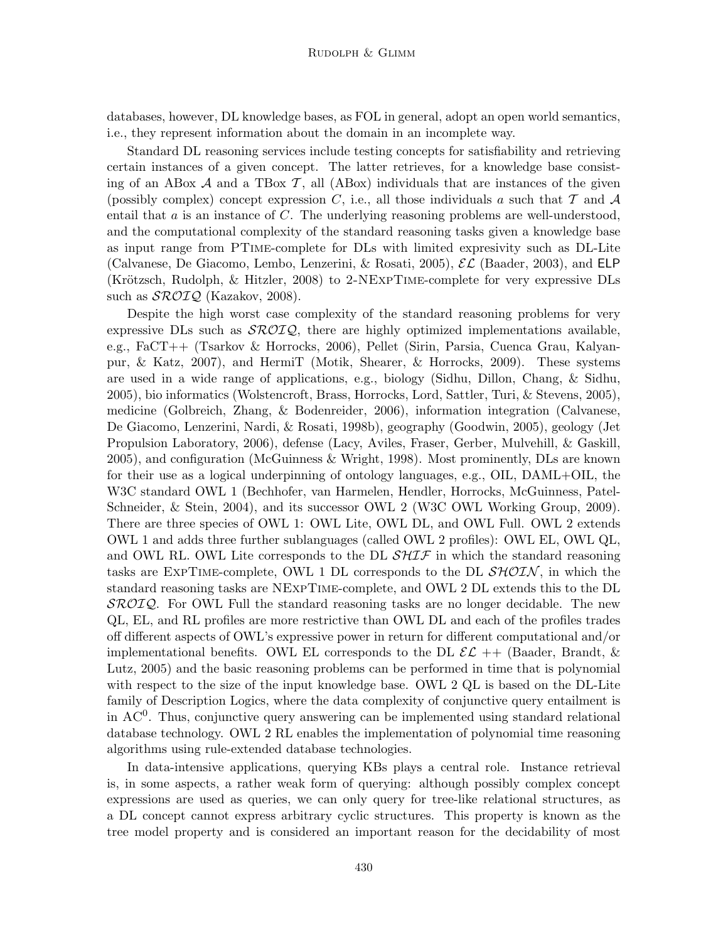databases, however, DL knowledge bases, as FOL in general, adopt an open world semantics, i.e., they represent information about the domain in an incomplete way.

Standard DL reasoning services include testing concepts for satisfiability and retrieving certain instances of a given concept. The latter retrieves, for a knowledge base consisting of an ABox  $A$  and a TBox  $T$ , all (ABox) individuals that are instances of the given (possibly complex) concept expression C, i.e., all those individuals a such that  $T$  and  $A$ entail that  $a$  is an instance of  $C$ . The underlying reasoning problems are well-understood, and the computational complexity of the standard reasoning tasks given a knowledge base as input range from PTime-complete for DLs with limited expresivity such as DL-Lite (Calvanese, De Giacomo, Lembo, Lenzerini, & Rosati, 2005),  $\mathcal{EL}$  (Baader, 2003), and ELP (Krötzsch, Rudolph,  $\&$  Hitzler, 2008) to 2-NEXPTIME-complete for very expressive DLs such as  $\mathcal{SROIQ}$  (Kazakov, 2008).

Despite the high worst case complexity of the standard reasoning problems for very expressive DLs such as  $\mathcal{SROIQ}$ , there are highly optimized implementations available, e.g., FaCT++ (Tsarkov & Horrocks, 2006), Pellet (Sirin, Parsia, Cuenca Grau, Kalyanpur, & Katz, 2007), and HermiT (Motik, Shearer, & Horrocks, 2009). These systems are used in a wide range of applications, e.g., biology (Sidhu, Dillon, Chang, & Sidhu, 2005), bio informatics (Wolstencroft, Brass, Horrocks, Lord, Sattler, Turi, & Stevens, 2005), medicine (Golbreich, Zhang, & Bodenreider, 2006), information integration (Calvanese, De Giacomo, Lenzerini, Nardi, & Rosati, 1998b), geography (Goodwin, 2005), geology (Jet Propulsion Laboratory, 2006), defense (Lacy, Aviles, Fraser, Gerber, Mulvehill, & Gaskill, 2005), and configuration (McGuinness & Wright, 1998). Most prominently, DLs are known for their use as a logical underpinning of ontology languages, e.g., OIL, DAML+OIL, the W3C standard OWL 1 (Bechhofer, van Harmelen, Hendler, Horrocks, McGuinness, Patel-Schneider, & Stein, 2004), and its successor OWL 2 (W3C OWL Working Group, 2009). There are three species of OWL 1: OWL Lite, OWL DL, and OWL Full. OWL 2 extends OWL 1 and adds three further sublanguages (called OWL 2 profiles): OWL EL, OWL QL, and OWL RL. OWL Lite corresponds to the DL  $\mathcal{SHTF}$  in which the standard reasoning tasks are EXPTIME-complete, OWL 1 DL corresponds to the DL  $\mathcal{SHOIN}$ , in which the standard reasoning tasks are NExpTime-complete, and OWL 2 DL extends this to the DL  $\mathcal{SROIQ}$ . For OWL Full the standard reasoning tasks are no longer decidable. The new QL, EL, and RL profiles are more restrictive than OWL DL and each of the profiles trades off different aspects of OWL's expressive power in return for different computational and/or implementational benefits. OWL EL corresponds to the DL  $\mathcal{EL}$  ++ (Baader, Brandt, & Lutz, 2005) and the basic reasoning problems can be performed in time that is polynomial with respect to the size of the input knowledge base. OWL 2 QL is based on the DL-Lite family of Description Logics, where the data complexity of conjunctive query entailment is in  $AC<sup>0</sup>$ . Thus, conjunctive query answering can be implemented using standard relational database technology. OWL 2 RL enables the implementation of polynomial time reasoning algorithms using rule-extended database technologies.

In data-intensive applications, querying KBs plays a central role. Instance retrieval is, in some aspects, a rather weak form of querying: although possibly complex concept expressions are used as queries, we can only query for tree-like relational structures, as a DL concept cannot express arbitrary cyclic structures. This property is known as the tree model property and is considered an important reason for the decidability of most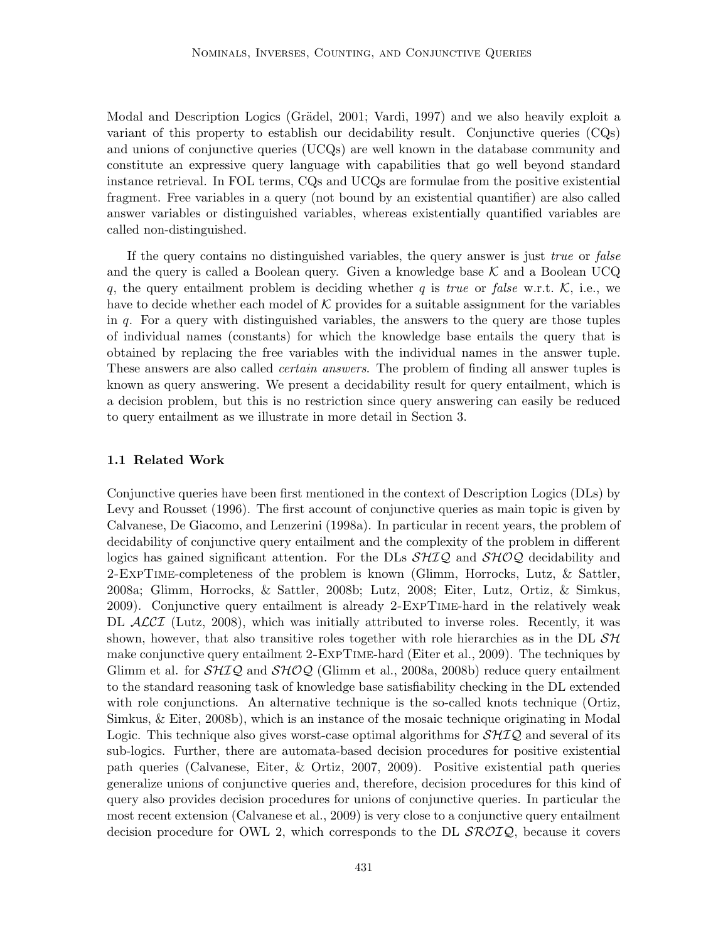Modal and Description Logics (Grädel, 2001; Vardi, 1997) and we also heavily exploit a variant of this property to establish our decidability result. Conjunctive queries  $(CQs)$ and unions of conjunctive queries (UCQs) are well known in the database community and constitute an expressive query language with capabilities that go well beyond standard instance retrieval. In FOL terms, CQs and UCQs are formulae from the positive existential fragment. Free variables in a query (not bound by an existential quantifier) are also called answer variables or distinguished variables, whereas existentially quantified variables are called non-distinguished.

If the query contains no distinguished variables, the query answer is just *true* or *false* and the query is called a Boolean query. Given a knowledge base  $K$  and a Boolean UCQ q, the query entailment problem is deciding whether q is true or false w.r.t.  $K$ , i.e., we have to decide whether each model of  $K$  provides for a suitable assignment for the variables in  $q$ . For a query with distinguished variables, the answers to the query are those tuples of individual names (constants) for which the knowledge base entails the query that is obtained by replacing the free variables with the individual names in the answer tuple. These answers are also called certain answers. The problem of finding all answer tuples is known as query answering. We present a decidability result for query entailment, which is a decision problem, but this is no restriction since query answering can easily be reduced to query entailment as we illustrate in more detail in Section 3.

#### 1.1 Related Work

Conjunctive queries have been first mentioned in the context of Description Logics (DLs) by Levy and Rousset (1996). The first account of conjunctive queries as main topic is given by Calvanese, De Giacomo, and Lenzerini (1998a). In particular in recent years, the problem of decidability of conjunctive query entailment and the complexity of the problem in different logics has gained significant attention. For the DLs  $\mathcal{SHQ}$  and  $\mathcal{SHQQ}$  decidability and 2-ExpTime-completeness of the problem is known (Glimm, Horrocks, Lutz, & Sattler, 2008a; Glimm, Horrocks, & Sattler, 2008b; Lutz, 2008; Eiter, Lutz, Ortiz, & Simkus, 2009). Conjunctive query entailment is already 2-ExpTime-hard in the relatively weak DL ACCI (Lutz, 2008), which was initially attributed to inverse roles. Recently, it was shown, however, that also transitive roles together with role hierarchies as in the DL  $\mathcal{SH}$ make conjunctive query entailment 2-ExpTime-hard (Eiter et al., 2009). The techniques by Glimm et al. for  $\mathcal{SHTQ}$  and  $\mathcal{SHOQ}$  (Glimm et al., 2008a, 2008b) reduce query entailment to the standard reasoning task of knowledge base satisfiability checking in the DL extended with role conjunctions. An alternative technique is the so-called knots technique (Ortiz, Simkus, & Eiter, 2008b), which is an instance of the mosaic technique originating in Modal Logic. This technique also gives worst-case optimal algorithms for  $\mathcal{SHQ}$  and several of its sub-logics. Further, there are automata-based decision procedures for positive existential path queries (Calvanese, Eiter, & Ortiz, 2007, 2009). Positive existential path queries generalize unions of conjunctive queries and, therefore, decision procedures for this kind of query also provides decision procedures for unions of conjunctive queries. In particular the most recent extension (Calvanese et al., 2009) is very close to a conjunctive query entailment decision procedure for OWL 2, which corresponds to the DL  $\mathcal{SROLQ}$ , because it covers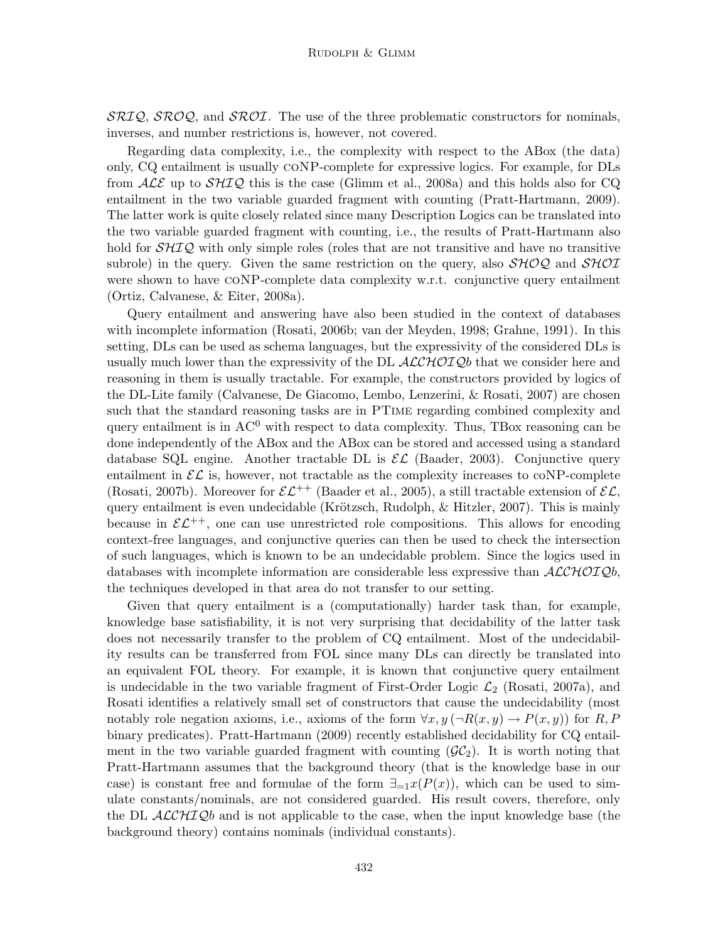$\mathcal{SRIQ}, \mathcal{SROQ}, \text{ and } \mathcal{SROI}.$  The use of the three problematic constructors for nominals, inverses, and number restrictions is, however, not covered.

Regarding data complexity, i.e., the complexity with respect to the ABox (the data) only, CQ entailment is usually coNP-complete for expressive logics. For example, for DLs from  $\mathcal{ALE}$  up to  $\mathcal{SHTQ}$  this is the case (Glimm et al., 2008a) and this holds also for CQ entailment in the two variable guarded fragment with counting (Pratt-Hartmann, 2009). The latter work is quite closely related since many Description Logics can be translated into the two variable guarded fragment with counting, i.e., the results of Pratt-Hartmann also hold for  $\mathcal{SHTQ}$  with only simple roles (roles that are not transitive and have no transitive subrole) in the query. Given the same restriction on the query, also  $\mathcal{SHOQ}$  and  $\mathcal{SHOII}$ were shown to have CONP-complete data complexity w.r.t. conjunctive query entailment (Ortiz, Calvanese, & Eiter, 2008a).

Query entailment and answering have also been studied in the context of databases with incomplete information (Rosati, 2006b; van der Meyden, 1998; Grahne, 1991). In this setting, DLs can be used as schema languages, but the expressivity of the considered DLs is usually much lower than the expressivity of the DL  $\mathcal{ALCHOLQ}b$  that we consider here and reasoning in them is usually tractable. For example, the constructors provided by logics of the DL-Lite family (Calvanese, De Giacomo, Lembo, Lenzerini, & Rosati, 2007) are chosen such that the standard reasoning tasks are in PTime regarding combined complexity and query entailment is in  $AC^0$  with respect to data complexity. Thus, TBox reasoning can be done independently of the ABox and the ABox can be stored and accessed using a standard database SQL engine. Another tractable DL is  $\mathcal{EL}$  (Baader, 2003). Conjunctive query entailment in  $\mathcal{EL}$  is, however, not tractable as the complexity increases to coNP-complete (Rosati, 2007b). Moreover for  $\mathcal{EL}^{++}$  (Baader et al., 2005), a still tractable extension of  $\mathcal{EL}$ , query entailment is even undecidable (Krötzsch, Rudolph,  $\&$  Hitzler, 2007). This is mainly because in  $\mathcal{EL}^{++}$ , one can use unrestricted role compositions. This allows for encoding context-free languages, and conjunctive queries can then be used to check the intersection of such languages, which is known to be an undecidable problem. Since the logics used in databases with incomplete information are considerable less expressive than  $\mathcal{ALCHOLQ}b$ , the techniques developed in that area do not transfer to our setting.

Given that query entailment is a (computationally) harder task than, for example, knowledge base satisfiability, it is not very surprising that decidability of the latter task does not necessarily transfer to the problem of CQ entailment. Most of the undecidability results can be transferred from FOL since many DLs can directly be translated into an equivalent FOL theory. For example, it is known that conjunctive query entailment is undecidable in the two variable fragment of First-Order Logic  $\mathcal{L}_2$  (Rosati, 2007a), and Rosati identifies a relatively small set of constructors that cause the undecidability (most notably role negation axioms, i.e., axioms of the form  $\forall x, y (\neg R(x, y) \rightarrow P(x, y))$  for R, P binary predicates). Pratt-Hartmann (2009) recently established decidability for CQ entailment in the two variable guarded fragment with counting  $(\mathcal{GC}_2)$ . It is worth noting that Pratt-Hartmann assumes that the background theory (that is the knowledge base in our case) is constant free and formulae of the form  $\exists_{=1} x(P(x))$ , which can be used to simulate constants/nominals, are not considered guarded. His result covers, therefore, only the DL  $\mathcal{ALCHIQ}b$  and is not applicable to the case, when the input knowledge base (the background theory) contains nominals (individual constants).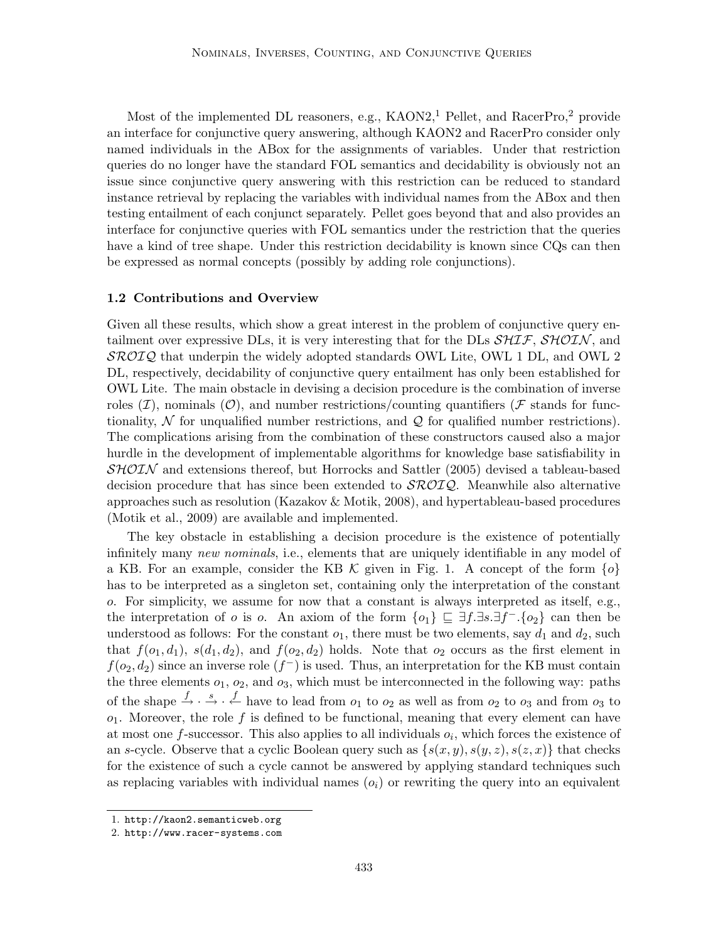Most of the implemented DL reasoners, e.g.,  $KAON2<sup>1</sup>$  Pellet, and  $RacerPro<sup>2</sup>$  provide an interface for conjunctive query answering, although KAON2 and RacerPro consider only named individuals in the ABox for the assignments of variables. Under that restriction queries do no longer have the standard FOL semantics and decidability is obviously not an issue since conjunctive query answering with this restriction can be reduced to standard instance retrieval by replacing the variables with individual names from the ABox and then testing entailment of each conjunct separately. Pellet goes beyond that and also provides an interface for conjunctive queries with FOL semantics under the restriction that the queries have a kind of tree shape. Under this restriction decidability is known since CQs can then be expressed as normal concepts (possibly by adding role conjunctions).

#### 1.2 Contributions and Overview

Given all these results, which show a great interest in the problem of conjunctive query entailment over expressive DLs, it is very interesting that for the DLs  $\mathcal{SHIF}, \mathcal{SHOIN},$  and  $\mathcal{SROIQ}$  that underpin the widely adopted standards OWL Lite, OWL 1 DL, and OWL 2 DL, respectively, decidability of conjunctive query entailment has only been established for OWL Lite. The main obstacle in devising a decision procedure is the combination of inverse roles  $(\mathcal{I})$ , nominals  $(\mathcal{O})$ , and number restrictions/counting quantifiers ( $\mathcal F$  stands for functionality,  $\mathcal N$  for unqualified number restrictions, and  $\mathcal Q$  for qualified number restrictions). The complications arising from the combination of these constructors caused also a major hurdle in the development of implementable algorithms for knowledge base satisfiability in  $\mathcal{SHOIN}$  and extensions thereof, but Horrocks and Sattler (2005) devised a tableau-based decision procedure that has since been extended to  $\mathcal{SROIQ}$ . Meanwhile also alternative approaches such as resolution (Kazakov & Motik, 2008), and hypertableau-based procedures (Motik et al., 2009) are available and implemented.

The key obstacle in establishing a decision procedure is the existence of potentially infinitely many new nominals, i.e., elements that are uniquely identifiable in any model of a KB. For an example, consider the KB  $\mathcal K$  given in Fig. 1. A concept of the form  $\{o\}$ has to be interpreted as a singleton set, containing only the interpretation of the constant o. For simplicity, we assume for now that a constant is always interpreted as itself, e.g., the interpretation of o is o. An axiom of the form  $\{o_1\} \subseteq \exists f.\exists s.\exists f^-.\{o_2\}$  can then be understood as follows: For the constant  $o_1$ , there must be two elements, say  $d_1$  and  $d_2$ , such that  $f(o_1, d_1)$ ,  $s(d_1, d_2)$ , and  $f(o_2, d_2)$  holds. Note that  $o_2$  occurs as the first element in  $f(o_2, d_2)$  since an inverse role  $(f^-)$  is used. Thus, an interpretation for the KB must contain the three elements  $o_1$ ,  $o_2$ , and  $o_3$ , which must be interconnected in the following way: paths of the shape  $\stackrel{f}{\rightarrow} \cdot \stackrel{s}{\leftarrow} \cdot \stackrel{f}{\leftarrow}$  have to lead from  $o_1$  to  $o_2$  as well as from  $o_2$  to  $o_3$  and from  $o_3$  to  $o_1$ . Moreover, the role f is defined to be functional, meaning that every element can have at most one  $f$ -successor. This also applies to all individuals  $o_i$ , which forces the existence of an s-cycle. Observe that a cyclic Boolean query such as  $\{s(x, y), s(y, z), s(z, x)\}\$  that checks for the existence of such a cycle cannot be answered by applying standard techniques such as replacing variables with individual names  $(o_i)$  or rewriting the query into an equivalent

<sup>1.</sup> http://kaon2.semanticweb.org

<sup>2.</sup> http://www.racer-systems.com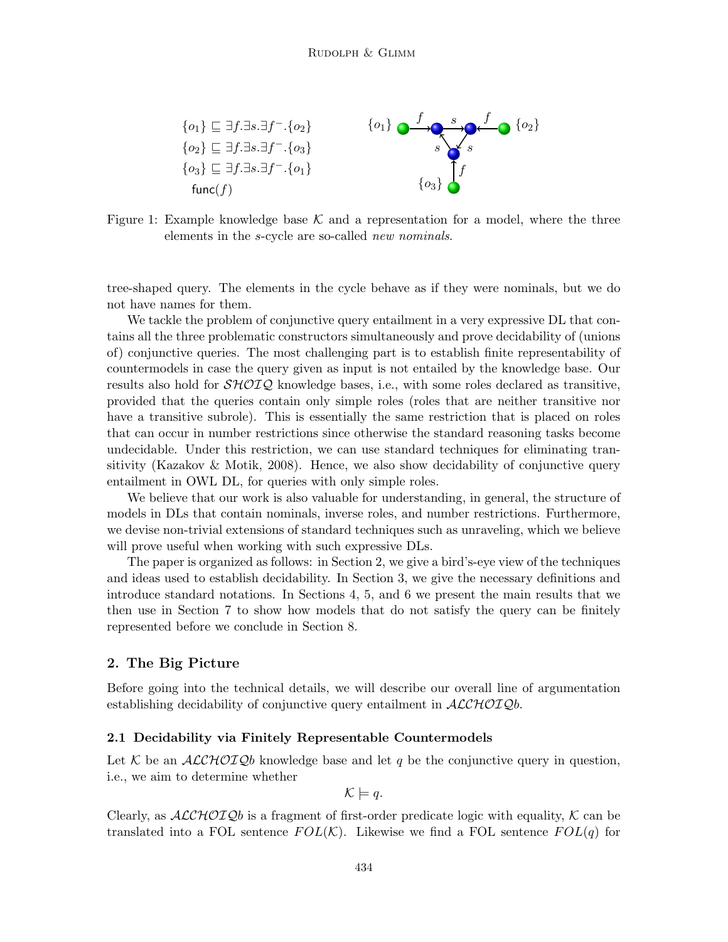

Figure 1: Example knowledge base  $\mathcal K$  and a representation for a model, where the three elements in the s-cycle are so-called new nominals.

tree-shaped query. The elements in the cycle behave as if they were nominals, but we do not have names for them.

We tackle the problem of conjunctive query entailment in a very expressive DL that contains all the three problematic constructors simultaneously and prove decidability of (unions of) conjunctive queries. The most challenging part is to establish finite representability of countermodels in case the query given as input is not entailed by the knowledge base. Our results also hold for  $\mathcal{SHOLQ}$  knowledge bases, i.e., with some roles declared as transitive, provided that the queries contain only simple roles (roles that are neither transitive nor have a transitive subrole). This is essentially the same restriction that is placed on roles that can occur in number restrictions since otherwise the standard reasoning tasks become undecidable. Under this restriction, we can use standard techniques for eliminating transitivity (Kazakov & Motik, 2008). Hence, we also show decidability of conjunctive query entailment in OWL DL, for queries with only simple roles.

We believe that our work is also valuable for understanding, in general, the structure of models in DLs that contain nominals, inverse roles, and number restrictions. Furthermore, we devise non-trivial extensions of standard techniques such as unraveling, which we believe will prove useful when working with such expressive DLs.

The paper is organized as follows: in Section 2, we give a bird's-eye view of the techniques and ideas used to establish decidability. In Section 3, we give the necessary definitions and introduce standard notations. In Sections 4, 5, and 6 we present the main results that we then use in Section 7 to show how models that do not satisfy the query can be finitely represented before we conclude in Section 8.

# 2. The Big Picture

Before going into the technical details, we will describe our overall line of argumentation establishing decidability of conjunctive query entailment in  $\mathcal{ALCHOLQ}b$ .

## 2.1 Decidability via Finitely Representable Countermodels

Let K be an ALCHOIQb knowledge base and let q be the conjunctive query in question, i.e., we aim to determine whether

$$
\mathcal{K} \models q.
$$

Clearly, as  $ALCHOTQb$  is a fragment of first-order predicate logic with equality, K can be translated into a FOL sentence  $FOL(\mathcal{K})$ . Likewise we find a FOL sentence  $FOL(q)$  for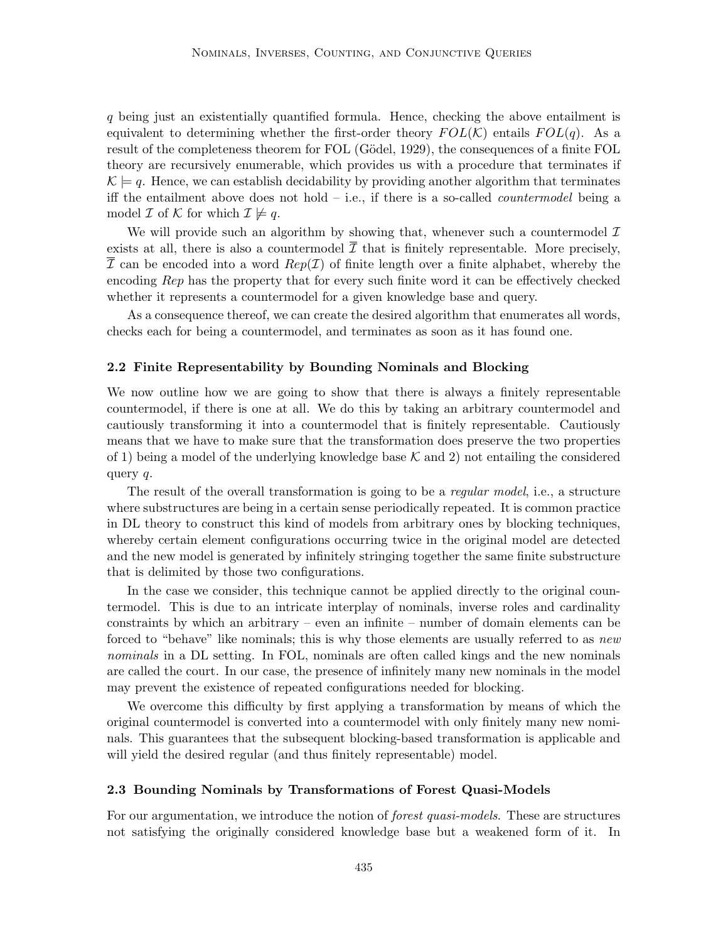q being just an existentially quantified formula. Hence, checking the above entailment is equivalent to determining whether the first-order theory  $FOL(\mathcal{K})$  entails  $FOL(q)$ . As a result of the completeness theorem for FOL (Gödel, 1929), the consequences of a finite FOL theory are recursively enumerable, which provides us with a procedure that terminates if  $\mathcal{K} \models q$ . Hence, we can establish decidability by providing another algorithm that terminates iff the entailment above does not hold  $-$  i.e., if there is a so-called *countermodel* being a model  $\mathcal I$  of  $\mathcal K$  for which  $\mathcal I \not\models q$ .

We will provide such an algorithm by showing that, whenever such a countermodel  $\mathcal I$ exists at all, there is also a countermodel  $\overline{\mathcal{I}}$  that is finitely representable. More precisely,  $\overline{\mathcal{I}}$  can be encoded into a word  $Rep(\mathcal{I})$  of finite length over a finite alphabet, whereby the encoding Rep has the property that for every such finite word it can be effectively checked whether it represents a countermodel for a given knowledge base and query.

As a consequence thereof, we can create the desired algorithm that enumerates all words, checks each for being a countermodel, and terminates as soon as it has found one.

#### 2.2 Finite Representability by Bounding Nominals and Blocking

We now outline how we are going to show that there is always a finitely representable countermodel, if there is one at all. We do this by taking an arbitrary countermodel and cautiously transforming it into a countermodel that is finitely representable. Cautiously means that we have to make sure that the transformation does preserve the two properties of 1) being a model of the underlying knowledge base  $K$  and 2) not entailing the considered query q.

The result of the overall transformation is going to be a *regular model*, i.e., a structure where substructures are being in a certain sense periodically repeated. It is common practice in DL theory to construct this kind of models from arbitrary ones by blocking techniques, whereby certain element configurations occurring twice in the original model are detected and the new model is generated by infinitely stringing together the same finite substructure that is delimited by those two configurations.

In the case we consider, this technique cannot be applied directly to the original countermodel. This is due to an intricate interplay of nominals, inverse roles and cardinality constraints by which an arbitrary – even an infinite – number of domain elements can be forced to "behave" like nominals; this is why those elements are usually referred to as new nominals in a DL setting. In FOL, nominals are often called kings and the new nominals are called the court. In our case, the presence of infinitely many new nominals in the model may prevent the existence of repeated configurations needed for blocking.

We overcome this difficulty by first applying a transformation by means of which the original countermodel is converted into a countermodel with only finitely many new nominals. This guarantees that the subsequent blocking-based transformation is applicable and will yield the desired regular (and thus finitely representable) model.

### 2.3 Bounding Nominals by Transformations of Forest Quasi-Models

For our argumentation, we introduce the notion of *forest quasi-models*. These are structures not satisfying the originally considered knowledge base but a weakened form of it. In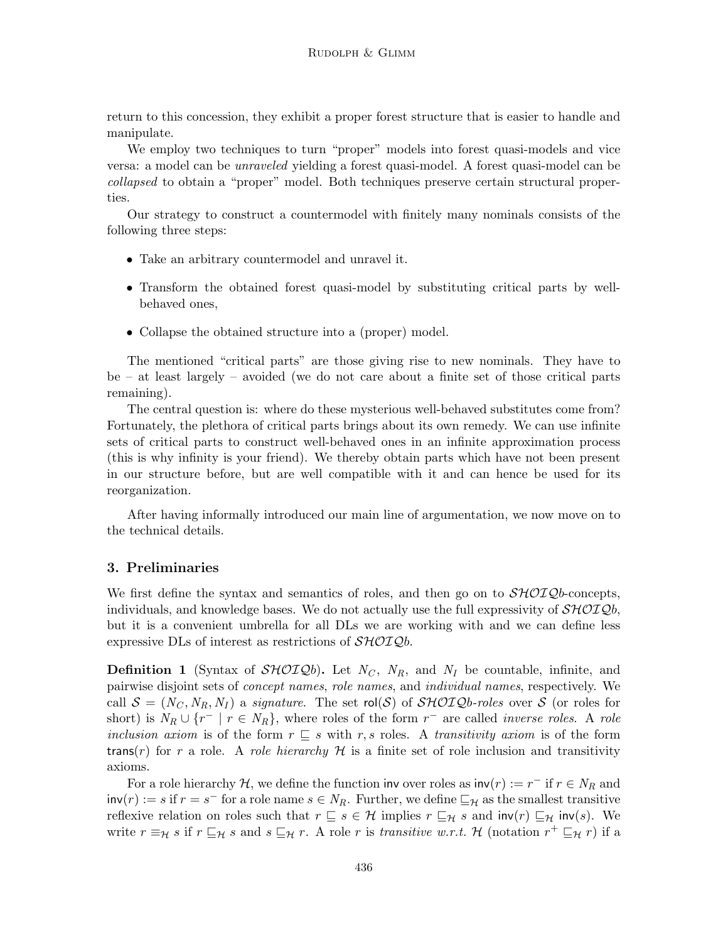return to this concession, they exhibit a proper forest structure that is easier to handle and manipulate.

We employ two techniques to turn "proper" models into forest quasi-models and vice versa: a model can be unraveled yielding a forest quasi-model. A forest quasi-model can be collapsed to obtain a "proper" model. Both techniques preserve certain structural properties.

Our strategy to construct a countermodel with finitely many nominals consists of the following three steps:

- Take an arbitrary countermodel and unravel it.
- Transform the obtained forest quasi-model by substituting critical parts by wellbehaved ones,
- Collapse the obtained structure into a (proper) model.

The mentioned "critical parts" are those giving rise to new nominals. They have to be – at least largely – avoided (we do not care about a finite set of those critical parts remaining).

The central question is: where do these mysterious well-behaved substitutes come from? Fortunately, the plethora of critical parts brings about its own remedy. We can use infinite sets of critical parts to construct well-behaved ones in an infinite approximation process (this is why infinity is your friend). We thereby obtain parts which have not been present in our structure before, but are well compatible with it and can hence be used for its reorganization.

After having informally introduced our main line of argumentation, we now move on to the technical details.

# 3. Preliminaries

We first define the syntax and semantics of roles, and then go on to  $\mathcal{SHOLQ}b$ -concepts, individuals, and knowledge bases. We do not actually use the full expressivity of  $\mathcal{SHOLQb}$ , but it is a convenient umbrella for all DLs we are working with and we can define less expressive DLs of interest as restrictions of  $\mathcal{SHOLQ}b$ .

**Definition 1** (Syntax of  $\mathcal{SHOLQb}$ ). Let  $N_C$ ,  $N_R$ , and  $N_I$  be countable, infinite, and pairwise disjoint sets of concept names, role names, and individual names, respectively. We call  $S = (N_C, N_R, N_I)$  a signature. The set rol(S) of SHOIQb-roles over S (or roles for short) is  $N_R \cup \{r^- | r \in N_R\}$ , where roles of the form  $r^-$  are called *inverse roles*. A role inclusion axiom is of the form  $r \subseteq s$  with r, s roles. A transitivity axiom is of the form trans(r) for r a role. A role hierarchy  $\mathcal H$  is a finite set of role inclusion and transitivity axioms.

For a role hierarchy H, we define the function inv over roles as  $\text{inv}(r) := r^{-1}$  if  $r \in N_R$  and  $\textsf{inv}(r) := s \text{ if } r = s^- \text{ for a role name } s \in N_R.$  Further, we define  $\sqsubseteq_{\mathcal{H}}$  as the smallest transitive reflexive relation on roles such that  $r \subseteq s \in \mathcal{H}$  implies  $r \subseteq_H s$  and  $inv(r) \subseteq_H inv(s)$ . We write  $r \equiv_H s$  if  $r \sqsubseteq_H s$  and  $s \sqsubseteq_H r$ . A role r is transitive w.r.t. H (notation  $r^+ \sqsubseteq_H r$ ) if a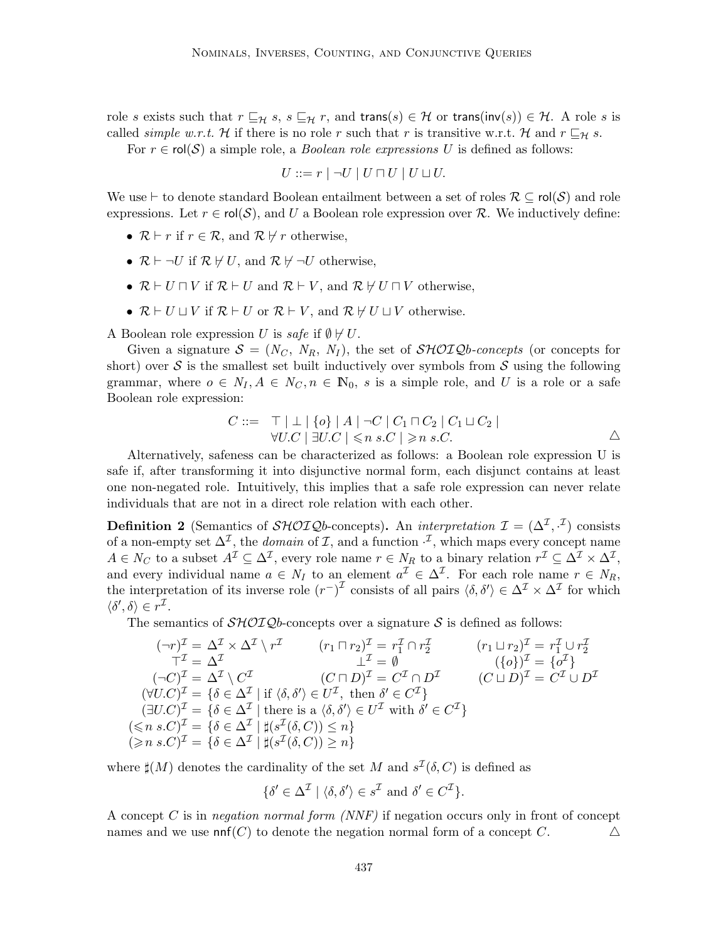role s exists such that  $r \sqsubseteq_{\mathcal{H}} s$ ,  $s \sqsubseteq_{\mathcal{H}} r$ , and trans( $s$ )  $\in \mathcal{H}$  or trans(inv(s))  $\in \mathcal{H}$ . A role s is called *simple w.r.t.* H if there is no role r such that r is transitive w.r.t. H and  $r \sqsubseteq_{\mathcal{H}} s$ .

For  $r \in \text{rol}(\mathcal{S})$  a simple role, a *Boolean role expressions U* is defined as follows:

$$
U ::= r | \neg U | U \sqcap U | U \sqcup U.
$$

We use  $\vdash$  to denote standard Boolean entailment between a set of roles  $\mathcal{R} \subseteq \text{rol}(\mathcal{S})$  and role expressions. Let  $r \in \text{rol}(\mathcal{S})$ , and U a Boolean role expression over R. We inductively define:

- $\mathcal{R} \vdash r$  if  $r \in \mathcal{R}$ , and  $\mathcal{R} \not\vdash r$  otherwise,
- $\mathcal{R} \vdash \neg U$  if  $\mathcal{R} \not\vdash U$ , and  $\mathcal{R} \not\vdash \neg U$  otherwise,
- $\mathcal{R} \vdash U \sqcap V$  if  $\mathcal{R} \vdash U$  and  $\mathcal{R} \vdash V$ , and  $\mathcal{R} \not\vdash U \sqcap V$  otherwise,
- $\mathcal{R} \vdash U \sqcup V$  if  $\mathcal{R} \vdash U$  or  $\mathcal{R} \vdash V$ , and  $\mathcal{R} \not\vdash U \sqcup V$  otherwise.

A Boolean role expression U is safe if  $\emptyset \not\vdash U$ .

Given a signature  $S = (N_C, N_R, N_I)$ , the set of  $\mathcal{SHOLQ}$ b-concepts (or concepts for short) over  $S$  is the smallest set built inductively over symbols from  $S$  using the following grammar, where  $o \in N_I, A \in N_C, n \in \mathbb{N}_0$ , s is a simple role, and U is a role or a safe Boolean role expression:

$$
C ::= \top | \bot | \{o\} | A | \neg C | C_1 \sqcap C_2 | C_1 \sqcup C_2 |
$$
  
\n
$$
\forall U.C | \exists U.C | \leq n s.C | \geq n s.C.
$$

Alternatively, safeness can be characterized as follows: a Boolean role expression U is safe if, after transforming it into disjunctive normal form, each disjunct contains at least one non-negated role. Intuitively, this implies that a safe role expression can never relate individuals that are not in a direct role relation with each other.

**Definition 2** (Semantics of  $\mathcal{SHOIQ}$ b-concepts). An *interpretation*  $\mathcal{I} = (\Delta^{\mathcal{I}}, \cdot^{\mathcal{I}})$  consists of a non-empty set  $\Delta^{\mathcal{I}}$ , the *domain* of  $\mathcal{I}$ , and a function  $\cdot^{\mathcal{I}}$ , which maps every concept name  $A \in N_C$  to a subset  $A^{\mathcal{I}} \subseteq \Delta^{\mathcal{I}}$ , every role name  $r \in N_R$  to a binary relation  $r^{\mathcal{I}} \subseteq \Delta^{\mathcal{I}} \times \Delta^{\mathcal{I}}$ , and every individual name  $a \in N_I$  to an element  $a^{\mathcal{I}} \in \Delta^{\mathcal{I}}$ . For each role name  $r \in N_R$ , the interpretation of its inverse role  $(r^{-})^{\mathcal{I}}$  consists of all pairs  $\langle \delta, \delta' \rangle \in \Delta^{\mathcal{I}} \times \Delta^{\mathcal{I}}$  for which  $\langle \delta', \delta \rangle \in r^{\mathcal{I}}$ .

The semantics of  $\mathcal{SHOLQ}b$ -concepts over a signature S is defined as follows:

$$
(\neg r)^{\mathcal{I}} = \Delta^{\mathcal{I}} \times \Delta^{\mathcal{I}} \setminus r^{\mathcal{I}} \qquad (r_1 \sqcap r_2)^{\mathcal{I}} = r_1^{\mathcal{I}} \cap r_2^{\mathcal{I}} \qquad (r_1 \sqcup r_2)^{\mathcal{I}} = r_1^{\mathcal{I}} \cup r_2^{\mathcal{I}}
$$
  
\n
$$
\top^{\mathcal{I}} = \Delta^{\mathcal{I}} \qquad \qquad \bot^{\mathcal{I}} = \emptyset \qquad (a)^{\mathcal{I}} = \{o^{\mathcal{I}}\}
$$
  
\n
$$
(\neg C)^{\mathcal{I}} = \Delta^{\mathcal{I}} \setminus C^{\mathcal{I}} \qquad (C \sqcap D)^{\mathcal{I}} = C^{\mathcal{I}} \cap D^{\mathcal{I}} \qquad (C \sqcup D)^{\mathcal{I}} = C^{\mathcal{I}} \cup D^{\mathcal{I}}
$$
  
\n
$$
(\forall U.C)^{\mathcal{I}} = \{\delta \in \Delta^{\mathcal{I}} \mid \text{if } \langle \delta, \delta' \rangle \in U^{\mathcal{I}}, \text{ then } \delta' \in C^{\mathcal{I}}\}
$$
  
\n
$$
(\exists U.C)^{\mathcal{I}} = \{\delta \in \Delta^{\mathcal{I}} \mid \text{there is a } \langle \delta, \delta' \rangle \in U^{\mathcal{I}} \text{ with } \delta' \in C^{\mathcal{I}}\}
$$
  
\n
$$
(\leq n s.C)^{\mathcal{I}} = \{\delta \in \Delta^{\mathcal{I}} \mid \sharp(s^{\mathcal{I}}(\delta, C)) \leq n\}
$$
  
\n
$$
(\geq n s.C)^{\mathcal{I}} = \{\delta \in \Delta^{\mathcal{I}} \mid \sharp(s^{\mathcal{I}}(\delta, C)) \geq n\}
$$

where  $\sharp(M)$  denotes the cardinality of the set M and  $s^{\mathcal{I}}(\delta, C)$  is defined as

$$
\{\delta' \in \Delta^{\mathcal{I}} \mid \langle \delta, \delta' \rangle \in s^{\mathcal{I}} \text{ and } \delta' \in C^{\mathcal{I}}\}.
$$

A concept C is in negation normal form  $(NNF)$  if negation occurs only in front of concept names and we use  $\text{nnf}(C)$  to denote the negation normal form of a concept C.  $\Delta$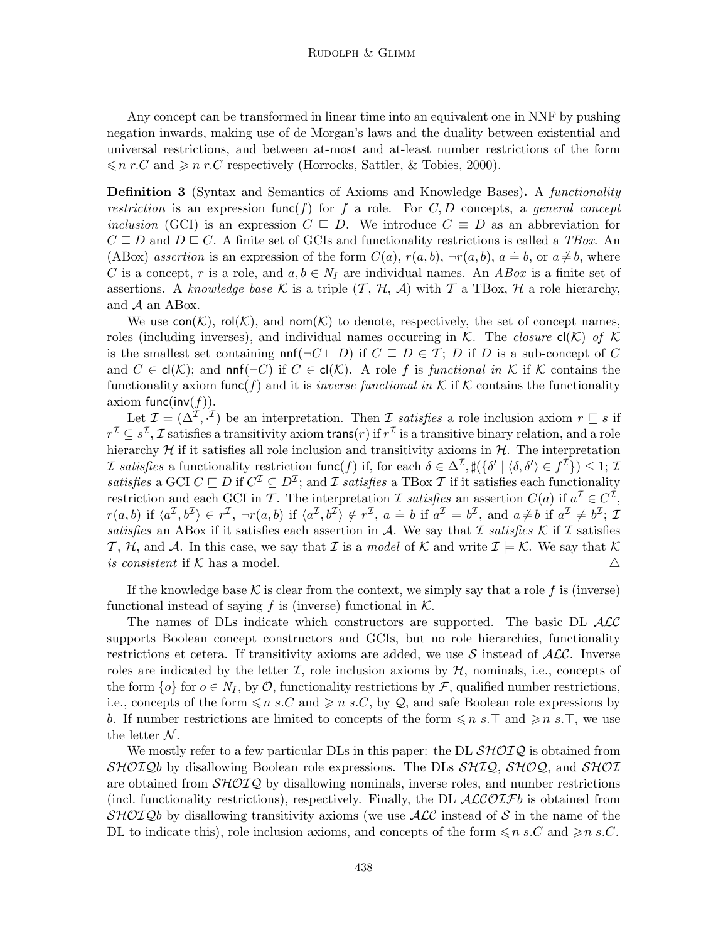Any concept can be transformed in linear time into an equivalent one in NNF by pushing negation inwards, making use of de Morgan's laws and the duality between existential and universal restrictions, and between at-most and at-least number restrictions of the form  $\leqslant n r.C$  and  $\geqslant n r.C$  respectively (Horrocks, Sattler, & Tobies, 2000).

**Definition 3** (Syntax and Semantics of Axioms and Knowledge Bases). A functionality restriction is an expression func $(f)$  for f a role. For C, D concepts, a general concept inclusion (GCI) is an expression  $C \subseteq D$ . We introduce  $C \equiv D$  as an abbreviation for  $C \sqsubseteq D$  and  $D \sqsubseteq C$ . A finite set of GCIs and functionality restrictions is called a TBox. An  $(ABox)$  assertion is an expression of the form  $C(a)$ ,  $r(a, b)$ ,  $\neg r(a, b)$ ,  $a \doteq b$ , or  $a \neq b$ , where C is a concept, r is a role, and  $a, b \in N_I$  are individual names. An ABox is a finite set of assertions. A knowledge base K is a triple  $(\mathcal{T}, \mathcal{H}, \mathcal{A})$  with T a TBox, H a role hierarchy, and A an ABox.

We use  $con(\mathcal{K})$ , rol $(\mathcal{K})$ , and nom $(\mathcal{K})$  to denote, respectively, the set of concept names, roles (including inverses), and individual names occurring in  $K$ . The *closure*  $cl(K)$  of  $K$ is the smallest set containing  $nnf(\neg C \sqcup D)$  if  $C \sqsubseteq D \in \mathcal{T}$ ; D if D is a sub-concept of C and  $C \in \mathsf{cl}(\mathcal{K})$ ; and  $\mathsf{nnf}(\neg C)$  if  $C \in \mathsf{cl}(\mathcal{K})$ . A role f is functional in K if K contains the functionality axiom func $(f)$  and it is *inverse functional in* K if K contains the functionality axiom func(inv( $f$ )).

Let  $\mathcal{I} = (\Delta^{\mathcal{I}}, \cdot^{\mathcal{I}})$  be an interpretation. Then  $\mathcal{I}$  satisfies a role inclusion axiom  $r \subseteq s$  if  $r^{\mathcal{I}}\subseteq s^{\mathcal{I}},\mathcal{I}$  satisfies a transitivity axiom trans(*r*) if  $r^{\mathcal{I}}$  is a transitive binary relation, and a role hierarchy  $\mathcal H$  if it satisfies all role inclusion and transitivity axioms in  $\mathcal H$ . The interpretation *I* satisfies a functionality restriction func(f) if, for each  $\delta \in \Delta^{\mathcal{I}}$ ,  $\sharp({\delta' | \langle \delta, \delta' \rangle \in f^{\mathcal{I}}}) \leq 1$ ; *I* satisfies a GCI  $C \sqsubseteq D$  if  $C^{\mathcal{I}} \subseteq D^{\mathcal{I}}$ ; and  $\mathcal I$  satisfies a TBox  $\mathcal T$  if it satisfies each functionality restriction and each GCI in T. The interpretation I satisfies an assertion  $C(a)$  if  $a^{\mathcal{I}} \in C^{\mathcal{I}},$ r(a, b) if  $\langle a^{\mathcal{I}}, b^{\mathcal{I}} \rangle \in r^{\mathcal{I}}, \neg r(a, b)$  if  $\langle a^{\mathcal{I}}, b^{\mathcal{I}} \rangle \notin r^{\mathcal{I}}, a \doteq b$  if  $a^{\mathcal{I}} = b^{\mathcal{I}},$  and  $a \neq b$  if  $a^{\mathcal{I}} \neq b^{\mathcal{I}}$ ;  $\mathcal{I}$ satisfies an ABox if it satisfies each assertion in A. We say that I satisfies K if I satisfies T, H, and A. In this case, we say that I is a model of K and write  $\mathcal{I} \models \mathcal{K}$ . We say that K is consistent if K has a model.  $\triangle$ 

If the knowledge base K is clear from the context, we simply say that a role f is (inverse) functional instead of saying f is (inverse) functional in  $K$ .

The names of DLs indicate which constructors are supported. The basic DL  $\mathcal{ALC}$ supports Boolean concept constructors and GCIs, but no role hierarchies, functionality restrictions et cetera. If transitivity axioms are added, we use S instead of  $\mathcal{ALC}$ . Inverse roles are indicated by the letter  $\mathcal{I}$ , role inclusion axioms by  $\mathcal{H}$ , nominals, i.e., concepts of the form  $\{o\}$  for  $o \in N_I$ , by  $\mathcal{O}$ , functionality restrictions by  $\mathcal{F}$ , qualified number restrictions, i.e., concepts of the form  $\leq n s.C$  and  $\geq n s.C$ , by Q, and safe Boolean role expressions by b. If number restrictions are limited to concepts of the form  $\leq n s.\top$  and  $\geq n s.\top$ , we use the letter  $N$ .

We mostly refer to a few particular DLs in this paper: the DL  $\mathcal{SHOLQ}$  is obtained from  $SHOIQb$  by disallowing Boolean role expressions. The DLs  $SHIQ$ ,  $SHOQ$ , and  $SHOI$ are obtained from  $\mathcal{SHOLQ}$  by disallowing nominals, inverse roles, and number restrictions (incl. functionality restrictions), respectively. Finally, the DL  $\mathcal{ALCOTF}b$  is obtained from SHOIQb by disallowing transitivity axioms (we use  $\mathcal{ALC}$  instead of S in the name of the DL to indicate this), role inclusion axioms, and concepts of the form  $\leq n s.C$  and  $\geq n s.C$ .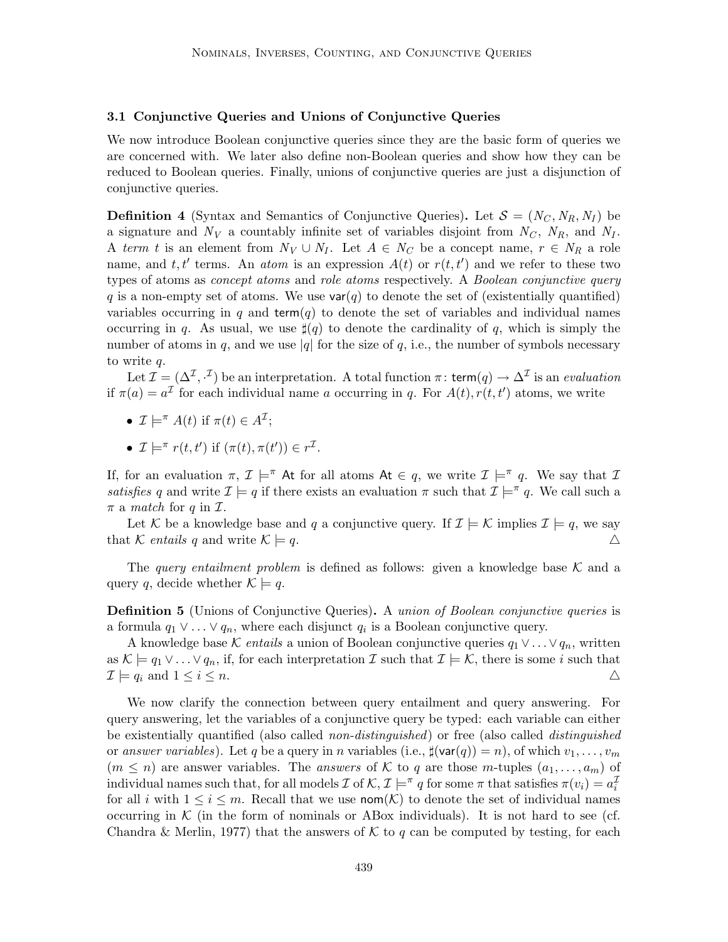#### 3.1 Conjunctive Queries and Unions of Conjunctive Queries

We now introduce Boolean conjunctive queries since they are the basic form of queries we are concerned with. We later also define non-Boolean queries and show how they can be reduced to Boolean queries. Finally, unions of conjunctive queries are just a disjunction of conjunctive queries.

**Definition 4** (Syntax and Semantics of Conjunctive Queries). Let  $S = (N_C, N_R, N_I)$  be a signature and  $N_V$  a countably infinite set of variables disjoint from  $N_C$ ,  $N_R$ , and  $N_I$ . A term t is an element from  $N_V \cup N_I$ . Let  $A \in N_C$  be a concept name,  $r \in N_R$  a role name, and t, t' terms. An *atom* is an expression  $A(t)$  or  $r(t, t')$  and we refer to these two types of atoms as *concept atoms* and *role atoms* respectively. A *Boolean conjunctive query* q is a non-empty set of atoms. We use  $var(q)$  to denote the set of (existentially quantified) variables occurring in q and term(q) to denote the set of variables and individual names occurring in q. As usual, we use  $\sharp(q)$  to denote the cardinality of q, which is simply the number of atoms in q, and we use |q| for the size of q, i.e., the number of symbols necessary to write q.

Let  $\mathcal{I} = (\Delta^{\mathcal{I}}, \cdot^{\mathcal{I}})$  be an interpretation. A total function  $\pi$ : term $(q) \to \Delta^{\mathcal{I}}$  is an *evaluation* if  $\pi(a) = a^{\mathcal{I}}$  for each individual name a occurring in q. For  $A(t)$ ,  $r(t, t')$  atoms, we write

- $\mathcal{I} \models^{\pi} A(t)$  if  $\pi(t) \in A^{\mathcal{I}}$ ;
- $\mathcal{I} \models^{\pi} r(t, t')$  if  $(\pi(t), \pi(t')) \in r^{\mathcal{I}}$ .

If, for an evaluation  $\pi$ ,  $\mathcal{I} \models^{\pi} \mathsf{At}$  for all atoms  $\mathsf{At} \in q$ , we write  $\mathcal{I} \models^{\pi} q$ . We say that  $\mathcal{I}$ satisfies q and write  $\mathcal{I} \models q$  if there exists an evaluation  $\pi$  such that  $\mathcal{I} \models^{\pi} q$ . We call such a  $\pi$  a match for q in  $\mathcal{I}$ .

Let K be a knowledge base and q a conjunctive query. If  $\mathcal{I} \models \mathcal{K}$  implies  $\mathcal{I} \models q$ , we say that K entails q and write  $\mathcal{K} \models q$ .

The query entailment problem is defined as follows: given a knowledge base  $K$  and a query q, decide whether  $\mathcal{K} \models q$ .

**Definition 5** (Unions of Conjunctive Queries). A union of Boolean conjunctive queries is a formula  $q_1 \vee \ldots \vee q_n$ , where each disjunct  $q_i$  is a Boolean conjunctive query.

A knowledge base K entails a union of Boolean conjunctive queries  $q_1 \vee \ldots \vee q_n$ , written as  $\mathcal{K} \models q_1 \vee \ldots \vee q_n$ , if, for each interpretation  $\mathcal{I}$  such that  $\mathcal{I} \models \mathcal{K}$ , there is some i such that  $\mathcal{I} \models q_i \text{ and } 1 \leq i \leq n.$ 

We now clarify the connection between query entailment and query answering. For query answering, let the variables of a conjunctive query be typed: each variable can either be existentially quantified (also called *non-distinguished*) or free (also called *distinguished* or answer variables). Let q be a query in n variables (i.e.,  $\sharp(\text{var}(q)) = n$ ), of which  $v_1, \ldots, v_m$  $(m \leq n)$  are answer variables. The answers of K to q are those m-tuples  $(a_1, \ldots, a_m)$  of individual names such that, for all models  $\mathcal I$  of  $\mathcal K, \mathcal I \models^{\pi} q$  for some  $\pi$  that satisfies  $\pi(v_i) = a_i^{\mathcal I}$ for all i with  $1 \leq i \leq m$ . Recall that we use nom $(\mathcal{K})$  to denote the set of individual names occurring in  $K$  (in the form of nominals or ABox individuals). It is not hard to see (cf. Chandra & Merlin, 1977) that the answers of K to q can be computed by testing, for each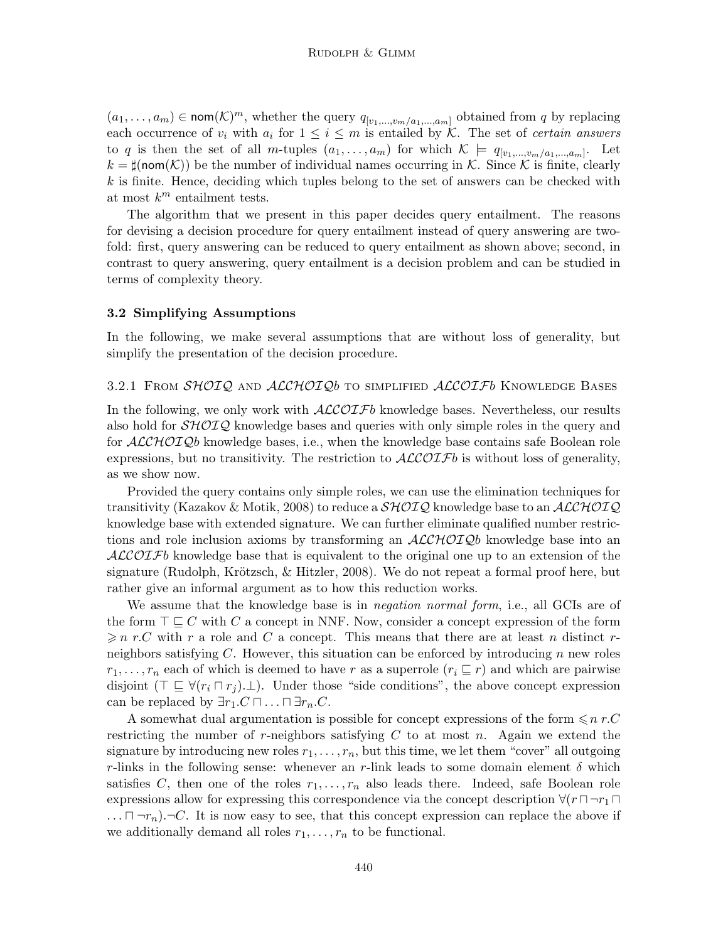$(a_1, \ldots, a_m) \in \text{nom}(\mathcal{K})^m$ , whether the query  $q_{[v_1, \ldots, v_m/a_1, \ldots, a_m]}$  obtained from q by replacing each occurrence of  $v_i$  with  $a_i$  for  $1 \leq i \leq m$  is entailed by K. The set of *certain answers* to q is then the set of all m-tuples  $(a_1, \ldots, a_m)$  for which  $\mathcal{K} \models q_{[v_1, \ldots, v_m/a_1, \ldots, a_m]}$ . Let  $k = \sharp(\text{nom}(\mathcal{K}))$  be the number of individual names occurring in K. Since K is finite, clearly  $k$  is finite. Hence, deciding which tuples belong to the set of answers can be checked with at most  $k^m$  entailment tests.

The algorithm that we present in this paper decides query entailment. The reasons for devising a decision procedure for query entailment instead of query answering are twofold: first, query answering can be reduced to query entailment as shown above; second, in contrast to query answering, query entailment is a decision problem and can be studied in terms of complexity theory.

#### 3.2 Simplifying Assumptions

In the following, we make several assumptions that are without loss of generality, but simplify the presentation of the decision procedure.

#### 3.2.1 FROM SHOIQ AND ALCHOIQb TO SIMPLIFIED ALCOIFb KNOWLEDGE BASES

In the following, we only work with  $\mathcal{ALCOIF}b$  knowledge bases. Nevertheless, our results also hold for  $\mathcal{SHOLQ}$  knowledge bases and queries with only simple roles in the query and for  $ALCHOTQb$  knowledge bases, i.e., when the knowledge base contains safe Boolean role expressions, but no transitivity. The restriction to  $ALCOIFb$  is without loss of generality, as we show now.

Provided the query contains only simple roles, we can use the elimination techniques for transitivity (Kazakov & Motik, 2008) to reduce a  $\mathcal{SHOLQ}$  knowledge base to an  $\mathcal{ALCHOLQ}$ knowledge base with extended signature. We can further eliminate qualified number restrictions and role inclusion axioms by transforming an  $\mathcal{ALCHOLQ}b$  knowledge base into an  $ALCOIFb$  knowledge base that is equivalent to the original one up to an extension of the signature (Rudolph, Krötzsch,  $\&$  Hitzler, 2008). We do not repeat a formal proof here, but rather give an informal argument as to how this reduction works.

We assume that the knowledge base is in *negation normal form*, i.e., all GCIs are of the form  $\top \sqsubseteq C$  with C a concept in NNF. Now, consider a concept expression of the form  $\geqslant n$  r.C with r a role and C a concept. This means that there are at least n distinct rneighbors satisfying  $C$ . However, this situation can be enforced by introducing  $n$  new roles  $r_1, \ldots, r_n$  each of which is deemed to have r as a superrole  $(r_i \sqsubseteq r)$  and which are pairwise disjoint  $(\top \sqsubseteq \forall (r_i \sqcap r_j) \bot)$ . Under those "side conditions", the above concept expression can be replaced by  $\exists r_1.C \sqcap \ldots \sqcap \exists r_n.C.$ 

A somewhat dual argumentation is possible for concept expressions of the form  $\leq n r.C$ restricting the number of r-neighbors satisfying  $C$  to at most n. Again we extend the signature by introducing new roles  $r_1, \ldots, r_n$ , but this time, we let them "cover" all outgoing r-links in the following sense: whenever an r-link leads to some domain element  $\delta$  which satisfies C, then one of the roles  $r_1, \ldots, r_n$  also leads there. Indeed, safe Boolean role expressions allow for expressing this correspondence via the concept description  $\forall (r \sqcap \neg r_1 \sqcap$  $\ldots \sqcap \neg r_n$ .  $\neg C$ . It is now easy to see, that this concept expression can replace the above if we additionally demand all roles  $r_1, \ldots, r_n$  to be functional.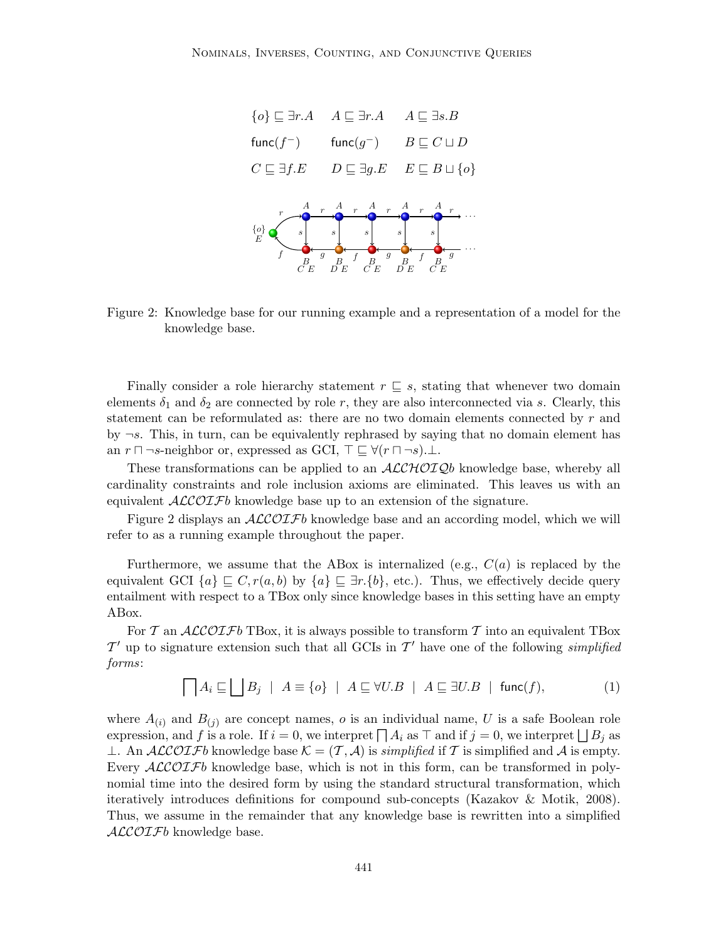

Figure 2: Knowledge base for our running example and a representation of a model for the knowledge base.

Finally consider a role hierarchy statement  $r \subseteq s$ , stating that whenever two domain elements  $\delta_1$  and  $\delta_2$  are connected by role r, they are also interconnected via s. Clearly, this statement can be reformulated as: there are no two domain elements connected by r and by  $\neg s$ . This, in turn, can be equivalently rephrased by saying that no domain element has an  $r \sqcap \neg s$ -neighbor or, expressed as GCI,  $\top \sqsubseteq \forall (r \sqcap \neg s)$ .⊥.

These transformations can be applied to an  $\mathcal{ALCHOLQ}b$  knowledge base, whereby all cardinality constraints and role inclusion axioms are eliminated. This leaves us with an equivalent  $\mathcal{ALCOIF}b$  knowledge base up to an extension of the signature.

Figure 2 displays an  $ALCOIFb$  knowledge base and an according model, which we will refer to as a running example throughout the paper.

Furthermore, we assume that the ABox is internalized (e.g.,  $C(a)$  is replaced by the equivalent GCI  $\{a\} \subseteq C, r(a, b)$  by  $\{a\} \subseteq \exists r.\{b\}$ , etc.). Thus, we effectively decide query entailment with respect to a TBox only since knowledge bases in this setting have an empty ABox.

For T an  $ALCOTFb$  TBox, it is always possible to transform T into an equivalent TBox  $\mathcal{T}'$  up to signature extension such that all GCIs in  $\mathcal{T}'$  have one of the following simplified forms:

$$
\bigcap A_i \sqsubseteq \bigsqcup B_j \ | \ A \equiv \{o\} \ | \ A \sqsubseteq \forall U.B \ | \ A \sqsubseteq \exists U.B \ | \ \mathsf{func}(f), \tag{1}
$$

where  $A_{(i)}$  and  $B_{(j)}$  are concept names, o is an individual name, U is a safe Boolean role expression, and f is a role. If  $i = 0$ , we interpret  $\prod A_i$  as  $\top$  and if  $j = 0$ , we interpret  $\bigsqcup B_j$  as ⊥. An ALCOIFb knowledge base  $\mathcal{K} = (\mathcal{T}, \mathcal{A})$  is simplified if T is simplified and A is empty. Every  $ALCOIFb$  knowledge base, which is not in this form, can be transformed in polynomial time into the desired form by using the standard structural transformation, which iteratively introduces definitions for compound sub-concepts (Kazakov & Motik, 2008). Thus, we assume in the remainder that any knowledge base is rewritten into a simplified  $ALCOTFb$  knowledge base.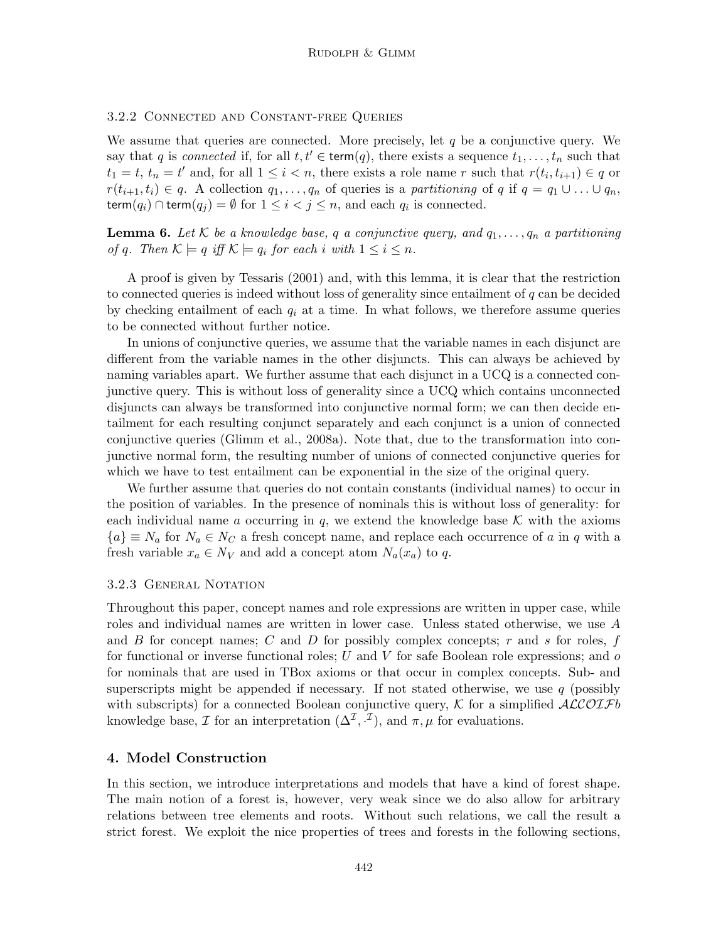#### 3.2.2 Connected and Constant-free Queries

We assume that queries are connected. More precisely, let  $q$  be a conjunctive query. We say that q is connected if, for all  $t, t' \in \text{term}(q)$ , there exists a sequence  $t_1, \ldots, t_n$  such that  $t_1 = t$ ,  $t_n = t'$  and, for all  $1 \leq i < n$ , there exists a role name r such that  $r(t_i, t_{i+1}) \in q$  or  $r(t_{i+1}, t_i) \in q$ . A collection  $q_1, \ldots, q_n$  of queries is a partitioning of q if  $q = q_1 \cup \ldots \cup q_n$ , term $(q_i) \cap$  term $(q_j) = \emptyset$  for  $1 \leq i < j \leq n$ , and each  $q_i$  is connected.

**Lemma 6.** Let K be a knowledge base, q a conjunctive query, and  $q_1, \ldots, q_n$  a partitioning of q. Then  $\mathcal{K} \models q$  iff  $\mathcal{K} \models q_i$  for each i with  $1 \leq i \leq n$ .

A proof is given by Tessaris (2001) and, with this lemma, it is clear that the restriction to connected queries is indeed without loss of generality since entailment of q can be decided by checking entailment of each  $q_i$  at a time. In what follows, we therefore assume queries to be connected without further notice.

In unions of conjunctive queries, we assume that the variable names in each disjunct are different from the variable names in the other disjuncts. This can always be achieved by naming variables apart. We further assume that each disjunct in a UCQ is a connected conjunctive query. This is without loss of generality since a UCQ which contains unconnected disjuncts can always be transformed into conjunctive normal form; we can then decide entailment for each resulting conjunct separately and each conjunct is a union of connected conjunctive queries (Glimm et al., 2008a). Note that, due to the transformation into conjunctive normal form, the resulting number of unions of connected conjunctive queries for which we have to test entailment can be exponential in the size of the original query.

We further assume that queries do not contain constants (individual names) to occur in the position of variables. In the presence of nominals this is without loss of generality: for each individual name a occurring in q, we extend the knowledge base  $\mathcal K$  with the axioms  ${a} \equiv N_a$  for  $N_a \in N_c$  a fresh concept name, and replace each occurrence of a in q with a fresh variable  $x_a \in N_V$  and add a concept atom  $N_a(x_a)$  to q.

#### 3.2.3 GENERAL NOTATION

Throughout this paper, concept names and role expressions are written in upper case, while roles and individual names are written in lower case. Unless stated otherwise, we use A and  $B$  for concept names;  $C$  and  $D$  for possibly complex concepts;  $r$  and  $s$  for roles,  $f$ for functional or inverse functional roles; U and V for safe Boolean role expressions; and  $\sigma$ for nominals that are used in TBox axioms or that occur in complex concepts. Sub- and superscripts might be appended if necessary. If not stated otherwise, we use  $q$  (possibly with subscripts) for a connected Boolean conjunctive query,  $K$  for a simplified  $ALCOIFb$ knowledge base, *I* for an interpretation  $(\Delta^{\mathcal{I}}, \cdot^{\mathcal{I}})$ , and  $\pi, \mu$  for evaluations.

### 4. Model Construction

In this section, we introduce interpretations and models that have a kind of forest shape. The main notion of a forest is, however, very weak since we do also allow for arbitrary relations between tree elements and roots. Without such relations, we call the result a strict forest. We exploit the nice properties of trees and forests in the following sections,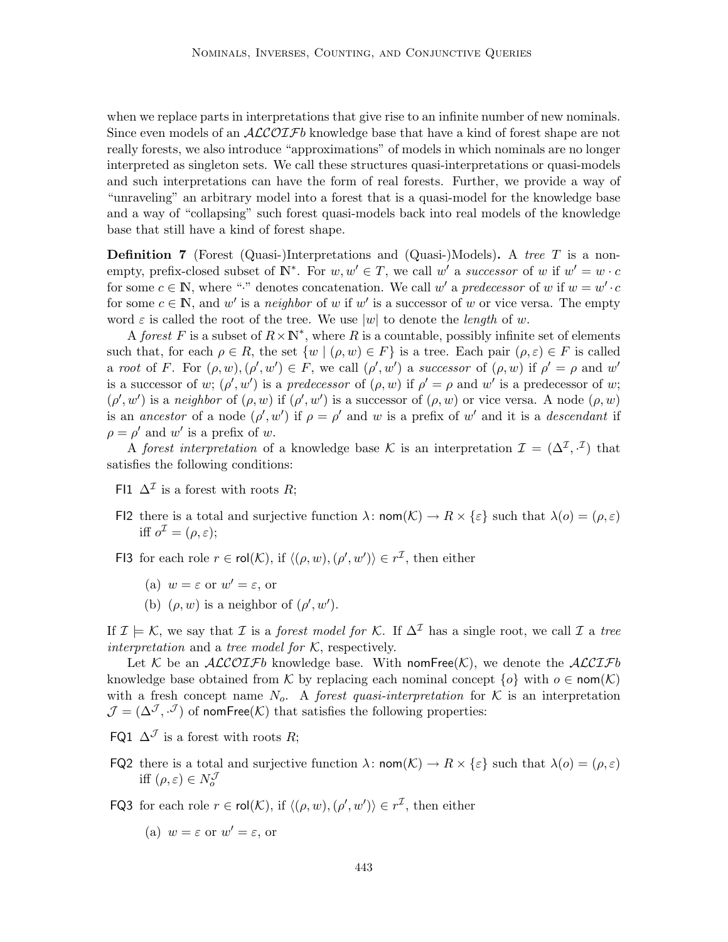when we replace parts in interpretations that give rise to an infinite number of new nominals. Since even models of an  $ALCOIFb$  knowledge base that have a kind of forest shape are not really forests, we also introduce "approximations" of models in which nominals are no longer interpreted as singleton sets. We call these structures quasi-interpretations or quasi-models and such interpretations can have the form of real forests. Further, we provide a way of "unraveling" an arbitrary model into a forest that is a quasi-model for the knowledge base and a way of "collapsing" such forest quasi-models back into real models of the knowledge base that still have a kind of forest shape.

**Definition 7** (Forest (Quasi-)Interpretations and (Quasi-)Models). A tree T is a nonempty, prefix-closed subset of  $\mathbb{N}^*$ . For  $w, w' \in T$ , we call w' a successor of w if  $w' = w \cdot c$ for some  $c \in \mathbb{N}$ , where "." denotes concatenation. We call w' a predecessor of w if  $w = w' \cdot c$ for some  $c \in \mathbb{N}$ , and w' is a neighbor of w if w' is a successor of w or vice versa. The empty word  $\varepsilon$  is called the root of the tree. We use |w| to denote the *length* of w.

A forest F is a subset of  $R \times \mathbb{N}^*$ , where R is a countable, possibly infinite set of elements such that, for each  $\rho \in R$ , the set  $\{w \mid (\rho, w) \in F\}$  is a tree. Each pair  $(\rho, \varepsilon) \in F$  is called a root of F. For  $(\rho, w), (\rho', w') \in F$ , we call  $(\rho', w')$  a successor of  $(\rho, w)$  if  $\rho' = \rho$  and w' is a successor of w;  $(\rho', w')$  is a predecessor of  $(\rho, w)$  if  $\rho' = \rho$  and w' is a predecessor of w;  $(\rho', w')$  is a neighbor of  $(\rho, w)$  if  $(\rho', w')$  is a successor of  $(\rho, w)$  or vice versa. A node  $(\rho, w)$ is an ancestor of a node  $(\rho', w')$  if  $\rho = \rho'$  and w is a prefix of w' and it is a descendant if  $\rho = \rho'$  and w' is a prefix of w.

A forest interpretation of a knowledge base K is an interpretation  $\mathcal{I} = (\Delta^{\mathcal{I}}, \cdot^{\mathcal{I}})$  that satisfies the following conditions:

- FI1  $\Delta^{\mathcal{I}}$  is a forest with roots R;
- FI2 there is a total and surjective function  $\lambda: \text{nom}(\mathcal{K}) \to R \times \{\varepsilon\}$  such that  $\lambda(o) = (\rho, \varepsilon)$ iff  $o^{\mathcal{I}} = (\rho, \varepsilon);$
- FI3 for each role  $r \in \text{rol}(\mathcal{K})$ , if  $\langle (\rho, w), (\rho', w') \rangle \in r^{\mathcal{I}}$ , then either
	- (a)  $w = \varepsilon$  or  $w' = \varepsilon$ , or
	- (b)  $(\rho, w)$  is a neighbor of  $(\rho', w')$ .

If  $\mathcal{I} \models \mathcal{K}$ , we say that  $\mathcal{I}$  is a forest model for  $\mathcal{K}$ . If  $\Delta^{\mathcal{I}}$  has a single root, we call  $\mathcal{I}$  a tree interpretation and a tree model for  $K$ , respectively.

Let K be an ALCOIFb knowledge base. With nomFree $(K)$ , we denote the ALCIFb knowledge base obtained from K by replacing each nominal concept  $\{o\}$  with  $o \in \text{nom}(\mathcal{K})$ with a fresh concept name  $N_o$ . A *forest quasi-interpretation* for K is an interpretation  $\mathcal{J} = (\Delta^{\mathcal{J}}, \cdot^{\mathcal{J}})$  of nomFree(K) that satisfies the following properties:

- FQ1  $\Delta^{\mathcal{J}}$  is a forest with roots R;
- FQ2 there is a total and surjective function  $\lambda: \text{nom}(\mathcal{K}) \to R \times \{\varepsilon\}$  such that  $\lambda(o) = (\rho, \varepsilon)$ iff  $(\rho, \varepsilon) \in N_o^{\mathcal{J}}$
- **FQ3** for each role  $r \in \text{rol}(\mathcal{K})$ , if  $\langle (\rho, w), (\rho', w') \rangle \in r^{\mathcal{I}}$ , then either
	- (a)  $w = \varepsilon$  or  $w' = \varepsilon$ , or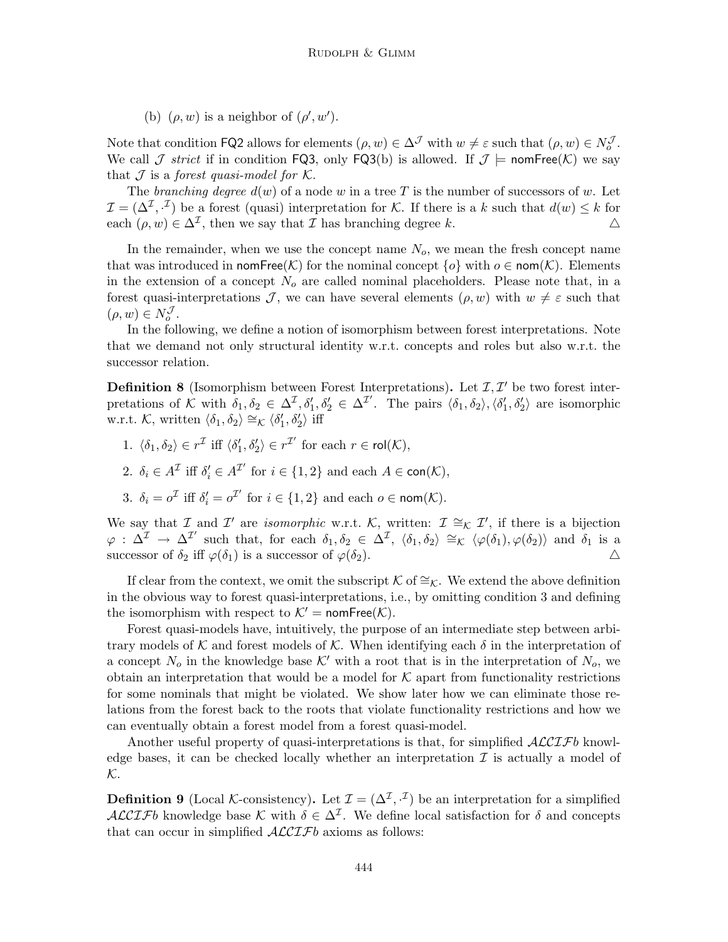(b)  $(\rho, w)$  is a neighbor of  $(\rho', w')$ .

Note that condition **FQ2** allows for elements  $(\rho, w) \in \Delta^{\mathcal{J}}$  with  $w \neq \varepsilon$  such that  $(\rho, w) \in N_o^{\mathcal{J}}$ . We call  $\mathcal J$  strict if in condition FQ3, only FQ3(b) is allowed. If  $\mathcal J \models \text{nomFree}(\mathcal K)$  we say that  $J$  is a forest quasi-model for  $K$ .

The branching degree  $d(w)$  of a node w in a tree T is the number of successors of w. Let  $\mathcal{I} = (\Delta^{\mathcal{I}}, \cdot^{\mathcal{I}})$  be a forest (quasi) interpretation for K. If there is a k such that  $d(w) \leq k$  for each  $(\rho, w) \in \Delta^{\mathcal{I}}$ , then we say that  $\mathcal I$  has branching degree k.  $\Delta$ 

In the remainder, when we use the concept name  $N<sub>o</sub>$ , we mean the fresh concept name that was introduced in nomFree(K) for the nominal concept  $\{o\}$  with  $o \in \text{nom}(\mathcal{K})$ . Elements in the extension of a concept  $N<sub>o</sub>$  are called nominal placeholders. Please note that, in a forest quasi-interpretations J, we can have several elements  $(\rho, w)$  with  $w \neq \varepsilon$  such that  $(\rho, w) \in N_o^{\mathcal{J}}$ .

In the following, we define a notion of isomorphism between forest interpretations. Note that we demand not only structural identity w.r.t. concepts and roles but also w.r.t. the successor relation.

**Definition 8** (Isomorphism between Forest Interpretations). Let  $\mathcal{I}, \mathcal{I}'$  be two forest interpretations of K with  $\delta_1, \delta_2 \in \Delta^{\mathcal{I}}, \delta_1', \delta_2' \in \Delta^{\mathcal{I}'}.$  The pairs  $\langle \delta_1, \delta_2 \rangle, \langle \delta_1', \delta_2' \rangle$  are isomorphic w.r.t. K, written  $\langle \delta_1, \delta_2 \rangle \cong_{\mathcal{K}} \langle \delta_1', \delta_2' \rangle$  iff

- 1.  $\langle \delta_1, \delta_2 \rangle \in r^{\mathcal{I}}$  iff  $\langle \delta'_1, \delta'_2 \rangle \in r^{\mathcal{I}'}$  for each  $r \in \mathsf{rol}(\mathcal{K}),$
- 2.  $\delta_i \in A^{\mathcal{I}}$  iff  $\delta'_i \in A^{\mathcal{I}'}$  for  $i \in \{1,2\}$  and each  $A \in \mathsf{con}(\mathcal{K}),$
- 3.  $\delta_i = o^{\mathcal{I}}$  iff  $\delta'_i = o^{\mathcal{I}'}$  for  $i \in \{1, 2\}$  and each  $o \in \text{nom}(\mathcal{K})$ .

We say that  $\mathcal I$  and  $\mathcal I'$  are *isomorphic* w.r.t. K, written:  $\mathcal I \cong_{\mathcal K} \mathcal I'$ , if there is a bijection  $\varphi$  :  $\Delta^{\mathcal{I}} \to \Delta^{\mathcal{I}'}$  such that, for each  $\delta_1, \delta_2 \in \Delta^{\mathcal{I}}, \langle \delta_1, \delta_2 \rangle \cong_K \langle \varphi(\delta_1), \varphi(\delta_2) \rangle$  and  $\delta_1$  is a successor of  $\delta_2$  iff  $\varphi(\delta_1)$  is a successor of  $\varphi(\delta_2)$ .

If clear from the context, we omit the subscript K of  $\cong_K$ . We extend the above definition in the obvious way to forest quasi-interpretations, i.e., by omitting condition 3 and defining the isomorphism with respect to  $K' = \text{nomFree}(K)$ .

Forest quasi-models have, intuitively, the purpose of an intermediate step between arbitrary models of K and forest models of K. When identifying each  $\delta$  in the interpretation of a concept  $N_o$  in the knowledge base K' with a root that is in the interpretation of  $N_o$ , we obtain an interpretation that would be a model for  $K$  apart from functionality restrictions for some nominals that might be violated. We show later how we can eliminate those relations from the forest back to the roots that violate functionality restrictions and how we can eventually obtain a forest model from a forest quasi-model.

Another useful property of quasi-interpretations is that, for simplified  $\mathcal{ALCIF}b$  knowledge bases, it can be checked locally whether an interpretation  $\mathcal I$  is actually a model of K.

**Definition 9** (Local K-consistency). Let  $\mathcal{I} = (\Delta^{\mathcal{I}}, \cdot^{\mathcal{I}})$  be an interpretation for a simplified ALCIFb knowledge base K with  $\delta \in \Delta^{\mathcal{I}}$ . We define local satisfaction for  $\delta$  and concepts that can occur in simplified  $\mathcal{ALCIF}b$  axioms as follows: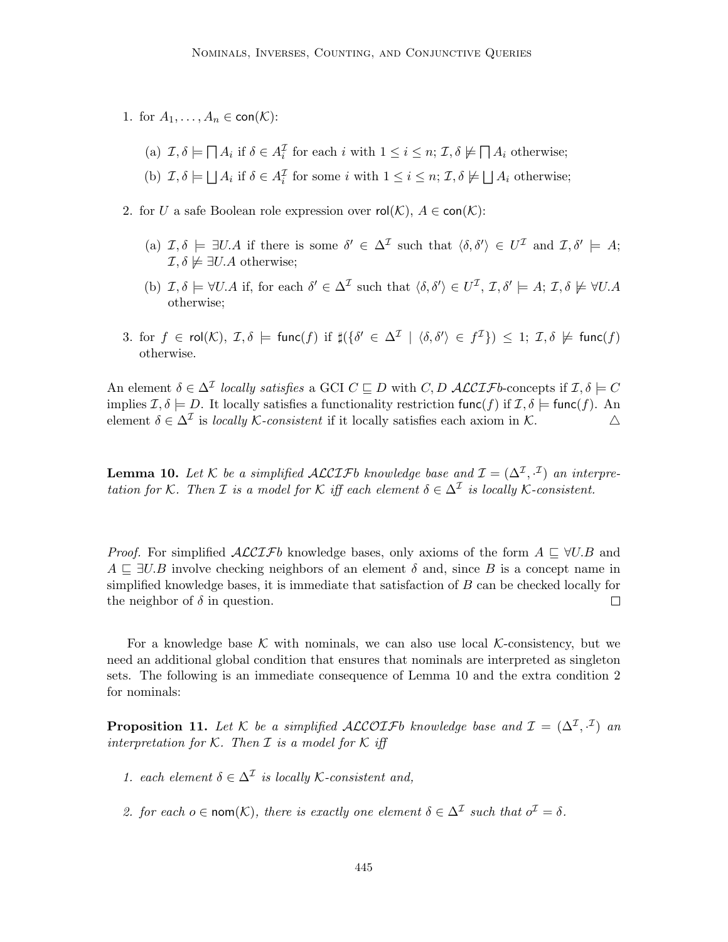- 1. for  $A_1, \ldots, A_n \in \text{con}(\mathcal{K})$ :
	- (a)  $\mathcal{I}, \delta \models \bigcap A_i$  if  $\delta \in A_i^{\mathcal{I}}$  for each i with  $1 \leq i \leq n$ ;  $\mathcal{I}, \delta \not\models \bigcap A_i$  otherwise;
	- (b)  $\mathcal{I}, \delta \models \bigsqcup A_i$  if  $\delta \in A_i^{\mathcal{I}}$  for some i with  $1 \leq i \leq n$ ;  $\mathcal{I}, \delta \not\models \bigsqcup A_i$  otherwise;
- 2. for U a safe Boolean role expression over  $\text{rol}(\mathcal{K})$ ,  $A \in \text{con}(\mathcal{K})$ :
	- (a)  $\mathcal{I}, \delta \models \exists U.A$  if there is some  $\delta' \in \Delta^{\mathcal{I}}$  such that  $\langle \delta, \delta' \rangle \in U^{\mathcal{I}}$  and  $\mathcal{I}, \delta' \models A;$  $\mathcal{I}, \delta \not\models \exists U.A \text{ otherwise};$
	- (b)  $\mathcal{I}, \delta \models \forall U.A$  if, for each  $\delta' \in \Delta^{\mathcal{I}}$  such that  $\langle \delta, \delta' \rangle \in U^{\mathcal{I}}, \mathcal{I}, \delta' \models A; \mathcal{I}, \delta \not\models \forall U.A$ otherwise;
- 3. for  $f \in \mathsf{rol}(\mathcal{K})$ ,  $\mathcal{I}, \delta \models \mathsf{func}(f)$  if  $\sharp (\{\delta' \in \Delta^{\mathcal{I}} \mid \langle \delta, \delta' \rangle \in f^{\mathcal{I}}\}) \leq 1$ ;  $\mathcal{I}, \delta \not\models \mathsf{func}(f)$ otherwise.

An element  $\delta \in \Delta^{\mathcal{I}}$  locally satisfies a GCI  $C \sqsubseteq D$  with  $C, D$  ALCIFb-concepts if  $\mathcal{I}, \delta \models C$ implies  $\mathcal{I}, \delta \models D$ . It locally satisfies a functionality restriction func(f) if  $\mathcal{I}, \delta \models \text{func}(f)$ . An element  $\delta \in \Delta^{\mathcal{I}}$  is locally  $\mathcal{K}\text{-}consistent$  if it locally satisfies each axiom in  $\mathcal{K}$ .  $\Delta$ 

**Lemma 10.** Let K be a simplified ALCIFb knowledge base and  $\mathcal{I} = (\Delta^{\mathcal{I}}, \mathcal{I})$  an interpretation for K. Then *I* is a model for K iff each element  $\delta \in \Delta^{\mathcal{I}}$  is locally K-consistent.

*Proof.* For simplified  $\mathcal{ALCIF}b$  knowledge bases, only axioms of the form  $A \subseteq \forall U.B$  and  $A \subseteq \exists U.B$  involve checking neighbors of an element  $\delta$  and, since B is a concept name in simplified knowledge bases, it is immediate that satisfaction of  $B$  can be checked locally for the neighbor of  $\delta$  in question.  $\Box$ 

For a knowledge base K with nominals, we can also use local K-consistency, but we need an additional global condition that ensures that nominals are interpreted as singleton sets. The following is an immediate consequence of Lemma 10 and the extra condition 2 for nominals:

**Proposition 11.** Let K be a simplified ALCOIFb knowledge base and  $\mathcal{I} = (\Delta^{\mathcal{I}}, \cdot^{\mathcal{I}})$  and interpretation for K. Then  $\mathcal I$  is a model for K iff

- 1. each element  $\delta \in \Delta^{\mathcal{I}}$  is locally K-consistent and,
- 2. for each  $o \in \text{nom}(\mathcal{K})$ , there is exactly one element  $\delta \in \Delta^{\mathcal{I}}$  such that  $o^{\mathcal{I}} = \delta$ .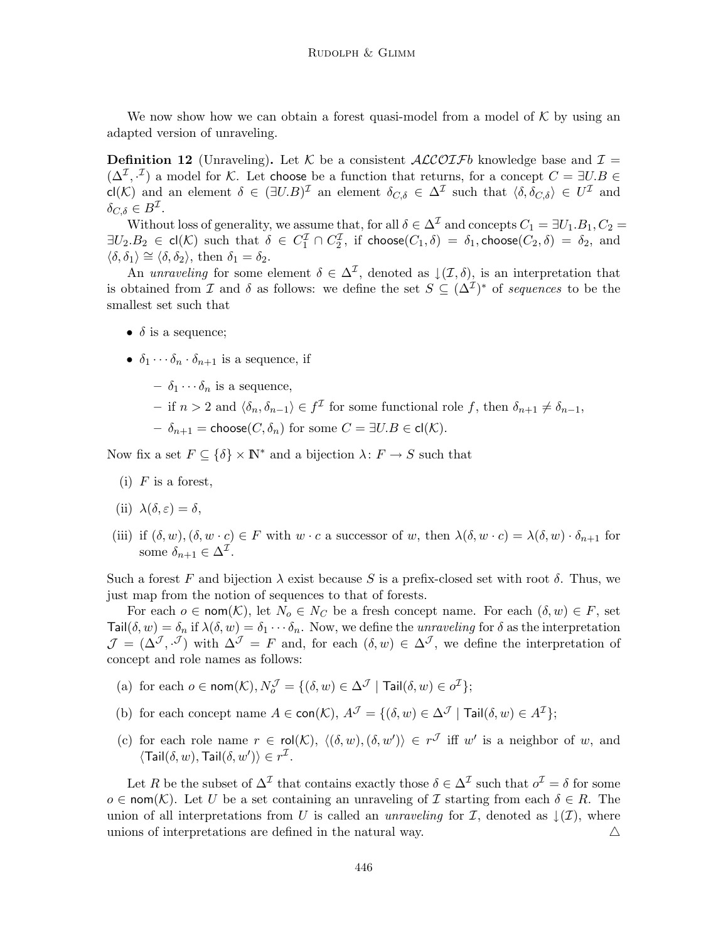We now show how we can obtain a forest quasi-model from a model of  $K$  by using an adapted version of unraveling.

**Definition 12** (Unraveling). Let K be a consistent  $ALCOIFb$  knowledge base and  $I =$  $(\Delta^{\mathcal{I}}, \cdot^{\mathcal{I}})$  a model for K. Let choose be a function that returns, for a concept  $C = \exists U.B \in$ cl(K) and an element  $\delta \in (\exists U.B)^{\mathcal{I}}$  an element  $\delta_{C,\delta} \in \Delta^{\mathcal{I}}$  such that  $\langle \delta, \delta_{C,\delta} \rangle \in U^{\mathcal{I}}$  and  $\delta_{C,\delta} \in B^{\mathcal{I}}.$ 

Without loss of generality, we assume that, for all  $\delta \in \Delta^{\mathcal{I}}$  and concepts  $C_1 = \exists U_1.B_1, C_2 =$  $\exists U_2.B_2 \in \mathsf{cl}(\mathcal{K}) \,\,\text{such that}\,\,\,\delta\,\in\, C_1^{\mathcal{I}} \cap C_2^{\mathcal{I}}, \,\,\text{if } \mathsf{choose}(C_1, \delta) \,=\, \delta_1, \mathsf{choose}(C_2, \delta) \,=\, \delta_2, \,\,\text{and}$  $\langle \delta, \delta_1 \rangle \cong \langle \delta, \delta_2 \rangle$ , then  $\delta_1 = \delta_2$ .

An unraveling for some element  $\delta \in \Delta^{\mathcal{I}}$ , denoted as  $\downarrow (\mathcal{I}, \delta)$ , is an interpretation that is obtained from I and  $\delta$  as follows: we define the set  $S \subseteq (\Delta^{\mathcal{I}})^*$  of sequences to be the smallest set such that

- $\delta$  is a sequence;
- $\delta_1 \cdots \delta_n \cdot \delta_{n+1}$  is a sequence, if
	- $\delta_1 \cdots \delta_n$  is a sequence,
	- if *n* > 2 and  $\langle \delta_n, \delta_{n-1} \rangle$  ∈  $f^{\mathcal{I}}$  for some functional role *f*, then  $\delta_{n+1} \neq \delta_{n-1}$ ,
	- $-\delta_{n+1}$  = choose( $C, \delta_n$ ) for some  $C = \exists U.B \in \mathsf{cl}(\mathcal{K})$ .

Now fix a set  $F \subseteq {\delta} \times \mathbb{N}^*$  and a bijection  $\lambda: F \to S$  such that

- $(i)$  F is a forest,
- (ii)  $\lambda(\delta, \varepsilon) = \delta$ ,
- (iii) if  $(\delta, w), (\delta, w \cdot c) \in F$  with  $w \cdot c$  a successor of w, then  $\lambda(\delta, w \cdot c) = \lambda(\delta, w) \cdot \delta_{n+1}$  for some  $\delta_{n+1} \in \Delta^{\mathcal{I}}$ .

Such a forest F and bijection  $\lambda$  exist because S is a prefix-closed set with root  $\delta$ . Thus, we just map from the notion of sequences to that of forests.

For each  $o \in \text{nom}(\mathcal{K})$ , let  $N_o \in N_c$  be a fresh concept name. For each  $(\delta, w) \in F$ , set Tail $(\delta, w) = \delta_n$  if  $\lambda(\delta, w) = \delta_1 \cdots \delta_n$ . Now, we define the *unraveling* for  $\delta$  as the interpretation  $\mathcal{J} = (\Delta^{\mathcal{J}}, \cdot^{\mathcal{J}})$  with  $\Delta^{\mathcal{J}} = F$  and, for each  $(\delta, w) \in \Delta^{\mathcal{J}}$ , we define the interpretation of concept and role names as follows:

- (a) for each  $o \in \text{nom}(\mathcal{K}), N^{\mathcal{J}}_o = \{(\delta, w) \in \Delta^{\mathcal{J}} \mid \textsf{Tail}(\delta, w) \in o^{\mathcal{I}}\};$
- (b) for each concept name  $A \in \text{con}(\mathcal{K})$ ,  $A^{\mathcal{J}} = \{(\delta, w) \in \Delta^{\mathcal{J}} \mid \text{Tail}(\delta, w) \in A^{\mathcal{I}}\};$
- (c) for each role name  $r \in \text{rol}(\mathcal{K}), \langle (\delta, w),(\delta, w') \rangle \in r^{\mathcal{J}}$  iff w' is a neighbor of w, and  $\langle \text{Tail}(\delta, w), \text{Tail}(\delta, w') \rangle \in r^{\mathcal{I}}.$

Let R be the subset of  $\Delta^{\mathcal{I}}$  that contains exactly those  $\delta \in \Delta^{\mathcal{I}}$  such that  $o^{\mathcal{I}} = \delta$  for some  $o \in \text{nom}(\mathcal{K})$ . Let U be a set containing an unraveling of I starting from each  $\delta \in R$ . The union of all interpretations from U is called an *unraveling* for  $\mathcal I$ , denoted as  $\downarrow(\mathcal I)$ , where unions of interpretations are defined in the natural way.  $\Delta$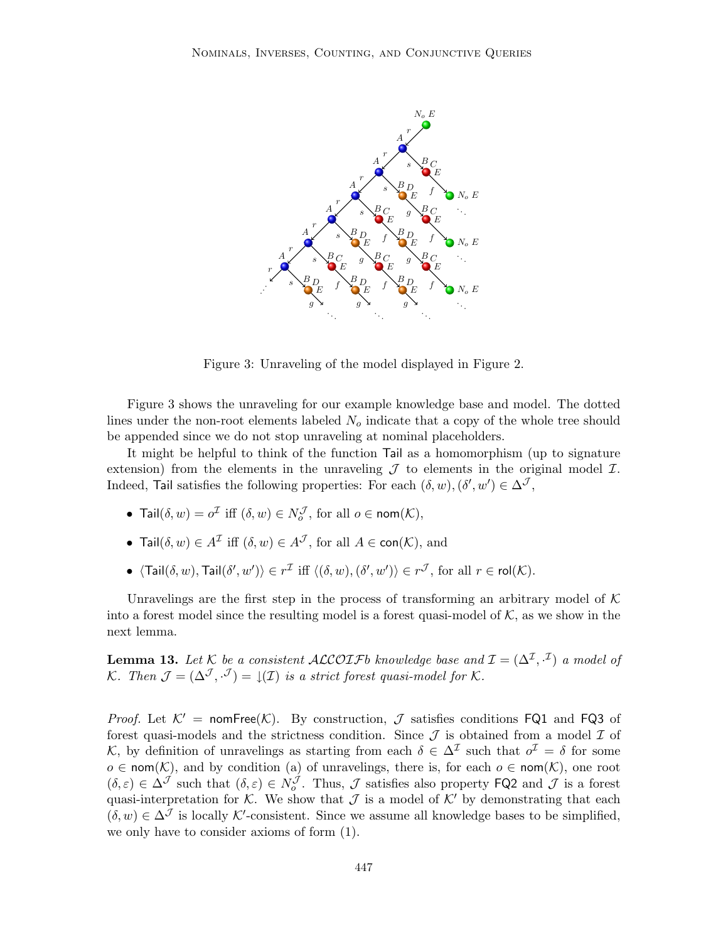

Figure 3: Unraveling of the model displayed in Figure 2.

Figure 3 shows the unraveling for our example knowledge base and model. The dotted lines under the non-root elements labeled  $N<sub>o</sub>$  indicate that a copy of the whole tree should be appended since we do not stop unraveling at nominal placeholders.

It might be helpful to think of the function Tail as a homomorphism (up to signature extension) from the elements in the unraveling  $\mathcal J$  to elements in the original model  $\mathcal I$ . Indeed, Tail satisfies the following properties: For each  $(\delta, w)$ ,  $(\delta', w') \in \Delta^{\mathcal{J}}$ ,

- Tail $(\delta, w) = o^{\mathcal{I}}$  iff  $(\delta, w) \in N_o^{\mathcal{J}}$ , for all  $o \in \text{nom}(\mathcal{K}),$
- Tail $(\delta, w) \in A^{\mathcal{I}}$  iff  $(\delta, w) \in A^{\mathcal{J}}$ , for all  $A \in \text{con}(\mathcal{K})$ , and
- $\langle \text{Tail}(\delta, w), \text{Tail}(\delta', w') \rangle \in r^{\mathcal{I}}$  iff  $\langle (\delta, w), (\delta', w') \rangle \in r^{\mathcal{J}}$ , for all  $r \in \text{rol}(\mathcal{K})$ .

Unravelings are the first step in the process of transforming an arbitrary model of  $K$ into a forest model since the resulting model is a forest quasi-model of  $K$ , as we show in the next lemma.

**Lemma 13.** Let K be a consistent ALCOIFb knowledge base and  $\mathcal{I} = (\Delta^{\mathcal{I}}, \cdot^{\mathcal{I}})$  a model of K. Then  $\mathcal{J} = (\Delta^{\mathcal{J}}, \cdot^{\mathcal{J}}) = \mathcal{J}(\mathcal{I})$  is a strict forest quasi-model for K.

*Proof.* Let  $K' = \text{nomFree}(K)$ . By construction,  $\mathcal J$  satisfies conditions FQ1 and FQ3 of forest quasi-models and the strictness condition. Since  $\mathcal J$  is obtained from a model  $\mathcal I$  of K, by definition of unravelings as starting from each  $\delta \in \Delta^{\mathcal{I}}$  such that  $o^{\mathcal{I}} = \delta$  for some  $o \in \text{nom}(\mathcal{K})$ , and by condition (a) of unravelings, there is, for each  $o \in \text{nom}(\mathcal{K})$ , one root  $(\delta, \varepsilon) \in \Delta^{\mathcal{J}}$  such that  $(\delta, \varepsilon) \in N_o^{\mathcal{J}}$ . Thus,  $\mathcal{J}$  satisfies also property FQ2 and  $\mathcal{J}$  is a forest quasi-interpretation for K. We show that  $\mathcal J$  is a model of K' by demonstrating that each  $(\delta, w) \in \Delta^{\mathcal{J}}$  is locally K'-consistent. Since we assume all knowledge bases to be simplified, we only have to consider axioms of form (1).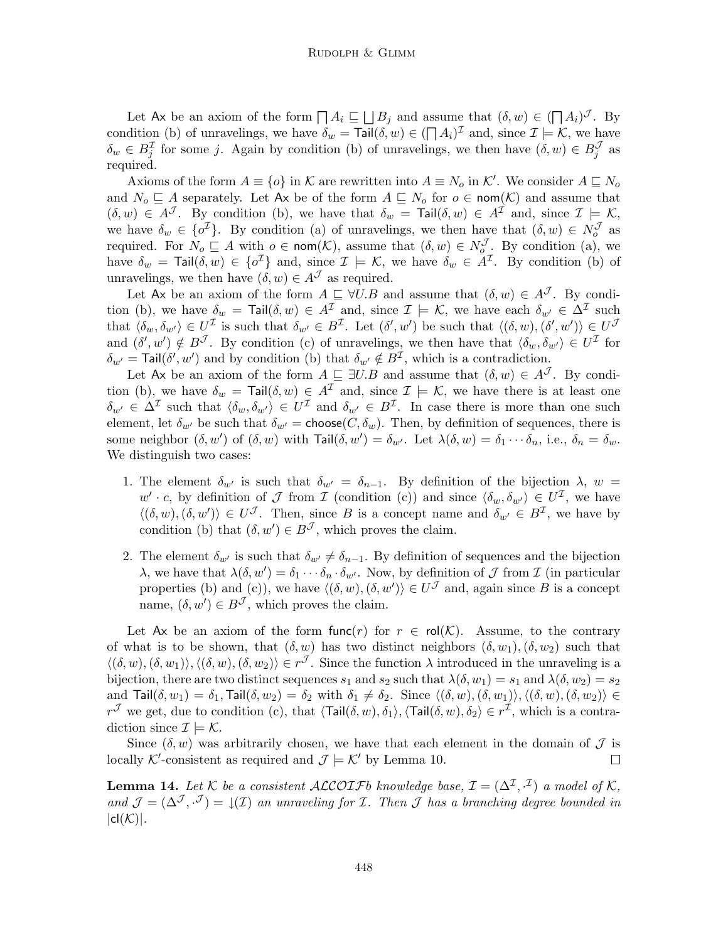Let Ax be an axiom of the form  $\prod A_i \subseteq \bigsqcup B_j$  and assume that  $(\delta, w) \in (\bigsqcup A_i)^{\mathcal{J}}$ . By condition (b) of unravelings, we have  $\delta_w = \text{Tail}(\delta, w) \in (\bigcap A_i)^{\mathcal{I}}$  and, since  $\mathcal{I} \models \mathcal{K}$ , we have  $\delta_w \in B_j^{\mathcal{I}}$  for some j. Again by condition (b) of unravelings, we then have  $(\delta, w) \in B_j^{\mathcal{J}}$  as required.

Axioms of the form  $A \equiv \{o\}$  in K are rewritten into  $A \equiv N_o$  in K'. We consider  $A \sqsubseteq N_o$ and  $N_o \subseteq A$  separately. Let Ax be of the form  $A \subseteq N_o$  for  $o \in \text{nom}(\mathcal{K})$  and assume that  $(\delta, w) \in A^{\mathcal{J}}$ . By condition (b), we have that  $\delta_w = \text{Tail}(\delta, w) \in A^{\mathcal{I}}$  and, since  $\mathcal{I} \models \mathcal{K}$ , we have  $\delta_w \in {\{\sigma^{\mathcal{I}}\}}$ . By condition (a) of unravelings, we then have that  $(\delta, w) \in N_o^{\mathcal{J}}$  as required. For  $N_o \sqsubseteq A$  with  $o \in \text{nom}(\mathcal{K})$ , assume that  $(\delta, w) \in N_o^{\mathcal{J}}$ . By condition (a), we have  $\delta_w = \text{Tail}(\delta, w) \in \{o^{\mathcal{I}}\}\$ and, since  $\mathcal{I} \models \mathcal{K}$ , we have  $\delta_w \in A^{\mathcal{I}}$ . By condition (b) of unravelings, we then have  $(\delta, w) \in A^{\mathcal{J}}$  as required.

Let Ax be an axiom of the form  $A \subseteq \forall U.B$  and assume that  $(\delta, w) \in A<sup>J</sup>$ . By condition (b), we have  $\delta_w = \text{Tail}(\delta, w) \in A^{\mathcal{I}}$  and, since  $\mathcal{I} \models \mathcal{K}$ , we have each  $\delta_{w'} \in \Delta^{\mathcal{I}}$  such that  $\langle \delta_w, \delta_{w'} \rangle \in U^{\mathcal{I}}$  is such that  $\delta_{w'} \in B^{\mathcal{I}}$ . Let  $(\delta', w')$  be such that  $\langle (\delta, w), (\delta', w') \rangle \in U^{\mathcal{I}}$ and  $(\delta', w') \notin B^{\mathcal{J}}$ . By condition (c) of unravelings, we then have that  $\langle \delta_w, \delta_{w'} \rangle \in U^{\mathcal{I}}$  for  $\delta_{w'}$  = Tail( $\delta', w'$ ) and by condition (b) that  $\delta_{w'} \notin B^{\mathcal{I}}$ , which is a contradiction.

Let Ax be an axiom of the form  $A \subseteq \exists U.B$  and assume that  $(\delta, w) \in A<sup>J</sup>$ . By condition (b), we have  $\delta_w = \text{Tail}(\delta, w) \in A^{\mathcal{I}}$  and, since  $\mathcal{I} \models \mathcal{K}$ , we have there is at least one  $\delta_{w'} \in \Delta^{\mathcal{I}}$  such that  $\langle \delta_w, \delta_{w'} \rangle \in U^{\mathcal{I}}$  and  $\delta_{w'} \in B^{\mathcal{I}}$ . In case there is more than one such element, let  $\delta_{w'}$  be such that  $\delta_{w'}$  = choose( $C, \delta_w$ ). Then, by definition of sequences, there is some neighbor  $(\delta, w')$  of  $(\delta, w)$  with  $\textsf{Tail}(\delta, w') = \delta_{w'}$ . Let  $\lambda(\delta, w) = \delta_1 \cdots \delta_n$ , i.e.,  $\delta_n = \delta_w$ . We distinguish two cases:

- 1. The element  $\delta_{w'}$  is such that  $\delta_{w'} = \delta_{n-1}$ . By definition of the bijection  $\lambda$ ,  $w =$  $w' \cdot c$ , by definition of J from I (condition (c)) and since  $\langle \delta_w, \delta_{w'} \rangle \in U^{\mathcal{I}}$ , we have  $\langle (\delta, w), (\delta, w') \rangle \in U^{\mathcal{J}}$ . Then, since B is a concept name and  $\delta_{w'} \in B^{\mathcal{I}}$ , we have by condition (b) that  $(\delta, w') \in B^{\mathcal{J}}$ , which proves the claim.
- 2. The element  $\delta_{w'}$  is such that  $\delta_{w'} \neq \delta_{n-1}$ . By definition of sequences and the bijection λ, we have that  $\lambda(\delta, w') = \delta_1 \cdots \delta_n \cdot \delta_{w'}$ . Now, by definition of *J* from *I* (in particular properties (b) and (c)), we have  $\langle (\delta, w), (\delta, w') \rangle \in U^{\mathcal{J}}$  and, again since B is a concept name,  $(\delta, w') \in B^{\mathcal{J}}$ , which proves the claim.

Let Ax be an axiom of the form func(r) for  $r \in \text{rol}(\mathcal{K})$ . Assume, to the contrary of what is to be shown, that  $(\delta, w)$  has two distinct neighbors  $(\delta, w_1), (\delta, w_2)$  such that  $\langle (\delta, w), (\delta, w_1) \rangle, \langle (\delta, w), (\delta, w_2) \rangle \in r^{\mathcal{J}}$ . Since the function  $\lambda$  introduced in the unraveling is a bijection, there are two distinct sequences  $s_1$  and  $s_2$  such that  $\lambda(\delta, w_1) = s_1$  and  $\lambda(\delta, w_2) = s_2$ and Tail $(\delta, w_1) = \delta_1$ , Tail $(\delta, w_2) = \delta_2$  with  $\delta_1 \neq \delta_2$ . Since  $\langle (\delta, w), (\delta, w_1) \rangle$ ,  $\langle (\delta, w), (\delta, w_2) \rangle \in$  $r^{\mathcal{J}}$  we get, due to condition (c), that  $\langle \textsf{Tail}(\delta, w), \delta_1\rangle$ ,  $\langle \textsf{Tail}(\delta, w), \delta_2\rangle \in r^{\mathcal{I}}$ , which is a contradiction since  $\mathcal{I} \models \mathcal{K}$ .

Since  $(\delta, w)$  was arbitrarily chosen, we have that each element in the domain of  $\mathcal J$  is locally K'-consistent as required and  $\mathcal{J} \models \mathcal{K}'$  by Lemma 10.  $\Box$ 

**Lemma 14.** Let K be a consistent ALCOLFb knowledge base,  $\mathcal{I} = (\Delta^{\mathcal{I}}, \cdot^{\mathcal{I}})$  a model of K, and  $\mathcal{J} = (\Delta^{\mathcal{J}}, \cdot^{\mathcal{J}}) = \mathcal{J}(\mathcal{I})$  an unraveling for *I*. Then *J* has a branching degree bounded in  $|cl(\mathcal{K})|$ .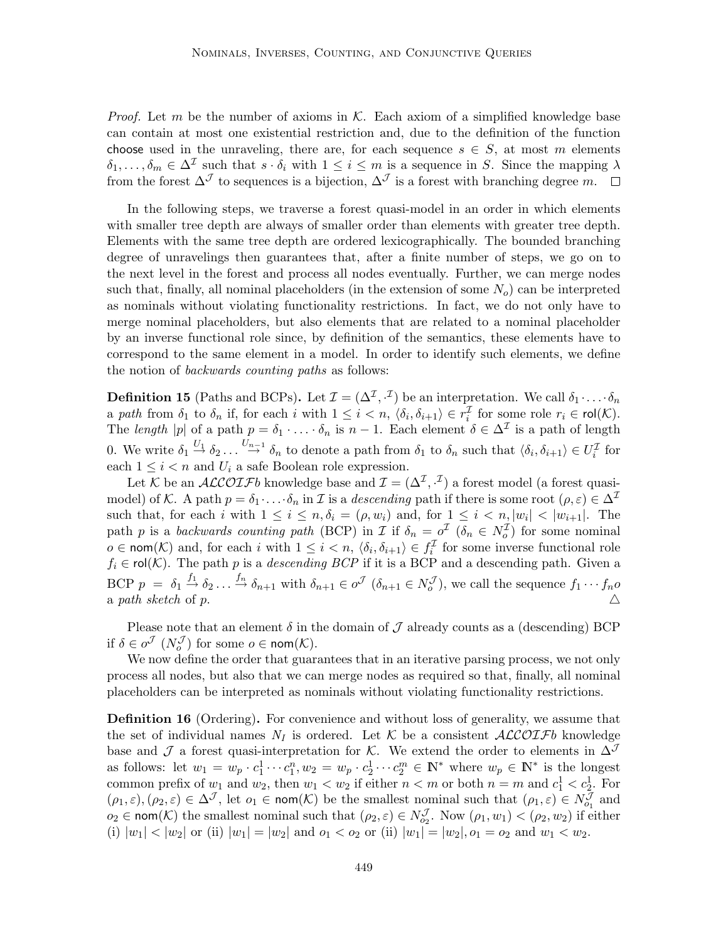*Proof.* Let m be the number of axioms in  $K$ . Each axiom of a simplified knowledge base can contain at most one existential restriction and, due to the definition of the function choose used in the unraveling, there are, for each sequence  $s \in S$ , at most m elements  $\delta_1,\ldots,\delta_m\in\Delta^{\mathcal{I}}$  such that  $s\cdot\delta_i$  with  $1\leq i\leq m$  is a sequence in S. Since the mapping  $\lambda$ from the forest  $\Delta^{\mathcal{J}}$  to sequences is a bijection,  $\Delta^{\mathcal{J}}$  is a forest with branching degree m.  $\square$ 

In the following steps, we traverse a forest quasi-model in an order in which elements with smaller tree depth are always of smaller order than elements with greater tree depth. Elements with the same tree depth are ordered lexicographically. The bounded branching degree of unravelings then guarantees that, after a finite number of steps, we go on to the next level in the forest and process all nodes eventually. Further, we can merge nodes such that, finally, all nominal placeholders (in the extension of some  $N<sub>o</sub>$ ) can be interpreted as nominals without violating functionality restrictions. In fact, we do not only have to merge nominal placeholders, but also elements that are related to a nominal placeholder by an inverse functional role since, by definition of the semantics, these elements have to correspond to the same element in a model. In order to identify such elements, we define the notion of backwards counting paths as follows:

**Definition 15** (Paths and BCPs). Let  $\mathcal{I} = (\Delta^{\mathcal{I}}, \cdot^{\mathcal{I}})$  be an interpretation. We call  $\delta_1 \cdot \ldots \cdot \delta_n$ a path from  $\delta_1$  to  $\delta_n$  if, for each i with  $1 \leq i < n$ ,  $\langle \delta_i, \delta_{i+1} \rangle \in r_i^{\mathcal{I}}$  for some role  $r_i \in \text{rol}(\mathcal{K})$ . The length |p| of a path  $p = \delta_1 \cdot \ldots \cdot \delta_n$  is  $n-1$ . Each element  $\delta \in \Delta^{\mathcal{I}}$  is a path of length 0. We write  $\delta_1 \stackrel{U_1}{\rightarrow} \delta_2 \ldots \stackrel{U_{n-1}}{\rightarrow} \delta_n$  to denote a path from  $\delta_1$  to  $\delta_n$  such that  $\langle \delta_i, \delta_{i+1} \rangle \in U_i^{\mathcal{I}}$  for each  $1 \leq i \leq n$  and  $U_i$  a safe Boolean role expression.

Let K be an  $ALCOIFb$  knowledge base and  $\mathcal{I} = (\Delta^{\mathcal{I}}, \mathcal{I})$  a forest model (a forest quasimodel) of K. A path  $p = \delta_1 \cdot \ldots \cdot \delta_n$  in I is a descending path if there is some root  $(\rho, \varepsilon) \in \Delta^{\mathcal{I}}$ such that, for each i with  $1 \leq i \leq n, \delta_i = (\rho, w_i)$  and, for  $1 \leq i \leq n, |w_i| < |w_{i+1}|$ . The path p is a backwards counting path (BCP) in I if  $\delta_n = o^{\mathcal{I}}$  ( $\delta_n \in N_o^{\mathcal{I}}$ ) for some nominal  $o \in \text{nom}(\mathcal{K})$  and, for each i with  $1 \leq i < n$ ,  $\langle \delta_i, \delta_{i+1} \rangle \in f_i^{\mathcal{I}}$  for some inverse functional role  $f_i \in \text{rol}(\mathcal{K})$ . The path p is a *descending BCP* if it is a BCP and a descending path. Given a BCP  $p = \delta_1 \stackrel{f_1}{\rightarrow} \delta_2 \ldots \stackrel{f_n}{\rightarrow} \delta_{n+1}$  with  $\delta_{n+1} \in o^{\mathcal{J}}(\delta_{n+1} \in N_o^{\mathcal{J}})$ , we call the sequence  $f_1 \cdots f_n o$ a path sketch of p.  $\triangle$ 

Please note that an element  $\delta$  in the domain of  $\mathcal J$  already counts as a (descending) BCP if  $\delta \in o^{\mathcal{J}}(N_o^{\mathcal{J}})$  for some  $o \in \text{nom}(\mathcal{K})$ .

We now define the order that guarantees that in an iterative parsing process, we not only process all nodes, but also that we can merge nodes as required so that, finally, all nominal placeholders can be interpreted as nominals without violating functionality restrictions.

Definition 16 (Ordering). For convenience and without loss of generality, we assume that the set of individual names  $N_I$  is ordered. Let K be a consistent  $\mathcal{ALCOTF}b$  knowledge base and J a forest quasi-interpretation for K. We extend the order to elements in  $\Delta^{\mathcal{J}}$ as follows: let  $w_1 = w_p \cdot c_1^1 \cdots c_1^n, w_2 = w_p \cdot c_2^1 \cdots c_2^m \in \mathbb{N}^*$  where  $w_p \in \mathbb{N}^*$  is the longest common prefix of  $w_1$  and  $w_2$ , then  $w_1 < w_2$  if either  $n < m$  or both  $n = m$  and  $c_1^1 < c_2^1$ . For  $(\rho_1,\varepsilon),(\rho_2,\varepsilon) \in \Delta^{\mathcal{J}}$ , let  $o_1 \in \text{nom}(\mathcal{K})$  be the smallest nominal such that  $(\rho_1,\varepsilon) \in N^{\mathcal{J}}_{o_1}$  and  $o_2 \in \text{nom}(\mathcal{K})$  the smallest nominal such that  $(\rho_2, \varepsilon) \in N_{o_2}^{\mathcal{J}}$ . Now  $(\rho_1, w_1) < (\rho_2, w_2)$  if either (i)  $|w_1| < |w_2|$  or (ii)  $|w_1| = |w_2|$  and  $o_1 < o_2$  or (ii)  $|w_1| = |w_2|, o_1 = o_2$  and  $w_1 < w_2$ .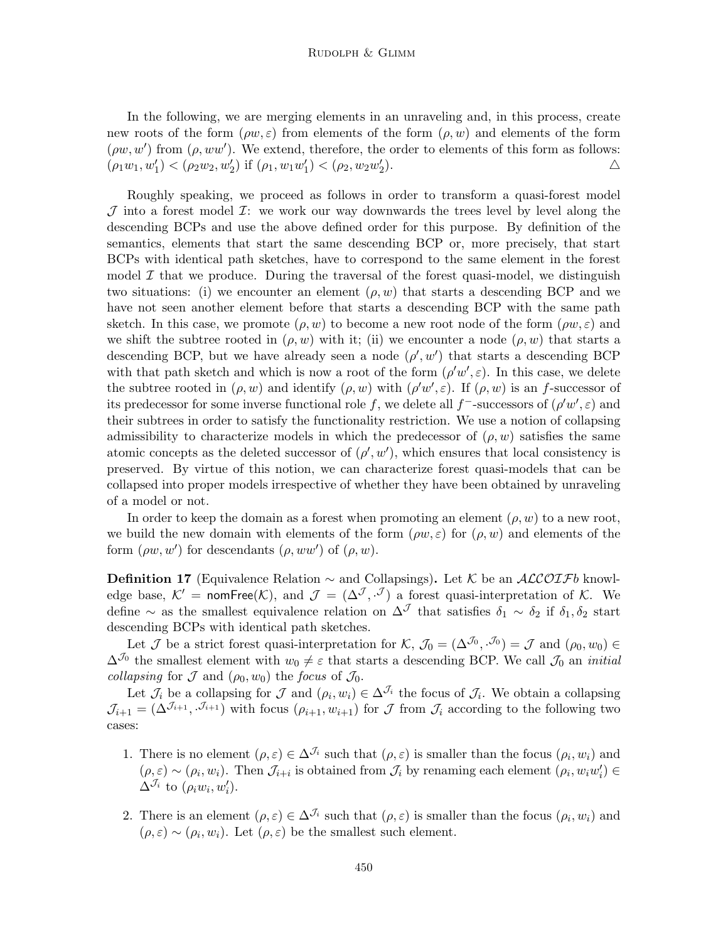In the following, we are merging elements in an unraveling and, in this process, create new roots of the form  $(\rho w, \varepsilon)$  from elements of the form  $(\rho, w)$  and elements of the form  $(\rho w, w')$  from  $(\rho, ww')$ . We extend, therefore, the order to elements of this form as follows:  $(\rho_1 w_1, w'_1) < (\rho_2 w_2, w'_2)$  if  $(\rho_1, w_1 w'_1) < (\rho_2, w_2 w'_2)$ ).  $\triangle$ 

Roughly speaking, we proceed as follows in order to transform a quasi-forest model  $J$  into a forest model  $I$ : we work our way downwards the trees level by level along the descending BCPs and use the above defined order for this purpose. By definition of the semantics, elements that start the same descending BCP or, more precisely, that start BCPs with identical path sketches, have to correspond to the same element in the forest model  $\mathcal I$  that we produce. During the traversal of the forest quasi-model, we distinguish two situations: (i) we encounter an element  $(\rho, w)$  that starts a descending BCP and we have not seen another element before that starts a descending BCP with the same path sketch. In this case, we promote  $(\rho, w)$  to become a new root node of the form  $(\rho w, \varepsilon)$  and we shift the subtree rooted in  $(\rho, w)$  with it; (ii) we encounter a node  $(\rho, w)$  that starts a descending BCP, but we have already seen a node  $(\rho', w')$  that starts a descending BCP with that path sketch and which is now a root of the form  $(\rho' w', \varepsilon)$ . In this case, we delete the subtree rooted in  $(\rho, w)$  and identify  $(\rho, w)$  with  $(\rho' w', \varepsilon)$ . If  $(\rho, w)$  is an f-successor of its predecessor for some inverse functional role f, we delete all f<sup>-</sup>-successors of  $(\rho' w', \varepsilon)$  and their subtrees in order to satisfy the functionality restriction. We use a notion of collapsing admissibility to characterize models in which the predecessor of  $(\rho, w)$  satisfies the same atomic concepts as the deleted successor of  $(\rho', w')$ , which ensures that local consistency is preserved. By virtue of this notion, we can characterize forest quasi-models that can be collapsed into proper models irrespective of whether they have been obtained by unraveling of a model or not.

In order to keep the domain as a forest when promoting an element  $(\rho, w)$  to a new root, we build the new domain with elements of the form  $(\rho w, \varepsilon)$  for  $(\rho, w)$  and elements of the form  $(\rho w, w')$  for descendants  $(\rho, ww')$  of  $(\rho, w)$ .

**Definition 17** (Equivalence Relation  $\sim$  and Collapsings). Let K be an ALCOIFb knowledge base,  $\mathcal{K}' = \text{nomFree}(\mathcal{K})$ , and  $\mathcal{J} = (\Delta^{\mathcal{J}}, \cdot^{\mathcal{J}})$  a forest quasi-interpretation of  $\mathcal{K}$ . We define ∼ as the smallest equivalence relation on  $\Delta^{\mathcal{J}}$  that satisfies  $\delta_1 \sim \delta_2$  if  $\delta_1, \delta_2$  start descending BCPs with identical path sketches.

Let  $\mathcal J$  be a strict forest quasi-interpretation for  $\mathcal K$ ,  $\mathcal J_0 = (\Delta^{\mathcal J_0}, \cdot^{\mathcal J_0}) = \mathcal J$  and  $(\rho_0, w_0) \in$  $\Delta^{J_0}$  the smallest element with  $w_0 \neq \varepsilon$  that starts a descending BCP. We call  $J_0$  an *initial collapsing* for  $\mathcal J$  and  $(\rho_0, w_0)$  the focus of  $\mathcal J_0$ .

Let  $\mathcal{J}_i$  be a collapsing for  $\mathcal J$  and  $(\rho_i, w_i) \in \Delta^{\mathcal{J}_i}$  the focus of  $\mathcal{J}_i$ . We obtain a collapsing  $\mathcal{J}_{i+1} = (\Delta^{\mathcal{J}_{i+1}}, \mathcal{J}_{i+1})$  with focus  $(\rho_{i+1}, w_{i+1})$  for  $\mathcal J$  from  $\mathcal J_i$  according to the following two cases:

- 1. There is no element  $(\rho, \varepsilon) \in \Delta^{\mathcal{J}_i}$  such that  $(\rho, \varepsilon)$  is smaller than the focus  $(\rho_i, w_i)$  and  $(\rho, \varepsilon) \sim (\rho_i, w_i)$ . Then  $\mathcal{J}_{i+i}$  is obtained from  $\mathcal{J}_i$  by renaming each element  $(\rho_i, w_i w'_i) \in$  $\Delta^{J_i}$  to  $(\rho_i w_i, w'_i)$ .
- 2. There is an element  $(\rho, \varepsilon) \in \Delta^{J_i}$  such that  $(\rho, \varepsilon)$  is smaller than the focus  $(\rho_i, w_i)$  and  $(\rho, \varepsilon) \sim (\rho_i, w_i)$ . Let  $(\rho, \varepsilon)$  be the smallest such element.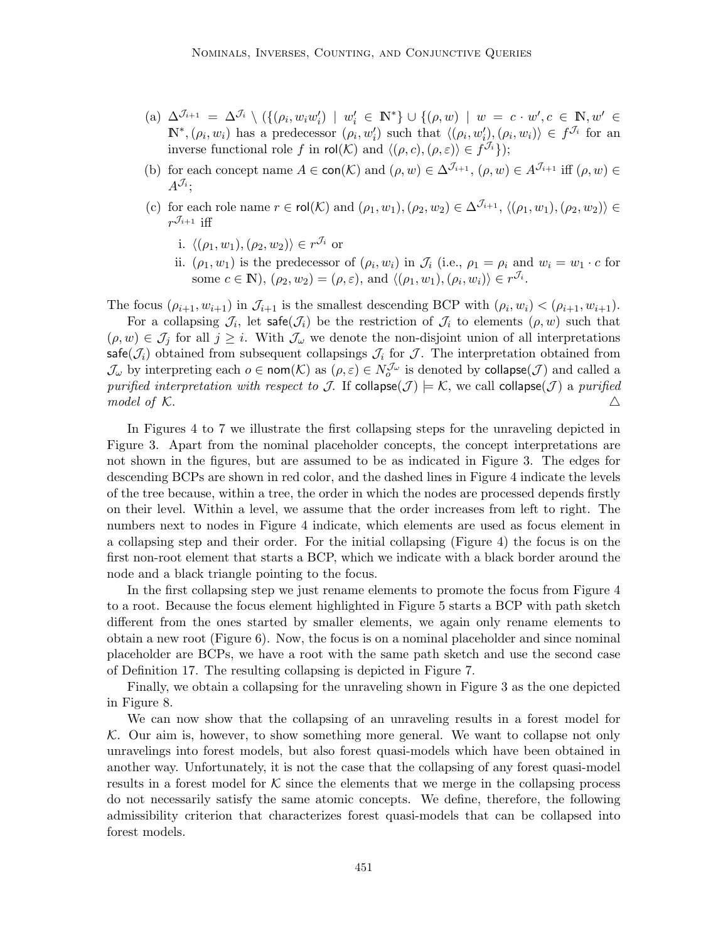- (a)  $\Delta^{J_{i+1}} = \Delta^{J_i} \setminus (\{(\rho_i, w_iw_i') \mid w_i' \in \mathbb{N}^*\} \cup \{(\rho, w) \mid w = c \cdot w', c \in \mathbb{N}, w' \in \mathbb{N}\})$  $\mathbb{N}^*,(\rho_i,w_i)$  has a predecessor  $(\rho_i,w'_i)$  such that  $\langle (\rho_i,w'_i),(\rho_i,w_i) \rangle \in f^{\mathcal{J}_i}$  for an inverse functional role f in rol(K) and  $\langle (\rho, c), (\rho, \varepsilon) \rangle \in f^{\mathcal{J}_i} \rangle$ ;
- (b) for each concept name  $A \in \text{con}(\mathcal{K})$  and  $(\rho, w) \in \Delta^{\mathcal{J}_{i+1}}, (\rho, w) \in A^{\mathcal{J}_{i+1}}$  iff  $(\rho, w) \in$  $A^{\mathcal{J}_i};$
- (c) for each role name  $r \in \text{rol}(\mathcal{K})$  and  $(\rho_1, w_1), (\rho_2, w_2) \in \Delta^{\mathcal{J}_{i+1}}, \langle (\rho_1, w_1), (\rho_2, w_2) \rangle \in$  $r^{\mathcal{J}_{i+1}}$  iff
	- i.  $\langle (\rho_1, w_1), (\rho_2, w_2) \rangle \in r^{\mathcal{J}_i}$  or
	- ii.  $(\rho_1, w_1)$  is the predecessor of  $(\rho_i, w_i)$  in  $\mathcal{J}_i$  (i.e.,  $\rho_1 = \rho_i$  and  $w_i = w_1 \cdot c$  for some  $c \in \mathbb{N}$ ,  $(\rho_2, w_2) = (\rho, \varepsilon)$ , and  $\langle (\rho_1, w_1), (\rho_i, w_i) \rangle \in r^{\mathcal{J}_i}$ .

The focus  $(\rho_{i+1}, w_{i+1})$  in  $\mathcal{J}_{i+1}$  is the smallest descending BCP with  $(\rho_i, w_i) < (\rho_{i+1}, w_{i+1})$ .

For a collapsing  $\mathcal{J}_i$ , let safe $(\mathcal{J}_i)$  be the restriction of  $\mathcal{J}_i$  to elements  $(\rho, w)$  such that  $(\rho, w) \in \mathcal{J}_j$  for all  $j \geq i$ . With  $\mathcal{J}_\omega$  we denote the non-disjoint union of all interpretations safe( $\mathcal{J}_i$ ) obtained from subsequent collapsings  $\mathcal{J}_i$  for  $\mathcal{J}$ . The interpretation obtained from  $\mathcal{J}_\omega$  by interpreting each  $o \in \text{nom}(\mathcal{K})$  as  $(\rho, \varepsilon) \in N_o^{\mathcal{J}_\omega}$  is denoted by collapse $(\mathcal{J})$  and called a purified interpretation with respect to J. If collapse( $J$ )  $\models K$ , we call collapse(J) a purified model of K.

In Figures 4 to 7 we illustrate the first collapsing steps for the unraveling depicted in Figure 3. Apart from the nominal placeholder concepts, the concept interpretations are not shown in the figures, but are assumed to be as indicated in Figure 3. The edges for descending BCPs are shown in red color, and the dashed lines in Figure 4 indicate the levels of the tree because, within a tree, the order in which the nodes are processed depends firstly on their level. Within a level, we assume that the order increases from left to right. The numbers next to nodes in Figure 4 indicate, which elements are used as focus element in a collapsing step and their order. For the initial collapsing (Figure 4) the focus is on the first non-root element that starts a BCP, which we indicate with a black border around the node and a black triangle pointing to the focus.

In the first collapsing step we just rename elements to promote the focus from Figure 4 to a root. Because the focus element highlighted in Figure 5 starts a BCP with path sketch different from the ones started by smaller elements, we again only rename elements to obtain a new root (Figure 6). Now, the focus is on a nominal placeholder and since nominal placeholder are BCPs, we have a root with the same path sketch and use the second case of Definition 17. The resulting collapsing is depicted in Figure 7.

Finally, we obtain a collapsing for the unraveling shown in Figure 3 as the one depicted in Figure 8.

We can now show that the collapsing of an unraveling results in a forest model for  $K$ . Our aim is, however, to show something more general. We want to collapse not only unravelings into forest models, but also forest quasi-models which have been obtained in another way. Unfortunately, it is not the case that the collapsing of any forest quasi-model results in a forest model for  $K$  since the elements that we merge in the collapsing process do not necessarily satisfy the same atomic concepts. We define, therefore, the following admissibility criterion that characterizes forest quasi-models that can be collapsed into forest models.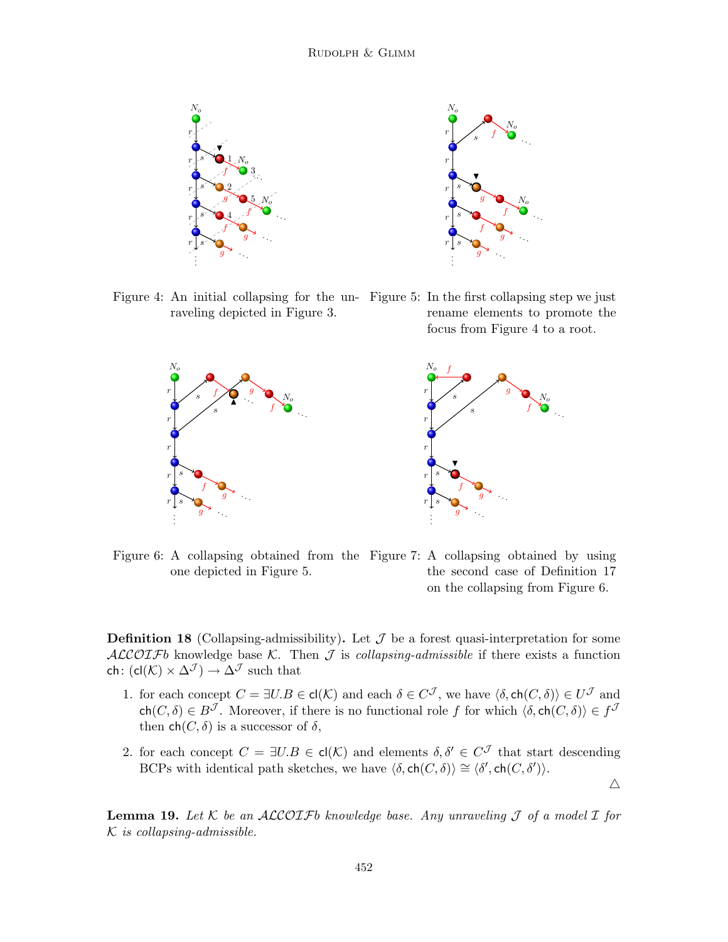

Figure 4: An initial collapsing for the un-Figure 5: In the first collapsing step we just raveling depicted in Figure 3. rename elements to promote the

focus from Figure 4 to a root.

 $\triangle$ 



Figure 6: A collapsing obtained from the Figure 7: A collapsing obtained by using one depicted in Figure 5. the second case of Definition 17 on the collapsing from Figure 6.

**Definition 18** (Collapsing-admissibility). Let  $\mathcal J$  be a forest quasi-interpretation for some ALCOIFb knowledge base K. Then  $\mathcal I$  is collapsing-admissible if there exists a function ch:  $(cl(K) \times \Delta^{\mathcal{J}}) \rightarrow \Delta^{\mathcal{J}}$  such that

- 1. for each concept  $C = \exists U.B \in \text{cl}(\mathcal{K})$  and each  $\delta \in C^{\mathcal{J}}$ , we have  $\langle \delta, \text{ch}(C, \delta) \rangle \in U^{\mathcal{J}}$  and  $ch(C, \delta) \in B^{\mathcal{J}}$ . Moreover, if there is no functional role f for which  $\langle \delta, ch(C, \delta) \rangle \in f^{\mathcal{J}}$ then  $\text{ch}(C, \delta)$  is a successor of  $\delta$ ,
- 2. for each concept  $C = \exists U.B \in \mathsf{cl}(\mathcal{K})$  and elements  $\delta, \delta' \in C^{\mathcal{J}}$  that start descending BCPs with identical path sketches, we have  $\langle \delta, ch(C, \delta) \rangle \cong \langle \delta', ch(C, \delta') \rangle$ .

**Lemma 19.** Let K be an ALCOIFb knowledge base. Any unraveling  $\mathcal J$  of a model  $\mathcal I$  for  $K$  is collapsing-admissible.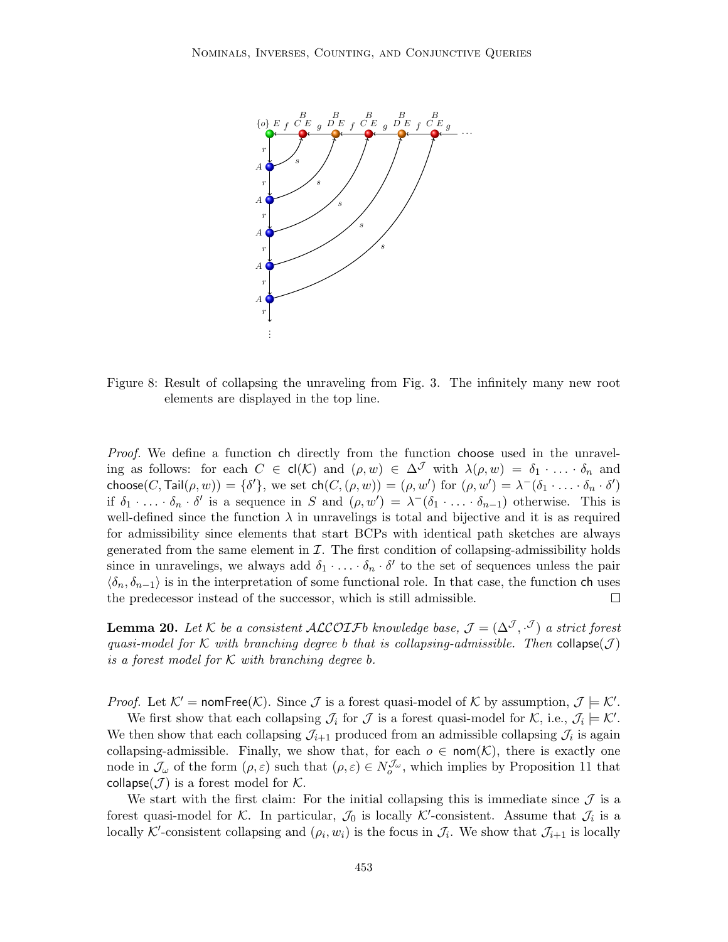

Figure 8: Result of collapsing the unraveling from Fig. 3. The infinitely many new root elements are displayed in the top line.

Proof. We define a function ch directly from the function choose used in the unraveling as follows: for each  $C \in cl(\mathcal{K})$  and  $(\rho, w) \in \Delta^{\mathcal{J}}$  with  $\lambda(\rho, w) = \delta_1 \cdot \ldots \cdot \delta_n$  and choose $(C, \text{Tail}(\rho, w)) = \{\delta'\},$  we set  $\mathsf{ch}(C, (\rho, w)) = (\rho, w')$  for  $(\rho, w') = \lambda^-(\delta_1 \cdot \ldots \cdot \delta_n \cdot \delta')$ if  $\delta_1 \cdot \ldots \cdot \delta_n \cdot \delta'$  is a sequence in S and  $(\rho, w') = \lambda^-(\delta_1 \cdot \ldots \cdot \delta_{n-1})$  otherwise. This is well-defined since the function  $\lambda$  in unravelings is total and bijective and it is as required for admissibility since elements that start BCPs with identical path sketches are always generated from the same element in  $\mathcal I$ . The first condition of collapsing-admissibility holds since in unravelings, we always add  $\delta_1 \cdot \ldots \cdot \delta_n \cdot \delta'$  to the set of sequences unless the pair  $\langle \delta_n, \delta_{n-1} \rangle$  is in the interpretation of some functional role. In that case, the function ch uses the predecessor instead of the successor, which is still admissible.  $\Box$ 

**Lemma 20.** Let K be a consistent ALCOIFb knowledge base,  $\mathcal{J} = (\Delta^{\mathcal{J}}, \cdot^{\mathcal{J}})$  a strict forest quasi-model for K with branching degree b that is collapsing-admissible. Then collapse $(\mathcal{J})$ is a forest model for  $K$  with branching degree b.

*Proof.* Let  $K' = \text{nomFree}(K)$ . Since  $\mathcal J$  is a forest quasi-model of  $K$  by assumption,  $\mathcal J \models K'$ .

We first show that each collapsing  $\mathcal{J}_i$  for  $\mathcal J$  is a forest quasi-model for  $\mathcal{K}$ , i.e.,  $\mathcal{J}_i \models \mathcal{K}'$ . We then show that each collapsing  $\mathcal{J}_{i+1}$  produced from an admissible collapsing  $\mathcal{J}_i$  is again collapsing-admissible. Finally, we show that, for each  $o \in \text{nom}(\mathcal{K})$ , there is exactly one node in  $\mathcal{J}_{\omega}$  of the form  $(\rho, \varepsilon)$  such that  $(\rho, \varepsilon) \in N_o^{\mathcal{J}_{\omega}}$ , which implies by Proposition 11 that collapse( $J$ ) is a forest model for  $K$ .

We start with the first claim: For the initial collapsing this is immediate since  $\mathcal J$  is a forest quasi-model for K. In particular,  $\mathcal{J}_0$  is locally K'-consistent. Assume that  $\mathcal{J}_i$  is a locally K'-consistent collapsing and  $(\rho_i, w_i)$  is the focus in  $\mathcal{J}_i$ . We show that  $\mathcal{J}_{i+1}$  is locally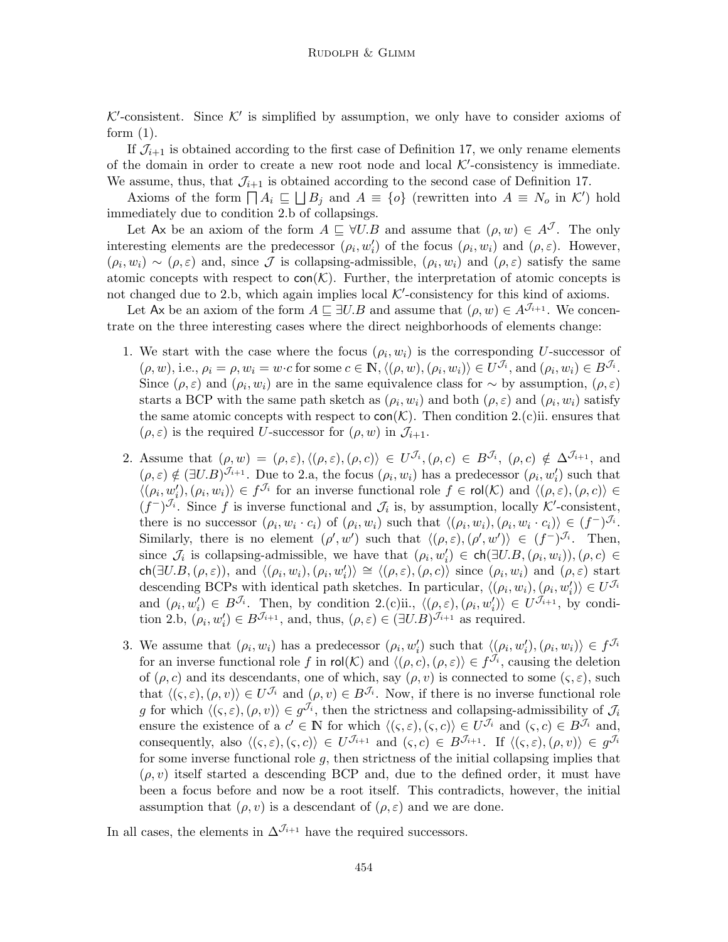$K'$ -consistent. Since  $K'$  is simplified by assumption, we only have to consider axioms of form  $(1)$ .

If  $\mathcal{J}_{i+1}$  is obtained according to the first case of Definition 17, we only rename elements of the domain in order to create a new root node and local  $K'$ -consistency is immediate. We assume, thus, that  $\mathcal{J}_{i+1}$  is obtained according to the second case of Definition 17.

Axioms of the form  $\prod A_i \subseteq \prod B_j$  and  $A \equiv \{o\}$  (rewritten into  $A \equiv N_o$  in K') hold immediately due to condition 2.b of collapsings.

Let Ax be an axiom of the form  $A \subseteq \forall U.B$  and assume that  $(\rho, w) \in A<sup>J</sup>$ . The only interesting elements are the predecessor  $(\rho_i, w'_i)$  of the focus  $(\rho_i, w_i)$  and  $(\rho, \varepsilon)$ . However,  $(\rho_i, w_i) \sim (\rho, \varepsilon)$  and, since  $\mathcal J$  is collapsing-admissible,  $(\rho_i, w_i)$  and  $(\rho, \varepsilon)$  satisfy the same atomic concepts with respect to  $con(\mathcal{K})$ . Further, the interpretation of atomic concepts is not changed due to 2.b, which again implies local  $K'$ -consistency for this kind of axioms.

Let Ax be an axiom of the form  $A \subseteq \exists U.B$  and assume that  $(\rho, w) \in A^{\mathcal{J}_{i+1}}$ . We concentrate on the three interesting cases where the direct neighborhoods of elements change:

- 1. We start with the case where the focus  $(\rho_i, w_i)$  is the corresponding U-successor of  $(\rho, w)$ , i.e.,  $\rho_i = \rho, w_i = w \cdot c$  for some  $c \in \mathbb{N}, \langle (\rho, w), (\rho_i, w_i) \rangle \in U^{\mathcal{J}_i}$ , and  $(\rho_i, w_i) \in B^{\mathcal{J}_i}$ . Since  $(\rho, \varepsilon)$  and  $(\rho_i, w_i)$  are in the same equivalence class for  $\sim$  by assumption,  $(\rho, \varepsilon)$ starts a BCP with the same path sketch as  $(\rho_i, w_i)$  and both  $(\rho, \varepsilon)$  and  $(\rho_i, w_i)$  satisfy the same atomic concepts with respect to  $con(\mathcal{K})$ . Then condition 2.(c)ii. ensures that  $(\rho, \varepsilon)$  is the required U-successor for  $(\rho, w)$  in  $\mathcal{J}_{i+1}$ .
- 2. Assume that  $(\rho, w) = (\rho, \varepsilon), \langle (\rho, \varepsilon), (\rho, c) \rangle \in U^{\mathcal{J}_i}, (\rho, c) \in B^{\mathcal{J}_i}, (\rho, c) \notin \Delta^{\mathcal{J}_{i+1}},$  and  $(\rho, \varepsilon) \notin (\exists U.B)^{\mathcal{J}_{i+1}}$ . Due to 2.a, the focus  $(\rho_i, w_i)$  has a predecessor  $(\rho_i, w_i')$  such that  $\langle (\rho_i, w'_i), (\rho_i, w_i) \rangle \in f^{\mathcal{J}_i}$  for an inverse functional role  $f \in \text{rol}(\mathcal{K})$  and  $\langle (\rho, \varepsilon), (\rho, c) \rangle \in$  $(f^-)^{\mathcal{J}_i}$ . Since f is inverse functional and  $\mathcal{J}_i$  is, by assumption, locally K'-consistent, there is no successor  $(\rho_i, w_i \cdot c_i)$  of  $(\rho_i, w_i)$  such that  $\langle (\rho_i, w_i), (\rho_i, w_i \cdot c_i) \rangle \in (f^{-})^{\mathcal{J}_i}$ . Similarly, there is no element  $(\rho', w')$  such that  $\langle (\rho, \varepsilon), (\rho', w') \rangle \in (f^{-})^{\mathcal{J}_{i}}$ . Then, since  $\mathcal{J}_i$  is collapsing-admissible, we have that  $(\rho_i, w'_i) \in \mathsf{ch}(\exists U.B, (\rho_i, w_i)), (\rho, c) \in$  $\mathsf{ch}(\exists U.B,(\rho,\varepsilon))$ , and  $\langle(\rho_i,w_i),(\rho_i,w'_i)\rangle \cong \langle(\rho,\varepsilon),(\rho,c)\rangle$  since  $(\rho_i,w_i)$  and  $(\rho,\varepsilon)$  start descending BCPs with identical path sketches. In particular,  $\langle (\rho_i, w_i), (\rho_i, w'_i) \rangle \in U^{\mathcal{J}_i}$ and  $(\rho_i, w'_i) \in B^{\mathcal{J}_i}$ . Then, by condition 2.(c)ii.,  $\langle (\rho, \varepsilon), (\rho_i, w'_i) \rangle \in U^{\mathcal{J}_{i+1}}$ , by condition 2.b,  $(\rho_i, w'_i) \in B^{\mathcal{J}_{i+1}}$ , and, thus,  $(\rho, \varepsilon) \in (\exists U.B)^{\mathcal{J}_{i+1}}$  as required.
- 3. We assume that  $(\rho_i, w_i)$  has a predecessor  $(\rho_i, w'_i)$  such that  $\langle (\rho_i, w'_i), (\rho_i, w_i) \rangle \in f^{\mathcal{J}_i}$ for an inverse functional role f in rol(K) and  $\langle (\rho, c), (\rho, \varepsilon) \rangle \in f^{\mathcal{J}_i}$ , causing the deletion of  $(\rho, c)$  and its descendants, one of which, say  $(\rho, v)$  is connected to some  $(\varsigma, \varepsilon)$ , such that  $\langle (\varsigma, \varepsilon),(\rho, v) \rangle \in U^{\mathcal{J}_i}$  and  $(\rho, v) \in B^{\mathcal{J}_i}$ . Now, if there is no inverse functional role g for which  $\langle (\zeta, \varepsilon), (\rho, v) \rangle \in g^{\mathcal{J}_i}$ , then the strictness and collapsing-admissibility of  $\mathcal{J}_i$ ensure the existence of a  $c' \in \mathbb{N}$  for which  $\langle (\zeta, \varepsilon), (\zeta, c) \rangle \in U^{\mathcal{J}_i}$  and  $(\zeta, c) \in B^{\mathcal{J}_i}$  and, consequently, also  $\langle (\varsigma, \varepsilon),(\varsigma, c) \rangle \in U^{\mathcal{J}_{i+1}}$  and  $(\varsigma, c) \in B^{\mathcal{J}_{i+1}}$ . If  $\langle (\varsigma, \varepsilon),(\rho, v) \rangle \in g^{\mathcal{J}_{i}}$ for some inverse functional role  $g$ , then strictness of the initial collapsing implies that  $(\rho, v)$  itself started a descending BCP and, due to the defined order, it must have been a focus before and now be a root itself. This contradicts, however, the initial assumption that  $(\rho, v)$  is a descendant of  $(\rho, \varepsilon)$  and we are done.

In all cases, the elements in  $\Delta^{J_{i+1}}$  have the required successors.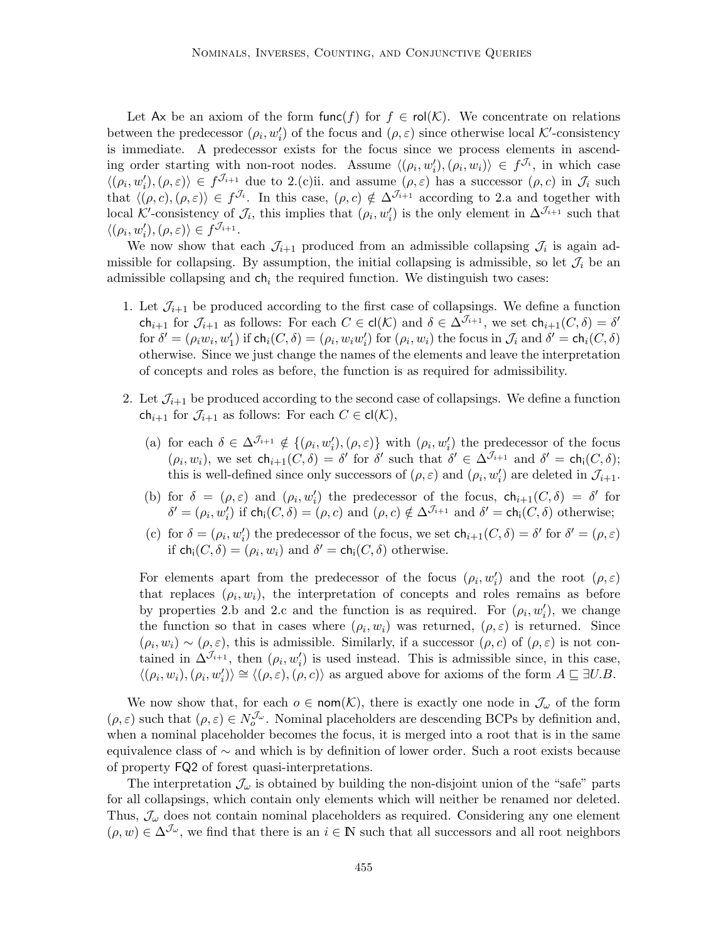Let Ax be an axiom of the form func(f) for  $f \in \text{rol}(\mathcal{K})$ . We concentrate on relations between the predecessor  $(\rho_i, w'_i)$  of the focus and  $(\rho, \varepsilon)$  since otherwise local K'-consistency is immediate. A predecessor exists for the focus since we process elements in ascending order starting with non-root nodes. Assume  $\langle (\rho_i, w'_i), (\rho_i, w_i) \rangle \in f^{\mathcal{J}_i}$ , in which case  $\langle (\rho_i, w'_i), (\rho, \varepsilon) \rangle \in f^{\mathcal{J}_{i+1}}$  due to 2.(c)ii. and assume  $(\rho, \varepsilon)$  has a successor  $(\rho, c)$  in  $\mathcal{J}_i$  such that  $\langle (\rho, c), (\rho, \varepsilon) \rangle \in f^{\mathcal{J}_i}$ . In this case,  $(\rho, c) \notin \Delta^{\mathcal{J}_{i+1}}$  according to 2.a and together with local K'-consistency of  $\mathcal{J}_i$ , this implies that  $(\rho_i, w'_i)$  is the only element in  $\Delta^{J_{i+1}}$  such that  $\langle (\rho_i, w'_i), (\rho, \varepsilon) \rangle \in f^{\mathcal{J}_{i+1}}.$ 

We now show that each  $\mathcal{J}_{i+1}$  produced from an admissible collapsing  $\mathcal{J}_i$  is again admissible for collapsing. By assumption, the initial collapsing is admissible, so let  $\mathcal{J}_i$  be an admissible collapsing and  $ch<sub>i</sub>$  the required function. We distinguish two cases:

- 1. Let  $\mathcal{J}_{i+1}$  be produced according to the first case of collapsings. We define a function ch<sub>i+1</sub> for  $\mathcal{J}_{i+1}$  as follows: For each  $C \in \mathsf{cl}(\mathcal{K})$  and  $\delta \in \Delta^{\mathcal{J}_{i+1}}$ , we set  $\mathsf{ch}_{i+1}(C, \delta) = \delta'$ for  $\delta' = (\rho_i w_i, w'_1)$  if  $\mathsf{ch}_i(C, \delta) = (\rho_i, w_i w'_i)$  for  $(\rho_i, w_i)$  the focus in  $\mathcal{J}_i$  and  $\delta' = \mathsf{ch}_i(C, \delta)$ otherwise. Since we just change the names of the elements and leave the interpretation of concepts and roles as before, the function is as required for admissibility.
- 2. Let  $\mathcal{J}_{i+1}$  be produced according to the second case of collapsings. We define a function  $ch_{i+1}$  for  $\mathcal{J}_{i+1}$  as follows: For each  $C \in cl(\mathcal{K}),$ 
	- (a) for each  $\delta \in \Delta^{J_{i+1}} \notin \{(\rho_i, w'_i), (\rho, \varepsilon)\}\$  with  $(\rho_i, w'_i)$  the predecessor of the focus  $(\rho_i, w_i)$ , we set  $\mathsf{ch}_{i+1}(C, \delta) = \delta'$  for  $\delta'$  such that  $\delta' \in \Delta^{J_{i+1}}$  and  $\delta' = \mathsf{ch}_i(C, \delta)$ ; this is well-defined since only successors of  $(\rho, \varepsilon)$  and  $(\rho_i, w'_i)$  are deleted in  $\mathcal{J}_{i+1}$ .
	- (b) for  $\delta = (\rho, \varepsilon)$  and  $(\rho_i, w'_i)$  the predecessor of the focus,  $\mathsf{ch}_{i+1}(C, \delta) = \delta'$  for  $\delta' = (\rho_i, w'_i)$  if  $\mathsf{ch}_i(C, \delta) = (\rho, c)$  and  $(\rho, c) \notin \Delta^{\mathcal{J}_{i+1}}$  and  $\delta' = \mathsf{ch}_i(C, \delta)$  otherwise;
	- (c) for  $\delta = (\rho_i, w'_i)$  the predecessor of the focus, we set  $\mathsf{ch}_{i+1}(C, \delta) = \delta'$  for  $\delta' = (\rho, \varepsilon)$ if  $\textsf{ch}_{i}(C, \delta) = (\rho_i, w_i)$  and  $\delta' = \textsf{ch}_{i}(C, \delta)$  otherwise.

For elements apart from the predecessor of the focus  $(\rho_i, w'_i)$  and the root  $(\rho, \varepsilon)$ that replaces  $(\rho_i, w_i)$ , the interpretation of concepts and roles remains as before by properties 2.b and 2.c and the function is as required. For  $(\rho_i, w'_i)$ , we change the function so that in cases where  $(\rho_i, w_i)$  was returned,  $(\rho, \varepsilon)$  is returned. Since  $(\rho_i, w_i) \sim (\rho, \varepsilon)$ , this is admissible. Similarly, if a successor  $(\rho, c)$  of  $(\rho, \varepsilon)$  is not contained in  $\Delta^{J_{i+1}}$ , then  $(\rho_i, w'_i)$  is used instead. This is admissible since, in this case,  $\langle (\rho_i, w_i), (\rho_i, w'_i) \rangle \cong \langle (\rho, \varepsilon), (\rho, c) \rangle$  as argued above for axioms of the form  $A \sqsubseteq \exists U.B.$ 

We now show that, for each  $o \in \text{nom}(\mathcal{K})$ , there is exactly one node in  $\mathcal{J}_{\omega}$  of the form  $(\rho, \varepsilon)$  such that  $(\rho, \varepsilon) \in N_o^{\mathcal{J}_{\omega}}$ . Nominal placeholders are descending BCPs by definition and, when a nominal placeholder becomes the focus, it is merged into a root that is in the same equivalence class of ∼ and which is by definition of lower order. Such a root exists because of property FQ2 of forest quasi-interpretations.

The interpretation  $\mathcal{J}_{\omega}$  is obtained by building the non-disjoint union of the "safe" parts for all collapsings, which contain only elements which will neither be renamed nor deleted. Thus,  $\mathcal{J}_{\omega}$  does not contain nominal placeholders as required. Considering any one element  $(\rho, w) \in \Delta^{\mathcal{J}_{\omega}}$ , we find that there is an  $i \in \mathbb{N}$  such that all successors and all root neighbors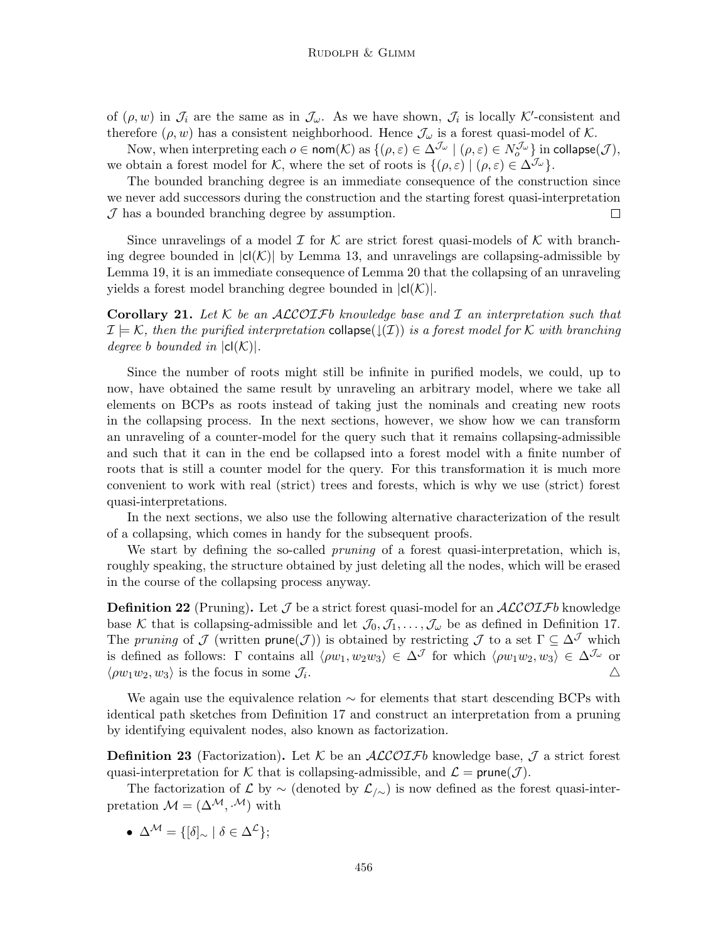of  $(\rho, w)$  in  $\mathcal{J}_i$  are the same as in  $\mathcal{J}_{\omega}$ . As we have shown,  $\mathcal{J}_i$  is locally K'-consistent and therefore  $(\rho, w)$  has a consistent neighborhood. Hence  $\mathcal{J}_{\omega}$  is a forest quasi-model of K.

Now, when interpreting each  $o \in \text{nom}(\mathcal{K})$  as  $\{(\rho, \varepsilon) \in \Delta^{\mathcal{J}_\omega} \mid (\rho, \varepsilon) \in N_o^{\mathcal{J}_\omega}\}\$  in  $\text{collapse}(\mathcal{J}),$ we obtain a forest model for K, where the set of roots is  $\{(\rho, \varepsilon) | (\rho, \varepsilon) \in \Delta^{J_{\omega}}\}.$ 

The bounded branching degree is an immediate consequence of the construction since we never add successors during the construction and the starting forest quasi-interpretation  $J$  has a bounded branching degree by assumption.  $\Box$ 

Since unravelings of a model  $\mathcal I$  for  $\mathcal K$  are strict forest quasi-models of  $\mathcal K$  with branching degree bounded in  $|c|(\mathcal{K})|$  by Lemma 13, and unravelings are collapsing-admissible by Lemma 19, it is an immediate consequence of Lemma 20 that the collapsing of an unraveling yields a forest model branching degree bounded in  $|cl(K)|$ .

**Corollary 21.** Let  $K$  be an  $ALCOIFb$  knowledge base and  $I$  an interpretation such that  $\mathcal{I} \models \mathcal{K}$ , then the purified interpretation collapse( $\downarrow(\mathcal{I})$ ) is a forest model for K with branching degree b bounded in  $|cl(K)|$ .

Since the number of roots might still be infinite in purified models, we could, up to now, have obtained the same result by unraveling an arbitrary model, where we take all elements on BCPs as roots instead of taking just the nominals and creating new roots in the collapsing process. In the next sections, however, we show how we can transform an unraveling of a counter-model for the query such that it remains collapsing-admissible and such that it can in the end be collapsed into a forest model with a finite number of roots that is still a counter model for the query. For this transformation it is much more convenient to work with real (strict) trees and forests, which is why we use (strict) forest quasi-interpretations.

In the next sections, we also use the following alternative characterization of the result of a collapsing, which comes in handy for the subsequent proofs.

We start by defining the so-called *pruning* of a forest quasi-interpretation, which is, roughly speaking, the structure obtained by just deleting all the nodes, which will be erased in the course of the collapsing process anyway.

**Definition 22** (Pruning). Let  $\mathcal J$  be a strict forest quasi-model for an  $\mathcal{ALCOLF}b$  knowledge base K that is collapsing-admissible and let  $\mathcal{J}_0, \mathcal{J}_1, \ldots, \mathcal{J}_\omega$  be as defined in Definition 17. The pruning of  $\mathcal J$  (written prune( $\mathcal J$ )) is obtained by restricting  $\mathcal J$  to a set  $\Gamma \subseteq \Delta^{\mathcal J}$  which is defined as follows: Γ contains all  $\langle \rho w_1, w_2w_3 \rangle \in \Delta^{\mathcal{J}}$  for which  $\langle \rho w_1w_2, w_3 \rangle \in \Delta^{\mathcal{J}}$  or  $\langle \rho w_1 w_2, w_3 \rangle$  is the focus in some  $\mathcal{J}_i$ . . And the contract of the contract of  $\Delta$ 

We again use the equivalence relation  $\sim$  for elements that start descending BCPs with identical path sketches from Definition 17 and construct an interpretation from a pruning by identifying equivalent nodes, also known as factorization.

**Definition 23** (Factorization). Let K be an  $ALCOTFb$  knowledge base, J a strict forest quasi-interpretation for K that is collapsing-admissible, and  $\mathcal{L} = \text{prune}(\mathcal{J})$ .

The factorization of  $\mathcal{L}$  by  $\sim$  (denoted by  $\mathcal{L}_{/\sim}$ ) is now defined as the forest quasi-interpretation  $\mathcal{M} = (\Delta^{\mathcal{M}}, \cdot^{\mathcal{M}})$  with

•  $\Delta^{\mathcal{M}} = \{ [\delta]_{\sim} \mid \delta \in \Delta^{\mathcal{L}} \};$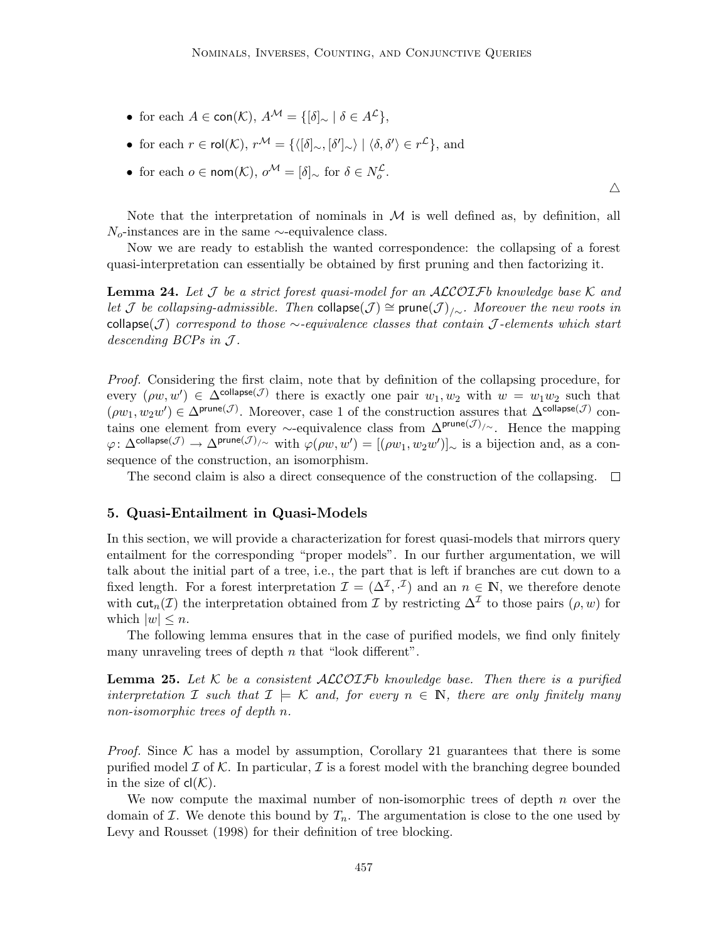• for each  $A \in \text{con}(\mathcal{K}), A^{\mathcal{M}} = \{[\delta]_{\sim} \mid \delta \in A^{\mathcal{L}}\},\$ 

• for each 
$$
r \in \text{rol}(\mathcal{K})
$$
,  $r^{\mathcal{M}} = \{ \langle [\delta]_{\sim}, [\delta']_{\sim} \rangle \mid \langle \delta, \delta' \rangle \in r^{\mathcal{L}} \}$ , and

• for each  $o \in \text{nom}(\mathcal{K}), o^{\mathcal{M}} = [\delta]_{\sim}$  for  $\delta \in N_o^{\mathcal{L}}$ .

Note that the interpretation of nominals in  $M$  is well defined as, by definition, all  $N_o$ -instances are in the same ∼-equivalence class.

 $\triangle$ 

Now we are ready to establish the wanted correspondence: the collapsing of a forest quasi-interpretation can essentially be obtained by first pruning and then factorizing it.

**Lemma 24.** Let J be a strict forest quasi-model for an ALCOIFb knowledge base K and let J be collapsing-admissible. Then collapse(J)  $\cong$  prune(J)<sub>/∼</sub>. Moreover the new roots in collapse(J) correspond to those  $\sim$ -equivalence classes that contain J-elements which start descending  $BCPs$  in  $J$ .

Proof. Considering the first claim, note that by definition of the collapsing procedure, for every  $(\rho w, w') \in \Delta^{\text{collapse}}(\mathcal{J})$  there is exactly one pair  $w_1, w_2$  with  $w = w_1w_2$  such that  $(\rho w_1, w_2 w') \in \Delta^{\text{prune}(\mathcal{J})}$ . Moreover, case 1 of the construction assures that  $\Delta^{\text{collapse}(\mathcal{J})}$  contains one element from every  $\sim$ -equivalence class from  $\Delta^{\text{prune}(\mathcal{J})/\sim}$ . Hence the mapping  $\varphi\colon \Delta^{\mathsf{collapse}}(\mathcal{J}) \to \Delta^{\mathsf{prune}(\mathcal{J})/\sim}$  with  $\varphi(\rho w, w') = [(\rho w_1, w_2w')]_{\sim}$  is a bijection and, as a consequence of the construction, an isomorphism.

The second claim is also a direct consequence of the construction of the collapsing.  $\Box$ 

# 5. Quasi-Entailment in Quasi-Models

In this section, we will provide a characterization for forest quasi-models that mirrors query entailment for the corresponding "proper models". In our further argumentation, we will talk about the initial part of a tree, i.e., the part that is left if branches are cut down to a fixed length. For a forest interpretation  $\mathcal{I} = (\Delta^{\mathcal{I}}, \mathcal{I})$  and an  $n \in \mathbb{N}$ , we therefore denote with cut<sub>n</sub>(*I*) the interpretation obtained from *I* by restricting  $\Delta^{\mathcal{I}}$  to those pairs (*ρ*, *w*) for which  $|w| \leq n$ .

The following lemma ensures that in the case of purified models, we find only finitely many unraveling trees of depth  $n$  that "look different".

**Lemma 25.** Let K be a consistent  $ALCOTFb$  knowledge base. Then there is a purified interpretation I such that  $\mathcal{I} \models \mathcal{K}$  and, for every  $n \in \mathbb{N}$ , there are only finitely many non-isomorphic trees of depth n.

*Proof.* Since  $K$  has a model by assumption, Corollary 21 guarantees that there is some purified model  $\mathcal I$  of  $\mathcal K$ . In particular,  $\mathcal I$  is a forest model with the branching degree bounded in the size of  $cl(K)$ .

We now compute the maximal number of non-isomorphic trees of depth  $n$  over the domain of  $\mathcal I$ . We denote this bound by  $T_n$ . The argumentation is close to the one used by Levy and Rousset (1998) for their definition of tree blocking.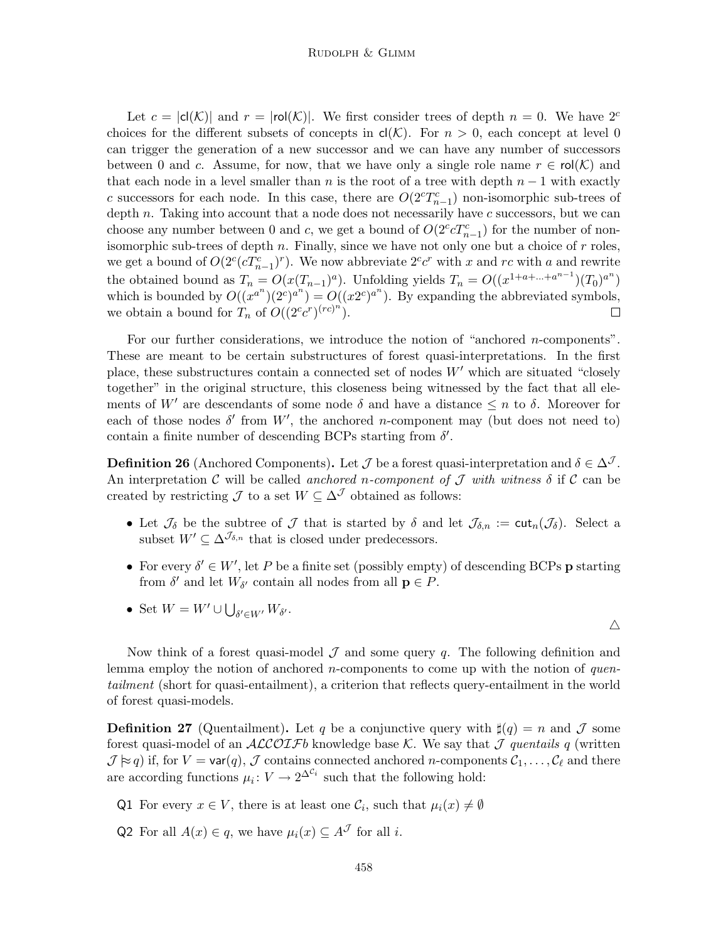Let  $c = |c|(\mathcal{K})|$  and  $r = |c|(\mathcal{K})|$ . We first consider trees of depth  $n = 0$ . We have  $2^c$ choices for the different subsets of concepts in  $cl(K)$ . For  $n > 0$ , each concept at level 0 can trigger the generation of a new successor and we can have any number of successors between 0 and c. Assume, for now, that we have only a single role name  $r \in \text{rol}(\mathcal{K})$  and that each node in a level smaller than n is the root of a tree with depth  $n-1$  with exactly c successors for each node. In this case, there are  $O(2<sup>c</sup>T<sub>n-1</sub><sup>c</sup>)$  non-isomorphic sub-trees of depth  $n$ . Taking into account that a node does not necessarily have  $c$  successors, but we can choose any number between 0 and c, we get a bound of  $O(2^c c T_{n-1}^c)$  for the number of nonisomorphic sub-trees of depth  $n$ . Finally, since we have not only one but a choice of  $r$  roles, we get a bound of  $O(2^c(cT_{n-1}^c)^r)$ . We now abbreviate  $2^c c^r$  with x and rc with a and rewrite the obtained bound as  $T_n = O(x(T_{n-1})^a)$ . Unfolding yields  $T_n = O((x^{1+a+\ldots+a^{n-1}})(T_0)^{a^n})$ which is bounded by  $O((x^{a^n})(2^c)^{a^n}) = O((x2^c)^{a^n})$ . By expanding the abbreviated symbols, we obtain a bound for  $T_n$  of  $O((2^c c^r)^{(rc)^n})$ . П

For our further considerations, we introduce the notion of "anchored n-components". These are meant to be certain substructures of forest quasi-interpretations. In the first place, these substructures contain a connected set of nodes  $W'$  which are situated "closely together" in the original structure, this closeness being witnessed by the fact that all elements of W' are descendants of some node  $\delta$  and have a distance  $\leq n$  to  $\delta$ . Moreover for each of those nodes  $\delta'$  from  $W'$ , the anchored *n*-component may (but does not need to) contain a finite number of descending BCPs starting from  $\delta'$ .

**Definition 26** (Anchored Components). Let  $\mathcal{J}$  be a forest quasi-interpretation and  $\delta \in \Delta^{\mathcal{J}}$ . An interpretation C will be called anchored n-component of J with witness  $\delta$  if C can be created by restricting  $\mathcal J$  to a set  $W \subseteq \Delta^{\mathcal J}$  obtained as follows:

- Let  $\mathcal{J}_{\delta}$  be the subtree of  $\mathcal J$  that is started by  $\delta$  and let  $\mathcal{J}_{\delta,n} := \text{cut}_n(\mathcal{J}_{\delta})$ . Select a subset  $W' \subset \Delta^{\mathcal{J}_{\delta,n}}$  that is closed under predecessors.
- For every  $\delta' \in W'$ , let P be a finite set (possibly empty) of descending BCPs **p** starting from  $\delta'$  and let  $W_{\delta'}$  contain all nodes from all  $\mathbf{p} \in P$ .

 $\triangle$ 

• Set  $W = W' \cup \bigcup_{\delta' \in W'} W_{\delta'}$ .

Now think of a forest quasi-model  $\mathcal J$  and some query  $q$ . The following definition and lemma employ the notion of anchored *n*-components to come up with the notion of *quen*tailment (short for quasi-entailment), a criterion that reflects query-entailment in the world of forest quasi-models.

**Definition 27** (Quentailment). Let q be a conjunctive query with  $\sharp(q) = n$  and  $\mathcal{J}$  some forest quasi-model of an  $ALCOIFb$  knowledge base K. We say that J quentails q (written  $\mathcal{J} \approx q$ ) if, for  $V = \text{var}(q)$ ,  $\mathcal{J}$  contains connected anchored n-components  $\mathcal{C}_1, \ldots, \mathcal{C}_\ell$  and there are according functions  $\mu_i: V \to 2^{\Delta^{c_i}}$  such that the following hold:

- Q1 For every  $x \in V$ , there is at least one  $\mathcal{C}_i$ , such that  $\mu_i(x) \neq \emptyset$
- Q2 For all  $A(x) \in q$ , we have  $\mu_i(x) \subset A^{\mathcal{J}}$  for all *i*.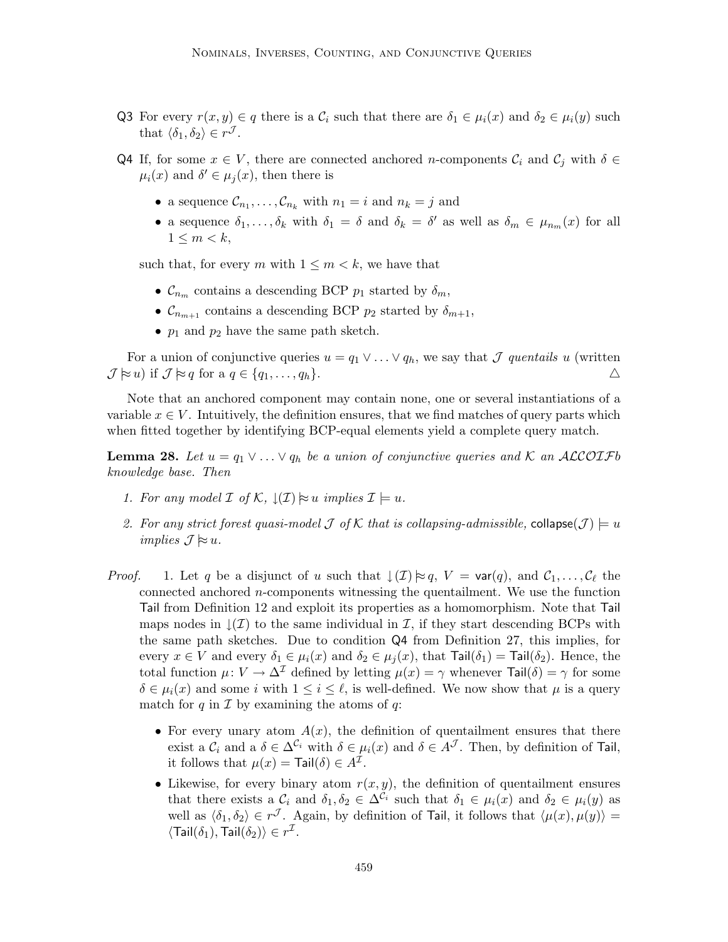- Q3 For every  $r(x, y) \in q$  there is a  $\mathcal{C}_i$  such that there are  $\delta_1 \in \mu_i(x)$  and  $\delta_2 \in \mu_i(y)$  such that  $\langle \delta_1, \delta_2 \rangle \in r^{\mathcal{J}}$ .
- Q4 If, for some  $x \in V$ , there are connected anchored *n*-components  $\mathcal{C}_i$  and  $\mathcal{C}_j$  with  $\delta \in$  $\mu_i(x)$  and  $\delta' \in \mu_j(x)$ , then there is
	- a sequence  $\mathcal{C}_{n_1}, \ldots, \mathcal{C}_{n_k}$  with  $n_1 = i$  and  $n_k = j$  and
	- a sequence  $\delta_1,\ldots,\delta_k$  with  $\delta_1 = \delta$  and  $\delta_k = \delta'$  as well as  $\delta_m \in \mu_{n_m}(x)$  for all  $1 \leq m \leq k$ .

such that, for every m with  $1 \leq m < k$ , we have that

- $\mathcal{C}_{n_m}$  contains a descending BCP  $p_1$  started by  $\delta_m$ ,
- $\mathcal{C}_{n_{m+1}}$  contains a descending BCP  $p_2$  started by  $\delta_{m+1}$ ,
- $p_1$  and  $p_2$  have the same path sketch.

For a union of conjunctive queries  $u = q_1 \vee \ldots \vee q_h$ , we say that  $\mathcal J$  quentails u (written  $\mathcal{J} \approx u$ ) if  $\mathcal{J} \approx q$  for a  $q \in \{q_1, \ldots, q_h\}.$ 

Note that an anchored component may contain none, one or several instantiations of a variable  $x \in V$ . Intuitively, the definition ensures, that we find matches of query parts which when fitted together by identifying BCP-equal elements yield a complete query match.

**Lemma 28.** Let  $u = q_1 \vee \ldots \vee q_h$  be a union of conjunctive queries and K an ALCOIFb knowledge base. Then

- 1. For any model  $\mathcal I$  of  $\mathcal K$ ,  $\mathcal I(\mathcal I) \approx u$  implies  $\mathcal I \models u$ .
- 2. For any strict forest quasi-model J of K that is collapsing-admissible, collapse $(\mathcal{J}) \models u$ implies  $\mathcal{J} \approx u$ .
- *Proof.* 1. Let q be a disjunct of u such that  $\downarrow$   $(\mathcal{I}) \approx q$ ,  $V = \text{var}(q)$ , and  $\mathcal{C}_1, \ldots, \mathcal{C}_\ell$  the connected anchored n-components witnessing the quentailment. We use the function Tail from Definition 12 and exploit its properties as a homomorphism. Note that Tail maps nodes in  $\mathcal{L}(\mathcal{I})$  to the same individual in  $\mathcal{I}$ , if they start descending BCPs with the same path sketches. Due to condition Q4 from Definition 27, this implies, for every  $x \in V$  and every  $\delta_1 \in \mu_i(x)$  and  $\delta_2 \in \mu_i(x)$ , that  $\text{Tail}(\delta_1) = \text{Tail}(\delta_2)$ . Hence, the total function  $\mu: V \to \Delta^{\mathcal{I}}$  defined by letting  $\mu(x) = \gamma$  whenever  $\text{Tail}(\delta) = \gamma$  for some  $\delta \in \mu_i(x)$  and some i with  $1 \leq i \leq \ell$ , is well-defined. We now show that  $\mu$  is a query match for  $q$  in  $\mathcal I$  by examining the atoms of  $q$ :
	- For every unary atom  $A(x)$ , the definition of quentailment ensures that there exist a  $\mathcal{C}_i$  and a  $\delta \in \Delta^{\mathcal{C}_i}$  with  $\delta \in \mu_i(x)$  and  $\delta \in A^{\mathcal{J}}$ . Then, by definition of Tail, it follows that  $\mu(x) = \text{Tail}(\delta) \in A^{\mathcal{I}}$ .
	- Likewise, for every binary atom  $r(x, y)$ , the definition of quentailment ensures that there exists a  $\mathcal{C}_i$  and  $\delta_1, \delta_2 \in \Delta^{\mathcal{C}_i}$  such that  $\delta_1 \in \mu_i(x)$  and  $\delta_2 \in \mu_i(y)$  as well as  $\langle \delta_1, \delta_2 \rangle \in r^{\mathcal{J}}$ . Again, by definition of Tail, it follows that  $\langle \mu(x), \mu(y) \rangle =$  $\langle \textsf{Tail}(\delta_1),\textsf{Tail}(\delta_2)\rangle \in r^{\mathcal{I}}.$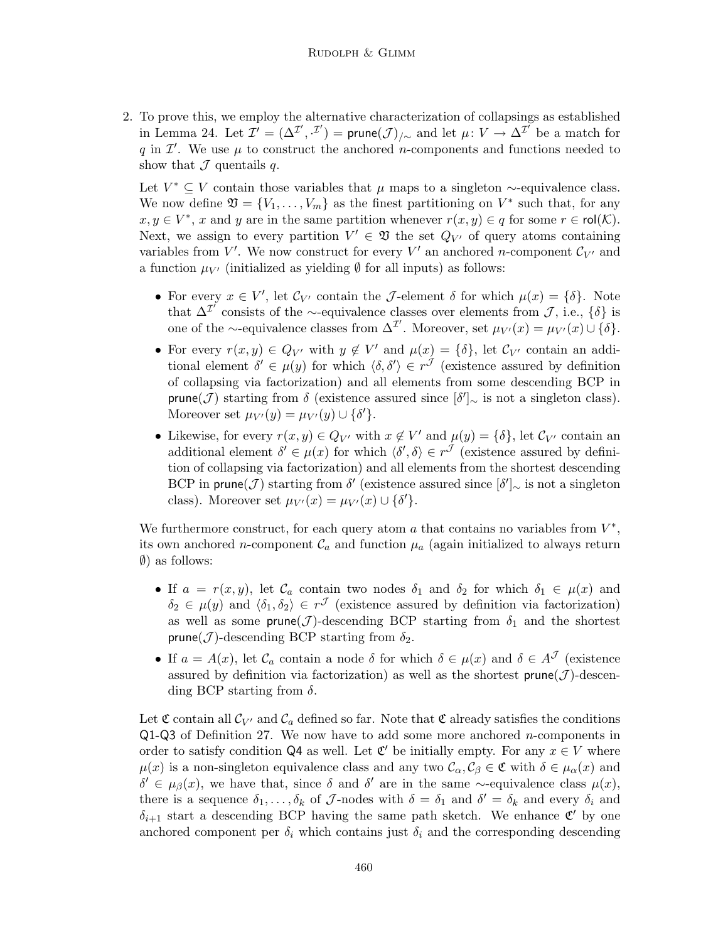2. To prove this, we employ the alternative characterization of collapsings as established in Lemma 24. Let  $\mathcal{I}' = (\Delta^{\mathcal{I}'}, \cdot^{\mathcal{I}'}) = \text{prune}(\mathcal{J})_{/\sim}$  and let  $\mu \colon V \to \Delta^{\mathcal{I}'}$  be a match for q in  $\mathcal{I}'$ . We use  $\mu$  to construct the anchored n-components and functions needed to show that  $\mathcal J$  quentails q.

Let  $V^* \subseteq V$  contain those variables that  $\mu$  maps to a singleton ∼-equivalence class. We now define  $\mathfrak{V} = \{V_1, \ldots, V_m\}$  as the finest partitioning on  $V^*$  such that, for any  $x, y \in V^*$ , x and y are in the same partition whenever  $r(x, y) \in q$  for some  $r \in \text{rol}(\mathcal{K})$ . Next, we assign to every partition  $V' \in \mathfrak{V}$  the set  $Q_{V'}$  of query atoms containing variables from  $V'$ . We now construct for every  $V'$  an anchored *n*-component  $\mathcal{C}_{V'}$  and a function  $\mu_{V'}$  (initialized as yielding  $\emptyset$  for all inputs) as follows:

- For every  $x \in V'$ , let  $\mathcal{C}_{V'}$  contain the *J*-element  $\delta$  for which  $\mu(x) = {\delta}$ . Note that  $\Delta^{\mathcal{I}'}$  consists of the ∼-equivalence classes over elements from  $\mathcal{J}$ , i.e.,  $\{\delta\}$  is one of the ∼-equivalence classes from  $\Delta^{\mathcal{I}}$ . Moreover, set  $\mu_{V'}(x) = \mu_{V'}(x) \cup {\delta}.$
- For every  $r(x, y) \in Q_{V'}$  with  $y \notin V'$  and  $\mu(x) = {\delta}$ , let  $\mathcal{C}_{V'}$  contain an additional element  $\delta' \in \mu(y)$  for which  $\langle \delta, \delta' \rangle \in r^{\mathcal{J}}$  (existence assured by definition of collapsing via factorization) and all elements from some descending BCP in prune(*J*) starting from  $\delta$  (existence assured since  $[\delta']_{\sim}$  is not a singleton class). Moreover set  $\mu_{V'}(y) = \mu_{V'}(y) \cup \{\delta'\}.$
- Likewise, for every  $r(x, y) \in Q_{V'}$  with  $x \notin V'$  and  $\mu(y) = {\delta}$ , let  $C_{V'}$  contain an additional element  $\delta' \in \mu(x)$  for which  $\langle \delta', \delta \rangle \in r^{\mathcal{J}}$  (existence assured by definition of collapsing via factorization) and all elements from the shortest descending BCP in prune(*J*) starting from  $\delta'$  (existence assured since  $[\delta']_{\sim}$  is not a singleton class). Moreover set  $\mu_{V'}(x) = \mu_{V'}(x) \cup \{\delta'\}.$

We furthermore construct, for each query atom  $a$  that contains no variables from  $V^*$ , its own anchored *n*-component  $\mathcal{C}_a$  and function  $\mu_a$  (again initialized to always return ∅) as follows:

- If  $a = r(x, y)$ , let  $\mathcal{C}_a$  contain two nodes  $\delta_1$  and  $\delta_2$  for which  $\delta_1 \in \mu(x)$  and  $\delta_2 \in \mu(y)$  and  $\langle \delta_1, \delta_2 \rangle \in r^{\mathcal{J}}$  (existence assured by definition via factorization) as well as some prune( $J$ )-descending BCP starting from  $\delta_1$  and the shortest prune( $\mathcal{J}$ )-descending BCP starting from  $\delta_2$ .
- If  $a = A(x)$ , let  $\mathcal{C}_a$  contain a node  $\delta$  for which  $\delta \in \mu(x)$  and  $\delta \in A^{\mathcal{J}}$  (existence assured by definition via factorization) as well as the shortest  $prune(\mathcal{J})$ -descending BCP starting from  $\delta$ .

Let  $\mathfrak C$  contain all  $\mathcal C_{V'}$  and  $\mathcal C_a$  defined so far. Note that  $\mathfrak C$  already satisfies the conditions  $Q1-Q3$  of Definition 27. We now have to add some more anchored *n*-components in order to satisfy condition Q4 as well. Let  $\mathfrak{C}'$  be initially empty. For any  $x \in V$  where  $\mu(x)$  is a non-singleton equivalence class and any two  $\mathcal{C}_{\alpha}, \mathcal{C}_{\beta} \in \mathfrak{C}$  with  $\delta \in \mu_{\alpha}(x)$  and  $\delta' \in \mu_{\beta}(x)$ , we have that, since  $\delta$  and  $\delta'$  are in the same ~-equivalence class  $\mu(x)$ , there is a sequence  $\delta_1, \ldots, \delta_k$  of J-nodes with  $\delta = \delta_1$  and  $\delta' = \delta_k$  and every  $\delta_i$  and  $\delta_{i+1}$  start a descending BCP having the same path sketch. We enhance  $\mathfrak{C}'$  by one anchored component per  $\delta_i$  which contains just  $\delta_i$  and the corresponding descending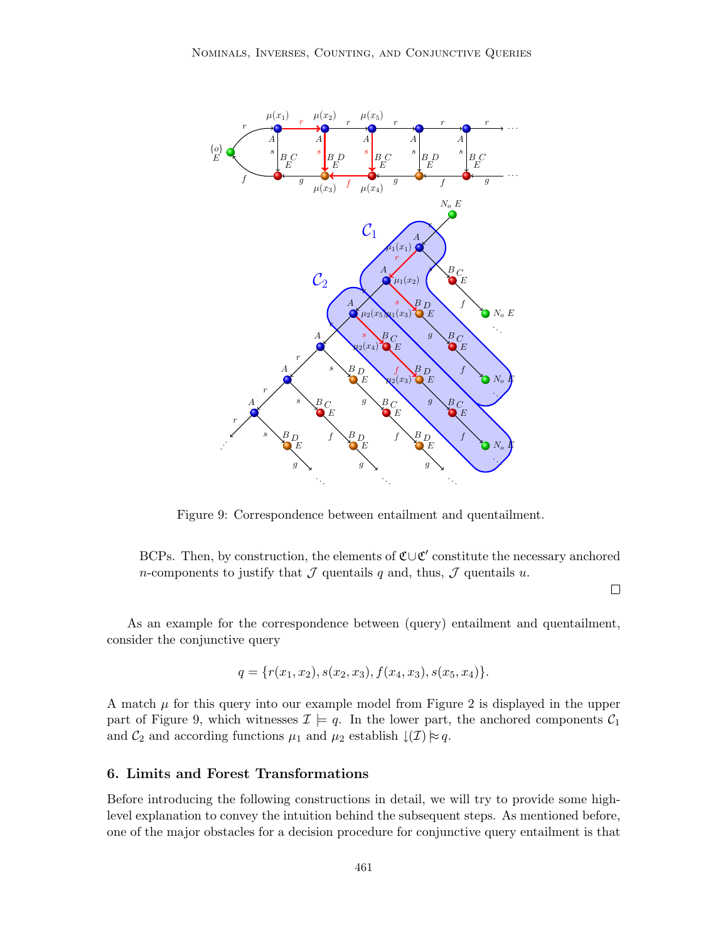

Figure 9: Correspondence between entailment and quentailment.

BCPs. Then, by construction, the elements of  $\mathfrak{C}\cup \mathfrak{C}'$  constitute the necessary anchored *n*-components to justify that  $\mathcal J$  quentails  $q$  and, thus,  $\mathcal J$  quentails  $u$ .

 $\Box$ 

As an example for the correspondence between (query) entailment and quentailment, consider the conjunctive query

$$
q = \{r(x_1, x_2), s(x_2, x_3), f(x_4, x_3), s(x_5, x_4)\}.
$$

A match  $\mu$  for this query into our example model from Figure 2 is displayed in the upper part of Figure 9, which witnesses  $\mathcal{I} \models q$ . In the lower part, the anchored components  $\mathcal{C}_1$ and  $C_2$  and according functions  $\mu_1$  and  $\mu_2$  establish  $\downarrow(\mathcal{I})\approx q$ .

# 6. Limits and Forest Transformations

Before introducing the following constructions in detail, we will try to provide some highlevel explanation to convey the intuition behind the subsequent steps. As mentioned before, one of the major obstacles for a decision procedure for conjunctive query entailment is that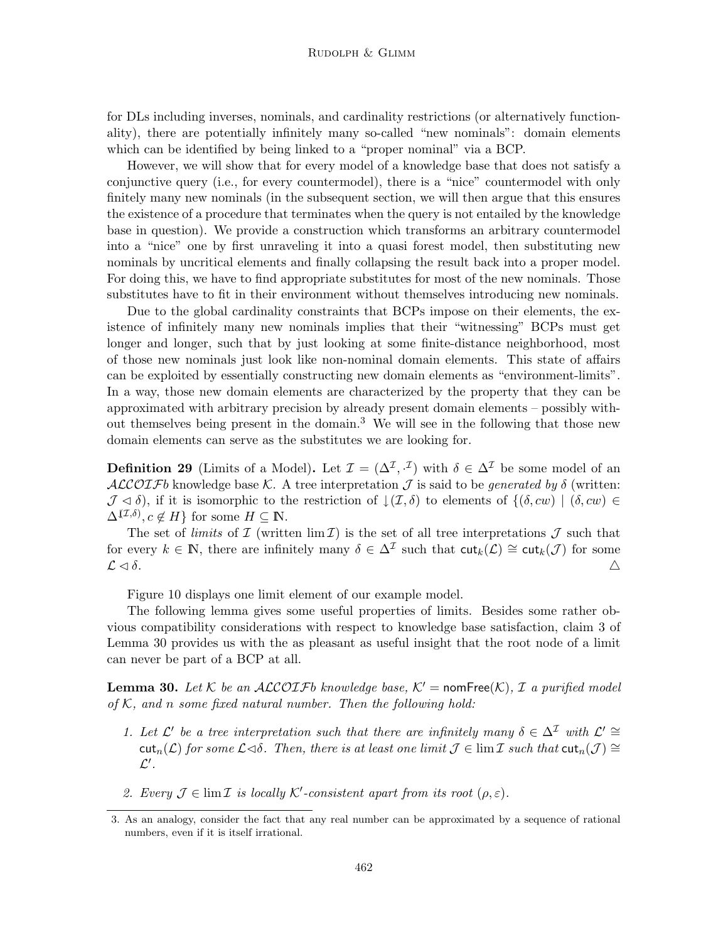for DLs including inverses, nominals, and cardinality restrictions (or alternatively functionality), there are potentially infinitely many so-called "new nominals": domain elements which can be identified by being linked to a "proper nominal" via a BCP.

However, we will show that for every model of a knowledge base that does not satisfy a conjunctive query (i.e., for every countermodel), there is a "nice" countermodel with only finitely many new nominals (in the subsequent section, we will then argue that this ensures the existence of a procedure that terminates when the query is not entailed by the knowledge base in question). We provide a construction which transforms an arbitrary countermodel into a "nice" one by first unraveling it into a quasi forest model, then substituting new nominals by uncritical elements and finally collapsing the result back into a proper model. For doing this, we have to find appropriate substitutes for most of the new nominals. Those substitutes have to fit in their environment without themselves introducing new nominals.

Due to the global cardinality constraints that BCPs impose on their elements, the existence of infinitely many new nominals implies that their "witnessing" BCPs must get longer and longer, such that by just looking at some finite-distance neighborhood, most of those new nominals just look like non-nominal domain elements. This state of affairs can be exploited by essentially constructing new domain elements as "environment-limits". In a way, those new domain elements are characterized by the property that they can be approximated with arbitrary precision by already present domain elements – possibly without themselves being present in the domain.<sup>3</sup> We will see in the following that those new domain elements can serve as the substitutes we are looking for.

**Definition 29** (Limits of a Model). Let  $\mathcal{I} = (\Delta^{\mathcal{I}}, \cdot^{\mathcal{I}})$  with  $\delta \in \Delta^{\mathcal{I}}$  be some model of an ALCOIFb knowledge base K. A tree interpretation  $\mathcal J$  is said to be generated by  $\delta$  (written:  $\mathcal{J} \lhd \delta$ , if it is isomorphic to the restriction of  $\downarrow (\mathcal{I}, \delta)$  to elements of  $\{(\delta, cw) | (\delta, cw) \in$  $\Delta^{(\mathcal{I},\delta)}, c \notin H$ } for some  $H \subseteq \mathbb{N}$ .

The set of *limits* of  $\mathcal I$  (written lim  $\mathcal I$ ) is the set of all tree interpretations  $\mathcal J$  such that for every  $k \in \mathbb{N}$ , there are infinitely many  $\delta \in \Delta^{\mathcal{I}}$  such that  $\text{cut}_k(\mathcal{L}) \cong \text{cut}_k(\mathcal{J})$  for some  $\mathcal{L} \lhd \delta$ .

Figure 10 displays one limit element of our example model.

The following lemma gives some useful properties of limits. Besides some rather obvious compatibility considerations with respect to knowledge base satisfaction, claim 3 of Lemma 30 provides us with the as pleasant as useful insight that the root node of a limit can never be part of a BCP at all.

**Lemma 30.** Let K be an ALCOIFb knowledge base,  $K'$  = nomFree(K), I a purified model of  $K$ , and n some fixed natural number. Then the following hold:

- 1. Let  $\mathcal{L}'$  be a tree interpretation such that there are infinitely many  $\delta \in \Delta^{\mathcal{I}}$  with  $\mathcal{L}' \cong$ cut<sub>n</sub>( $\mathcal{L}$ ) for some  $\mathcal{L}\triangleleft\delta$ . Then, there is at least one limit  $\mathcal{J} \in \lim \mathcal{I}$  such that  $\text{cut}_n(\mathcal{J}) \cong$  $\mathcal{L}'$  .
- 2. Every  $\mathcal{J} \in \lim \mathcal{I}$  is locally K'-consistent apart from its root  $(\rho, \varepsilon)$ .

<sup>3.</sup> As an analogy, consider the fact that any real number can be approximated by a sequence of rational numbers, even if it is itself irrational.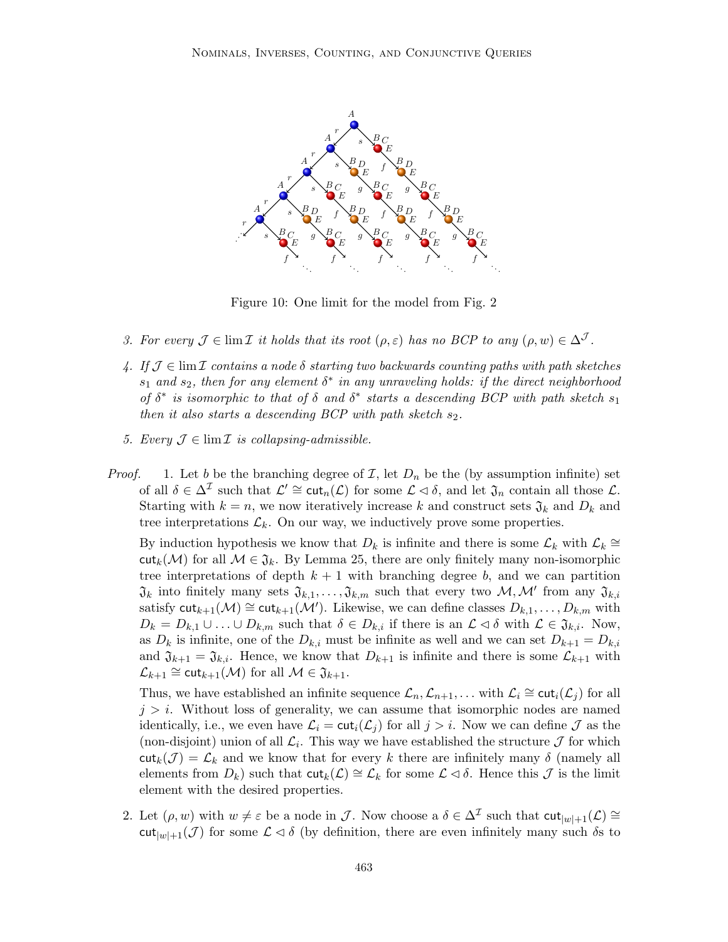

Figure 10: One limit for the model from Fig. 2

- 3. For every  $\mathcal{J} \in \lim \mathcal{I}$  it holds that its root  $(\rho, \varepsilon)$  has no BCP to any  $(\rho, w) \in \Delta^{\mathcal{J}}$ .
- 4. If  $\mathcal{J} \in \text{lim }\mathcal{I}$  contains a node  $\delta$  starting two backwards counting paths with path sketches  $s_1$  and  $s_2$ , then for any element  $\delta^*$  in any unraveling holds: if the direct neighborhood of  $\delta^*$  is isomorphic to that of  $\delta$  and  $\delta^*$  starts a descending BCP with path sketch  $s_1$ then it also starts a descending  $BCP$  with path sketch  $s_2$ .
- 5. Every  $\mathcal{J} \in \lim \mathcal{I}$  is collapsing-admissible.
- *Proof.* 1. Let b be the branching degree of  $\mathcal{I}$ , let  $D_n$  be the (by assumption infinite) set of all  $\delta \in \Delta^{\mathcal{I}}$  such that  $\mathcal{L}' \cong \text{cut}_n(\mathcal{L})$  for some  $\mathcal{L} \lhd \delta$ , and let  $\mathfrak{J}_n$  contain all those  $\mathcal{L}$ . Starting with  $k = n$ , we now iteratively increase k and construct sets  $\mathfrak{J}_k$  and  $D_k$  and tree interpretations  $\mathcal{L}_k$ . On our way, we inductively prove some properties.

By induction hypothesis we know that  $D_k$  is infinite and there is some  $\mathcal{L}_k$  with  $\mathcal{L}_k \cong$ cut<sub>k</sub>(M) for all  $\mathcal{M} \in \mathfrak{J}_k$ . By Lemma 25, there are only finitely many non-isomorphic tree interpretations of depth  $k + 1$  with branching degree b, and we can partition  $\mathfrak{J}_k$  into finitely many sets  $\mathfrak{J}_{k,1},\ldots,\mathfrak{J}_{k,m}$  such that every two  $\mathcal{M},\mathcal{M}'$  from any  $\mathfrak{J}_{k,i}$ satisfy  $\text{cut}_{k+1}(\mathcal{M}) \cong \text{cut}_{k+1}(\mathcal{M}')$ . Likewise, we can define classes  $D_{k,1}, \ldots, D_{k,m}$  with  $D_k = D_{k,1} \cup \ldots \cup D_{k,m}$  such that  $\delta \in D_{k,i}$  if there is an  $\mathcal{L} \lhd \delta$  with  $\mathcal{L} \in \mathfrak{J}_{k,i}$ . Now, as  $D_k$  is infinite, one of the  $D_{k,i}$  must be infinite as well and we can set  $D_{k+1} = D_{k,i}$ and  $\mathfrak{J}_{k+1} = \mathfrak{J}_{k,i}$ . Hence, we know that  $D_{k+1}$  is infinite and there is some  $\mathcal{L}_{k+1}$  with  $\mathcal{L}_{k+1} \cong {\sf cut}_{k+1}(\mathcal{M})$  for all  $\mathcal{M} \in \mathfrak{J}_{k+1}$ .

Thus, we have established an infinite sequence  $\mathcal{L}_n, \mathcal{L}_{n+1}, \ldots$  with  $\mathcal{L}_i \cong \text{cut}_i(\mathcal{L}_j)$  for all  $j > i$ . Without loss of generality, we can assume that isomorphic nodes are named identically, i.e., we even have  $\mathcal{L}_i = \text{cut}_i(\mathcal{L}_j)$  for all  $j > i$ . Now we can define  $\mathcal J$  as the (non-disjoint) union of all  $\mathcal{L}_i$ . This way we have established the structure  $\mathcal J$  for which  $\text{cut}_k(\mathcal{J}) = \mathcal{L}_k$  and we know that for every k there are infinitely many  $\delta$  (namely all elements from  $D_k$ ) such that  $\text{cut}_k(\mathcal{L}) \cong \mathcal{L}_k$  for some  $\mathcal{L} \triangleleft \delta$ . Hence this  $\mathcal{J}$  is the limit element with the desired properties.

2. Let  $(\rho, w)$  with  $w \neq \varepsilon$  be a node in  $\mathcal{J}$ . Now choose a  $\delta \in \Delta^{\mathcal{I}}$  such that  $\text{cut}_{|w|+1}(\mathcal{L}) \cong$  $\text{cut}_{|w|+1}(\mathcal{J})$  for some  $\mathcal{L} \triangleleft \delta$  (by definition, there are even infinitely many such  $\delta s$  to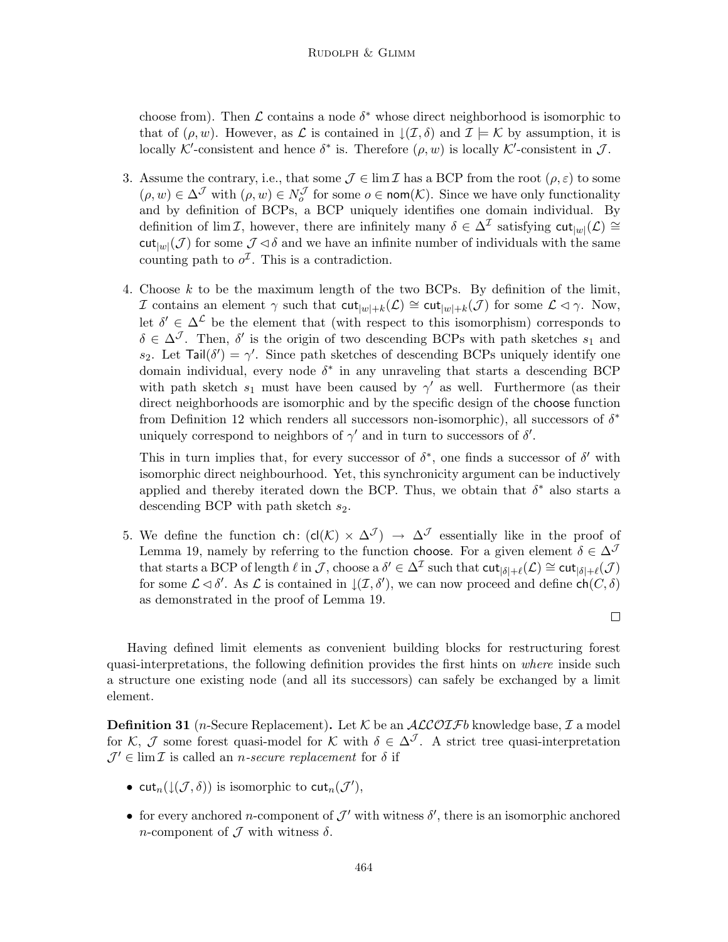choose from). Then  $\mathcal L$  contains a node  $\delta^*$  whose direct neighborhood is isomorphic to that of  $(\rho, w)$ . However, as L is contained in  $\mathcal{I}(\mathcal{I}, \delta)$  and  $\mathcal{I} \models \mathcal{K}$  by assumption, it is locally K'-consistent and hence  $\delta^*$  is. Therefore  $(\rho, w)$  is locally K'-consistent in J.

- 3. Assume the contrary, i.e., that some  $\mathcal{J} \in \lim \mathcal{I}$  has a BCP from the root  $(\rho, \varepsilon)$  to some  $(\rho, w) \in \Delta^{\mathcal{J}}$  with  $(\rho, w) \in N_o^{\mathcal{J}}$  for some  $o \in \text{nom}(\mathcal{K})$ . Since we have only functionality and by definition of BCPs, a BCP uniquely identifies one domain individual. By definition of lim I, however, there are infinitely many  $\delta \in \Delta^{\mathcal{I}}$  satisfying  $\text{cut}_{|w|}(\mathcal{L}) \cong$  $\text{cut}_{|w|}(\mathcal{J})$  for some  $\mathcal{J} \triangleleft \delta$  and we have an infinite number of individuals with the same counting path to  $o^{\mathcal{I}}$ . This is a contradiction.
- 4. Choose k to be the maximum length of the two BCPs. By definition of the limit, *I* contains an element  $\gamma$  such that  $\text{cut}_{|w|+k}(\mathcal{L}) \cong \text{cut}_{|w|+k}(\mathcal{J})$  for some  $\mathcal{L} \triangleleft \gamma$ . Now, let  $\delta' \in \Delta^{\mathcal{L}}$  be the element that (with respect to this isomorphism) corresponds to  $\delta \in \Delta^{\mathcal{J}}$ . Then,  $\delta'$  is the origin of two descending BCPs with path sketches  $s_1$  and s<sub>2</sub>. Let  $\text{Tail}(\delta') = \gamma'$ . Since path sketches of descending BCPs uniquely identify one domain individual, every node  $\delta^*$  in any unraveling that starts a descending BCP with path sketch  $s_1$  must have been caused by  $\gamma'$  as well. Furthermore (as their direct neighborhoods are isomorphic and by the specific design of the choose function from Definition 12 which renders all successors non-isomorphic), all successors of  $\delta^*$ uniquely correspond to neighbors of  $\gamma'$  and in turn to successors of  $\delta'$ .

This in turn implies that, for every successor of  $\delta^*$ , one finds a successor of  $\delta'$  with isomorphic direct neighbourhood. Yet, this synchronicity argument can be inductively applied and thereby iterated down the BCP. Thus, we obtain that  $\delta^*$  also starts a descending BCP with path sketch  $s_2$ .

5. We define the function ch:  $(cl(K) \times \Delta^{\mathcal{J}}) \rightarrow \Delta^{\mathcal{J}}$  essentially like in the proof of Lemma 19, namely by referring to the function choose. For a given element  $\delta \in \Delta^{\mathcal{J}}$ that starts a BCP of length  $\ell$  in  $\mathcal{J}$ , choose a  $\delta' \in \Delta^{\mathcal{I}}$  such that  $\text{cut}_{|\delta|+\ell}(\mathcal{L}) \cong \text{cut}_{|\delta|+\ell}(\mathcal{J})$ for some  $\mathcal{L} \lhd \delta'$ . As  $\mathcal{L}$  is contained in  $\mathcal{L}(\mathcal{I}, \delta')$ , we can now proceed and define  $\mathsf{ch}(C, \delta)$ as demonstrated in the proof of Lemma 19.

Having defined limit elements as convenient building blocks for restructuring forest quasi-interpretations, the following definition provides the first hints on where inside such a structure one existing node (and all its successors) can safely be exchanged by a limit element.

**Definition 31** (*n*-Secure Replacement). Let K be an  $ALCOIFb$  knowledge base, I a model for K, J some forest quasi-model for K with  $\delta \in \Delta^{\mathcal{J}}$ . A strict tree quasi-interpretation  $\mathcal{J}' \in \lim \mathcal{I}$  is called an *n*-secure replacement for  $\delta$  if

- cut<sub>n</sub>( $\downarrow$ ( $J$ , $\delta$ )) is isomorphic to cut<sub>n</sub>( $J'$ ),
- for every anchored *n*-component of  $\mathcal{J}'$  with witness  $\delta'$ , there is an isomorphic anchored n-component of  $\mathcal J$  with witness  $\delta$ .

 $\Box$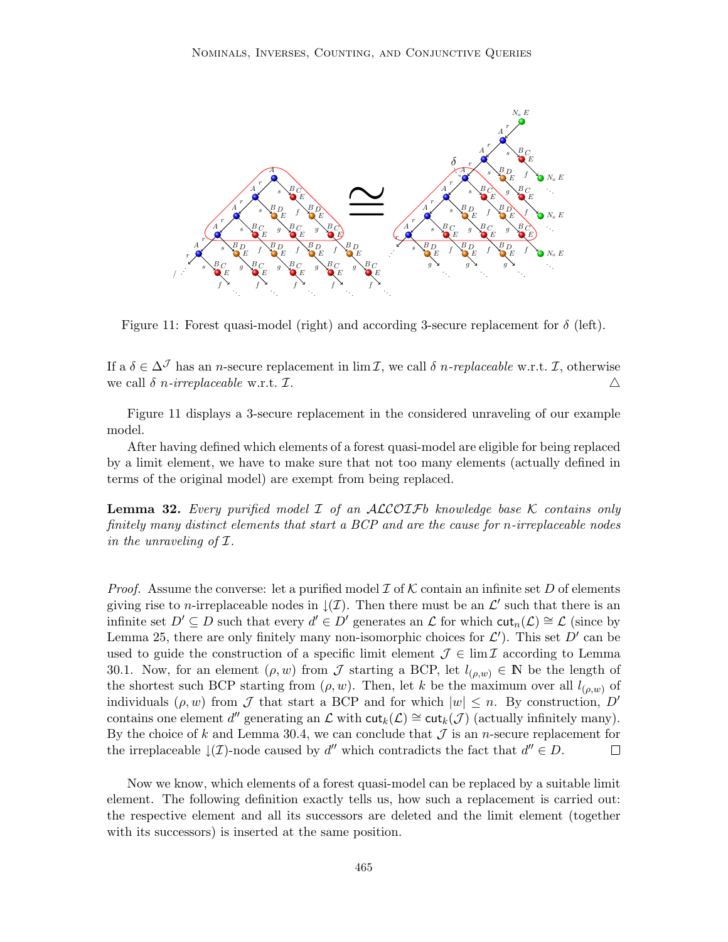

Figure 11: Forest quasi-model (right) and according 3-secure replacement for  $\delta$  (left).

If a  $\delta \in \Delta^{\mathcal{J}}$  has an *n*-secure replacement in  $\lim \mathcal{I}$ , we call  $\delta$  *n-replaceable* w.r.t.  $\mathcal{I}$ , otherwise we call  $\delta$  n-irreplaceable w.r.t.  $\mathcal{I}$ .  $\Delta$ 

Figure 11 displays a 3-secure replacement in the considered unraveling of our example model.

After having defined which elements of a forest quasi-model are eligible for being replaced by a limit element, we have to make sure that not too many elements (actually defined in terms of the original model) are exempt from being replaced.

**Lemma 32.** Every purified model  $I$  of an ALCOIFb knowledge base K contains only finitely many distinct elements that start a BCP and are the cause for n-irreplaceable nodes in the unraveling of I.

*Proof.* Assume the converse: let a purified model  $\mathcal I$  of  $\mathcal K$  contain an infinite set D of elements giving rise to n-irreplaceable nodes in  $\downarrow$  (*I*). Then there must be an  $\mathcal{L}'$  such that there is an infinite set  $D' \subseteq D$  such that every  $d' \in D'$  generates an  $\mathcal L$  for which  $\text{cut}_n(\mathcal L) \cong \mathcal L$  (since by Lemma 25, there are only finitely many non-isomorphic choices for  $\mathcal{L}'$ ). This set  $D'$  can be used to guide the construction of a specific limit element  $\mathcal{J} \in \lim \mathcal{I}$  according to Lemma 30.1. Now, for an element  $(\rho, w)$  from J starting a BCP, let  $l_{(\rho,w)} \in \mathbb{N}$  be the length of the shortest such BCP starting from  $(\rho, w)$ . Then, let k be the maximum over all  $l_{(\rho, w)}$  of individuals  $(\rho, w)$  from J that start a BCP and for which  $|w| \leq n$ . By construction, D' contains one element d'' generating an  $\mathcal L$  with  $\text{cut}_k(\mathcal L) \cong \text{cut}_k(\mathcal J)$  (actually infinitely many). By the choice of k and Lemma 30.4, we can conclude that  $\mathcal J$  is an n-secure replacement for the irreplaceable  $\downarrow$ (*I*)-node caused by d'' which contradicts the fact that  $d'' \in D$ .  $\Box$ 

Now we know, which elements of a forest quasi-model can be replaced by a suitable limit element. The following definition exactly tells us, how such a replacement is carried out: the respective element and all its successors are deleted and the limit element (together with its successors) is inserted at the same position.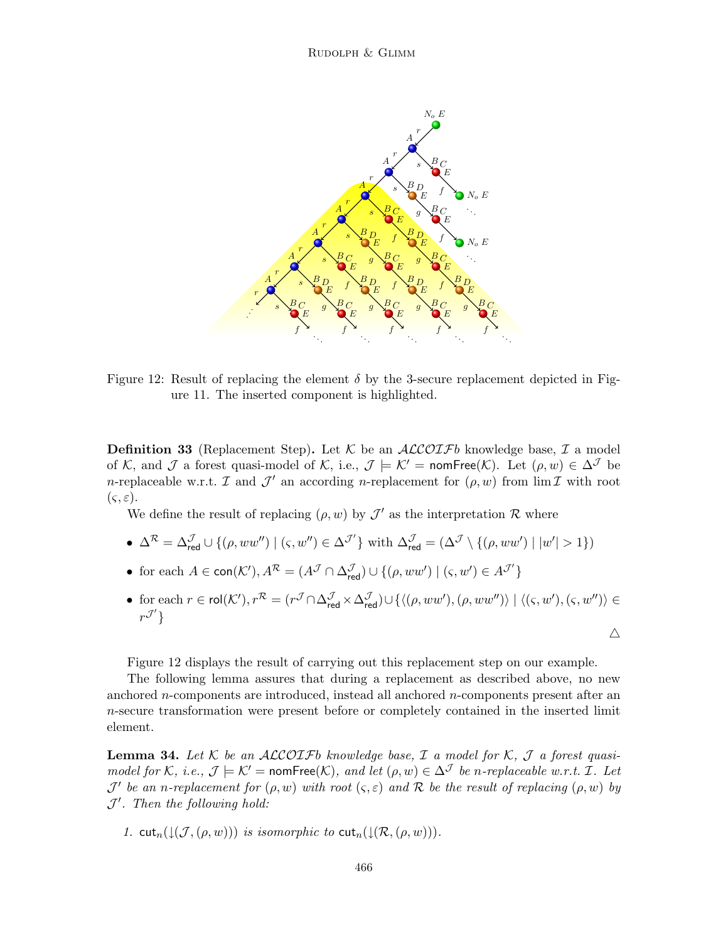

Figure 12: Result of replacing the element  $\delta$  by the 3-secure replacement depicted in Figure 11. The inserted component is highlighted.

**Definition 33** (Replacement Step). Let K be an  $ALCOIFb$  knowledge base, I a model of K, and J a forest quasi-model of K, i.e.,  $\mathcal{J} \models \mathcal{K}' = \text{nomFree}(\mathcal{K})$ . Let  $(\rho, w) \in \Delta^{\mathcal{J}}$  be *n*-replaceable w.r.t.  $\mathcal I$  and  $\mathcal J'$  an according *n*-replacement for  $(\rho, w)$  from  $\lim \mathcal I$  with root  $(\varsigma, \varepsilon).$ 

We define the result of replacing  $(\rho, w)$  by  $\mathcal{J}'$  as the interpretation R where

• 
$$
\Delta^{\mathcal{R}} = \Delta_{\text{red}}^{\mathcal{J}} \cup \{(\rho, ww'') \mid (\varsigma, w'') \in \Delta^{\mathcal{J}'}\}
$$
 with  $\Delta_{\text{red}}^{\mathcal{J}} = (\Delta^{\mathcal{J}} \setminus \{(\rho, ww') \mid |w'| > 1\})$ 

- for each  $A \in \text{con}(\mathcal{K}'), A^{\mathcal{R}} = (A^{\mathcal{J}} \cap \Delta_{\text{red}}^{\mathcal{J}}) \cup \{(\rho, ww') \mid (\varsigma, w') \in A^{\mathcal{J}'}\}$
- for each  $r \in \mathsf{rol}(\mathcal{K}'), r^\mathcal{R} = (r^\mathcal{J} \cap \Delta_{\mathsf{red}}^\mathcal{J} \times \Delta_{\mathsf{red}}^\mathcal{J}) \cup \{ \langle(\rho, ww'),(\rho, ww'') \rangle \mid \langle(\varsigma, w'),(\varsigma, w'') \rangle \in$  $r^{\mathcal{J}'}\}$

 $\triangle$ 

Figure 12 displays the result of carrying out this replacement step on our example.

The following lemma assures that during a replacement as described above, no new anchored *n*-components are introduced, instead all anchored *n*-components present after an n-secure transformation were present before or completely contained in the inserted limit element.

**Lemma 34.** Let K be an ALCOIFb knowledge base, I a model for K, J a forest quasimodel for K, i.e.,  $\mathcal{J} \models \mathcal{K}' = \text{nomFree}(\mathcal{K})$ , and let  $(\rho, w) \in \Delta^{\mathcal{J}}$  be n-replaceable w.r.t. I. Let  $\mathcal{J}'$  be an n-replacement for  $(\rho, w)$  with root  $(\varsigma, \varepsilon)$  and R be the result of replacing  $(\rho, w)$  by  $J'$ . Then the following hold:

1. cut<sub>n</sub>( $\downarrow$ ( $\mathcal{J},(\rho, w)$ )) is isomorphic to cut<sub>n</sub>( $\downarrow$ ( $\mathcal{R},(\rho, w)$ )).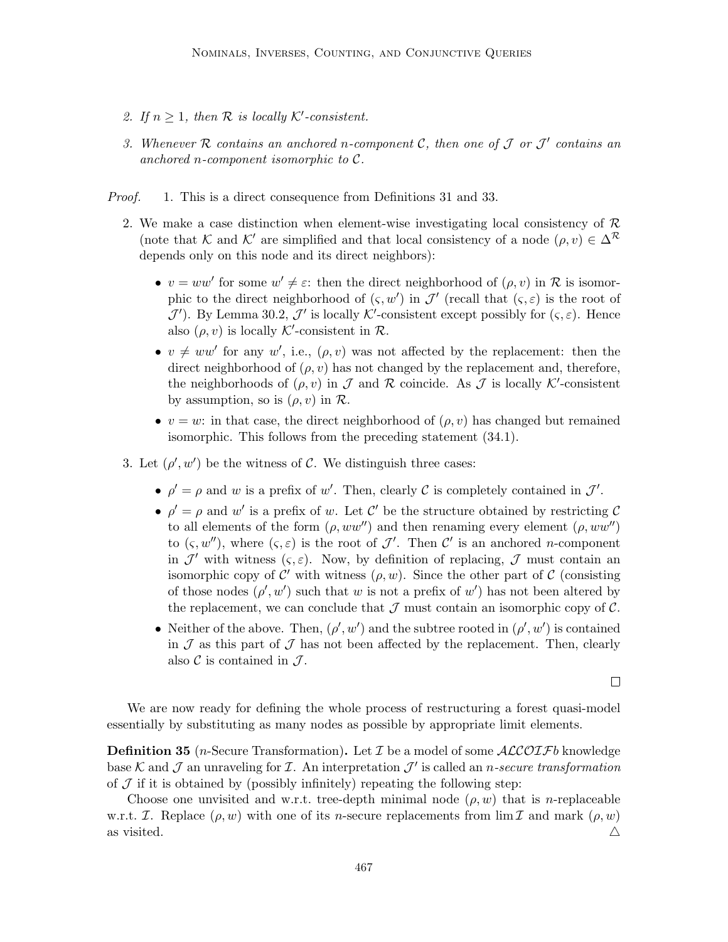- 2. If  $n \geq 1$ , then R is locally K'-consistent.
- 3. Whenever R contains an anchored n-component C, then one of  $\mathcal J$  or  $\mathcal J'$  contains an anchored n-component isomorphic to  $\mathcal{C}.$
- Proof. 1. This is a direct consequence from Definitions 31 and 33.
	- 2. We make a case distinction when element-wise investigating local consistency of  $\mathcal{R}$ (note that K and K' are simplified and that local consistency of a node  $(\rho, v) \in \Delta^{\mathcal{R}}$ depends only on this node and its direct neighbors):
		- $v = ww'$  for some  $w' \neq \varepsilon$ : then the direct neighborhood of  $(\rho, v)$  in R is isomorphic to the direct neighborhood of  $(\varsigma, w')$  in  $\mathcal{J}'$  (recall that  $(\varsigma, \varepsilon)$  is the root of  $\mathcal{J}'$ ). By Lemma 30.2,  $\mathcal{J}'$  is locally K'-consistent except possibly for  $(\varsigma, \varepsilon)$ . Hence also  $(\rho, v)$  is locally K'-consistent in  $\mathcal{R}$ .
		- $v \neq ww'$  for any w', i.e.,  $(\rho, v)$  was not affected by the replacement: then the direct neighborhood of  $(\rho, v)$  has not changed by the replacement and, therefore, the neighborhoods of  $(\rho, v)$  in  $\mathcal J$  and  $\mathcal R$  coincide. As  $\mathcal J$  is locally K'-consistent by assumption, so is  $(\rho, v)$  in  $\mathcal{R}$ .
		- $v = w$ : in that case, the direct neighborhood of  $(\rho, v)$  has changed but remained isomorphic. This follows from the preceding statement (34.1).
	- 3. Let  $(\rho', w')$  be the witness of C. We distinguish three cases:
		- $\rho' = \rho$  and w is a prefix of w'. Then, clearly C is completely contained in  $\mathcal{J}'$ .
		- $\rho' = \rho$  and w' is a prefix of w. Let C' be the structure obtained by restricting C to all elements of the form  $(\rho, ww'')$  and then renaming every element  $(\rho, ww'')$ to  $(\varsigma, w'')$ , where  $(\varsigma, \varepsilon)$  is the root of  $\mathcal{J}'$ . Then  $\mathcal{C}'$  is an anchored *n*-component in  $\mathcal{J}'$  with witness  $(s, \varepsilon)$ . Now, by definition of replacing,  $\mathcal{J}$  must contain an isomorphic copy of  $\mathcal{C}'$  with witness  $(\rho, w)$ . Since the other part of  $\mathcal{C}$  (consisting of those nodes  $(\rho', w')$  such that w is not a prefix of w') has not been altered by the replacement, we can conclude that  $\mathcal J$  must contain an isomorphic copy of  $\mathcal C$ .
		- Neither of the above. Then,  $(\rho', w')$  and the subtree rooted in  $(\rho', w')$  is contained in  $J$  as this part of  $J$  has not been affected by the replacement. Then, clearly also  $\mathcal C$  is contained in  $\mathcal J$ .

 $\Box$ 

We are now ready for defining the whole process of restructuring a forest quasi-model essentially by substituting as many nodes as possible by appropriate limit elements.

**Definition 35** (*n*-Secure Transformation). Let  $\mathcal I$  be a model of some  $\mathcal{ALCOIF}b$  knowledge base K and J an unraveling for I. An interpretation  $\mathcal{J}'$  is called an *n*-secure transformation of  $J$  if it is obtained by (possibly infinitely) repeating the following step:

Choose one unvisited and w.r.t. tree-depth minimal node  $(\rho, w)$  that is n-replaceable w.r.t. *I*. Replace  $(\rho, w)$  with one of its *n*-secure replacements from  $\lim I$  and mark  $(\rho, w)$ as visited.  $\triangle$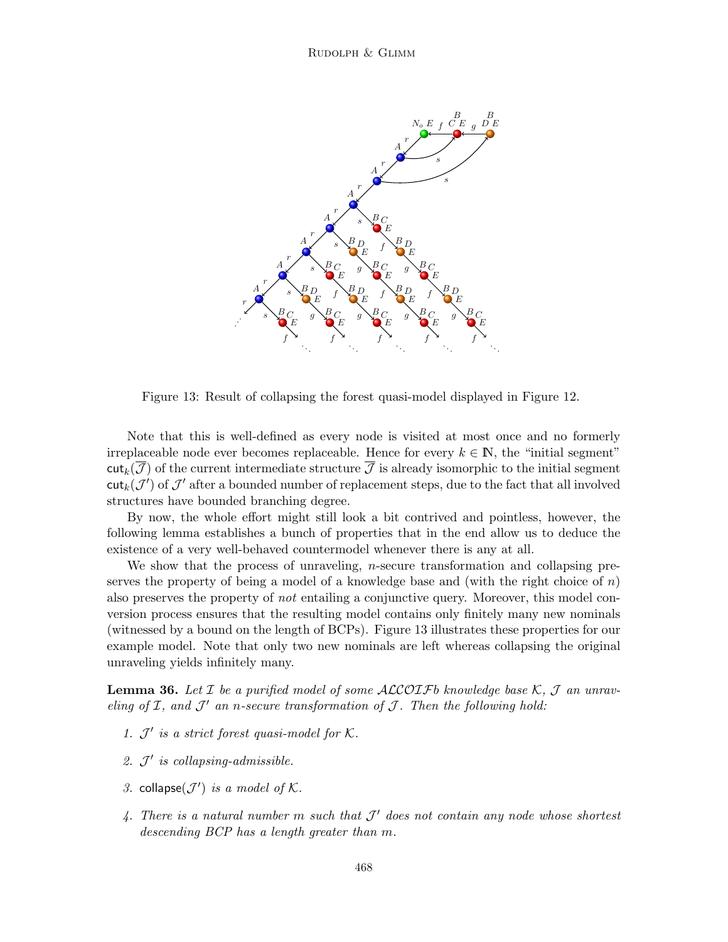

Figure 13: Result of collapsing the forest quasi-model displayed in Figure 12.

Note that this is well-defined as every node is visited at most once and no formerly irreplaceable node ever becomes replaceable. Hence for every  $k \in \mathbb{N}$ , the "initial segment"  $\text{cut}_k(\mathcal{J})$  of the current intermediate structure  $\mathcal{\bar{J}}$  is already isomorphic to the initial segment  $\textsf{cut}_k(\mathcal{J}')$  of  $\mathcal{J}'$  after a bounded number of replacement steps, due to the fact that all involved structures have bounded branching degree.

By now, the whole effort might still look a bit contrived and pointless, however, the following lemma establishes a bunch of properties that in the end allow us to deduce the existence of a very well-behaved countermodel whenever there is any at all.

We show that the process of unraveling, *n*-secure transformation and collapsing preserves the property of being a model of a knowledge base and (with the right choice of  $n$ ) also preserves the property of not entailing a conjunctive query. Moreover, this model conversion process ensures that the resulting model contains only finitely many new nominals (witnessed by a bound on the length of BCPs). Figure 13 illustrates these properties for our example model. Note that only two new nominals are left whereas collapsing the original unraveling yields infinitely many.

**Lemma 36.** Let  $\mathcal I$  be a purified model of some ALCOIFb knowledge base  $\mathcal K$ ,  $\mathcal J$  an unraveling of  $I$ , and  $J'$  an n-secure transformation of  $J$ . Then the following hold:

- 1.  $\mathcal{J}'$  is a strict forest quasi-model for K.
- 2.  $J'$  is collapsing-admissible.
- 3. collapse( $J'$ ) is a model of K.
- 4. There is a natural number m such that  $\mathcal{J}'$  does not contain any node whose shortest descending BCP has a length greater than m.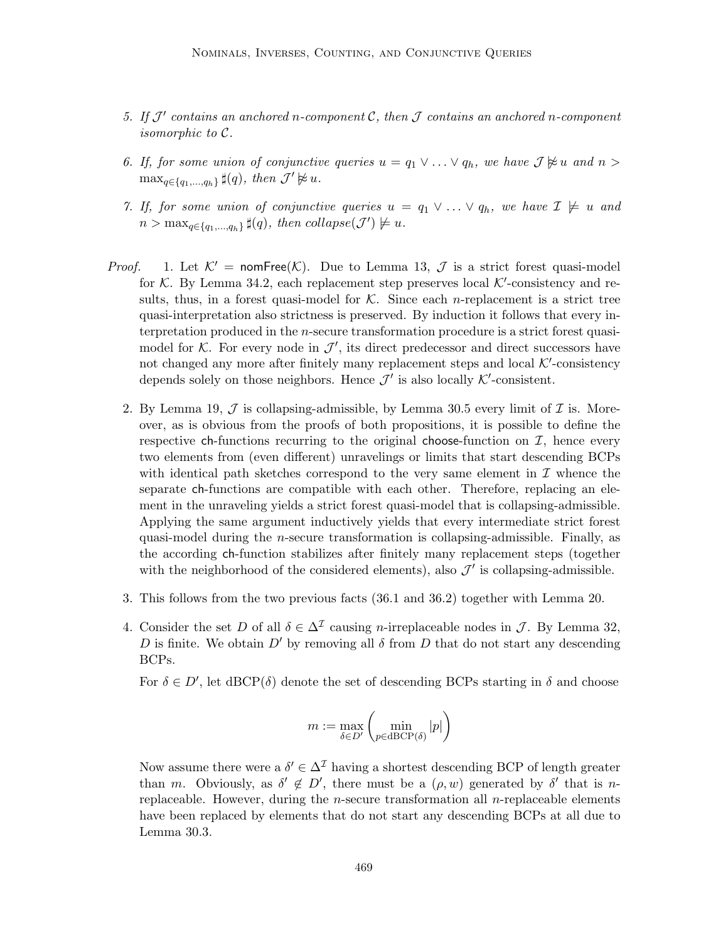- 5. If  $\mathcal{J}'$  contains an anchored n-component  $\mathcal{C}$ , then  $\mathcal J$  contains an anchored n-component isomorphic to C.
- 6. If, for some union of conjunctive queries  $u = q_1 \vee \ldots \vee q_h$ , we have  $\mathcal{J} \not\approx u$  and  $n >$  $\max_{q \in \{q_1,\ldots,q_h\}} \sharp(q)$ , then  $\mathcal{J}' \not\approx u$ .
- 7. If, for some union of conjunctive queries  $u = q_1 \vee \ldots \vee q_h$ , we have  $\mathcal{I} \not\models u$  and  $n > \max_{q \in \{q_1, \ldots, q_h\}} \sharp(q)$ , then collapse $(\mathcal{J}') \not\models u$ .
- *Proof.* 1. Let  $K' = \text{nomFree}(K)$ . Due to Lemma 13,  $\mathcal J$  is a strict forest quasi-model for  $K$ . By Lemma 34.2, each replacement step preserves local  $K'$ -consistency and results, thus, in a forest quasi-model for  $K$ . Since each *n*-replacement is a strict tree quasi-interpretation also strictness is preserved. By induction it follows that every interpretation produced in the n-secure transformation procedure is a strict forest quasimodel for  $K$ . For every node in  $\mathcal{J}'$ , its direct predecessor and direct successors have not changed any more after finitely many replacement steps and local  $K'$ -consistency depends solely on those neighbors. Hence  $\mathcal{J}'$  is also locally  $\mathcal{K}'$ -consistent.
	- 2. By Lemma 19,  $\mathcal J$  is collapsing-admissible, by Lemma 30.5 every limit of  $\mathcal I$  is. Moreover, as is obvious from the proofs of both propositions, it is possible to define the respective ch-functions recurring to the original choose-function on  $I$ , hence every two elements from (even different) unravelings or limits that start descending BCPs with identical path sketches correspond to the very same element in  $\mathcal I$  whence the separate ch-functions are compatible with each other. Therefore, replacing an element in the unraveling yields a strict forest quasi-model that is collapsing-admissible. Applying the same argument inductively yields that every intermediate strict forest quasi-model during the n-secure transformation is collapsing-admissible. Finally, as the according ch-function stabilizes after finitely many replacement steps (together with the neighborhood of the considered elements), also  $\mathcal{J}'$  is collapsing-admissible.
	- 3. This follows from the two previous facts (36.1 and 36.2) together with Lemma 20.
	- 4. Consider the set D of all  $\delta \in \Delta^{\mathcal{I}}$  causing n-irreplaceable nodes in  $\mathcal{J}$ . By Lemma 32, D is finite. We obtain  $D'$  by removing all  $\delta$  from D that do not start any descending BCPs.

For  $\delta \in D'$ , let dBCP( $\delta$ ) denote the set of descending BCPs starting in  $\delta$  and choose

$$
m:=\max_{\delta\in D'}\left(\min_{p\in\operatorname{dBCP}(\delta)}|p|\right)
$$

Now assume there were a  $\delta' \in \Delta^{\mathcal{I}}$  having a shortest descending BCP of length greater than m. Obviously, as  $\delta' \notin D'$ , there must be a  $(\rho, w)$  generated by  $\delta'$  that is nreplaceable. However, during the *n*-secure transformation all *n*-replaceable elements have been replaced by elements that do not start any descending BCPs at all due to Lemma 30.3.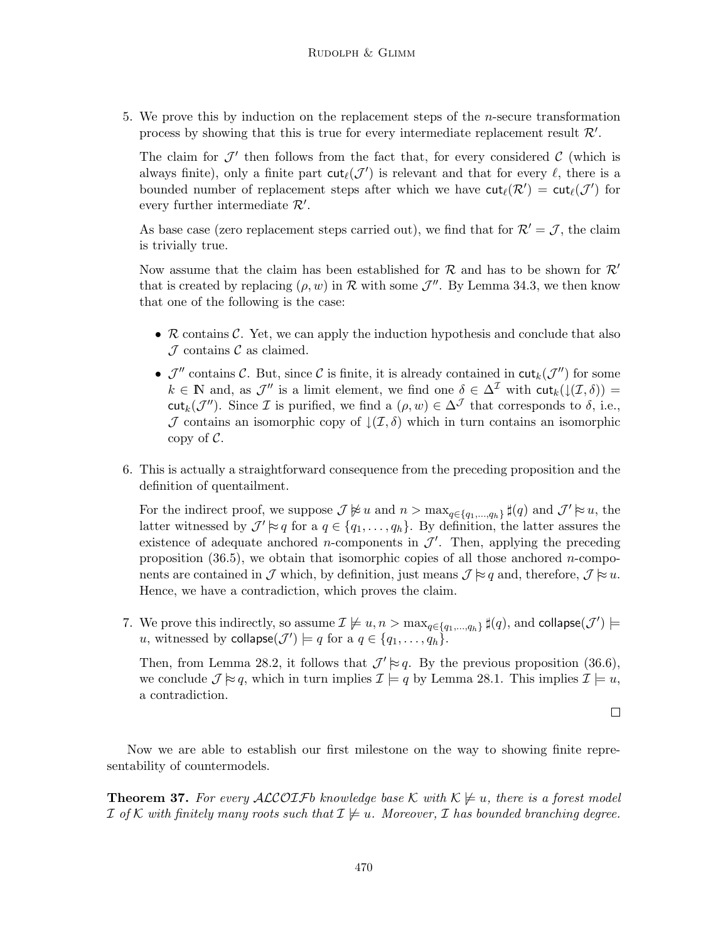5. We prove this by induction on the replacement steps of the  $n$ -secure transformation process by showing that this is true for every intermediate replacement result  $\mathcal{R}'$ .

The claim for  $\mathcal{J}'$  then follows from the fact that, for every considered  $\mathcal{C}$  (which is always finite), only a finite part  $\text{cut}_{\ell}(\mathcal{J}')$  is relevant and that for every  $\ell$ , there is a bounded number of replacement steps after which we have  $\text{cut}_{\ell}(\mathcal{R}') = \text{cut}_{\ell}(\mathcal{J}')$  for every further intermediate  $\mathcal{R}'$ .

As base case (zero replacement steps carried out), we find that for  $\mathcal{R}' = \mathcal{J}$ , the claim is trivially true.

Now assume that the claim has been established for R and has to be shown for  $\mathcal{R}'$ that is created by replacing  $(\rho, w)$  in R with some  $\mathcal{J}''$ . By Lemma 34.3, we then know that one of the following is the case:

- $R$  contains  $C$ . Yet, we can apply the induction hypothesis and conclude that also  $\mathcal J$  contains  $\mathcal C$  as claimed.
- $\mathcal{J}''$  contains C. But, since C is finite, it is already contained in  $\text{cut}_k(\mathcal{J}'')$  for some  $k \in \mathbb{N}$  and, as  $\mathcal{J}''$  is a limit element, we find one  $\delta \in \Delta^{\mathcal{I}}$  with  $\text{cut}_k(\downarrow(\mathcal{I},\delta)) =$ cut<sub>k</sub>( $\mathcal{J}'$ ). Since  $\mathcal I$  is purified, we find a  $(\rho, w) \in \Delta^{\mathcal J}$  that corresponds to  $\delta$ , i.e., J contains an isomorphic copy of  $\mathcal{L}(\mathcal{I},\delta)$  which in turn contains an isomorphic copy of  $C$ .
- 6. This is actually a straightforward consequence from the preceding proposition and the definition of quentailment.

For the indirect proof, we suppose  $\mathcal{J} \not\approx u$  and  $n > \max_{q \in \{q_1, ..., q_h\}} \sharp(q)$  and  $\mathcal{J}' \approx u$ , the latter witnessed by  $\mathcal{J}' \approx q$  for a  $q \in \{q_1, \ldots, q_h\}$ . By definition, the latter assures the existence of adequate anchored *n*-components in  $\mathcal{J}'$ . Then, applying the preceding proposition  $(36.5)$ , we obtain that isomorphic copies of all those anchored *n*-components are contained in  $\mathcal J$  which, by definition, just means  $\mathcal J \approx q$  and, therefore,  $\mathcal J \approx u$ . Hence, we have a contradiction, which proves the claim.

7. We prove this indirectly, so assume  $\mathcal{I} \not\models u, n > \max_{q \in \{q_1, \ldots, q_h\}} \sharp(q)$ , and collapse $(\mathcal{J}') \models$ u, witnessed by  $\text{collapse}(\mathcal{J}') \models q \text{ for a } q \in \{q_1, \ldots, q_h\}.$ 

Then, from Lemma 28.2, it follows that  $\mathcal{J}' \approx q$ . By the previous proposition (36.6), we conclude  $\mathcal{J} \approx q$ , which in turn implies  $\mathcal{I} \models q$  by Lemma 28.1. This implies  $\mathcal{I} \models u$ , a contradiction.

 $\Box$ 

Now we are able to establish our first milestone on the way to showing finite representability of countermodels.

**Theorem 37.** For every ALCOIFb knowledge base K with  $\mathcal{K} \not\models u$ , there is a forest model I of K with finitely many roots such that  $\mathcal{I} \not\models u$ . Moreover, I has bounded branching degree.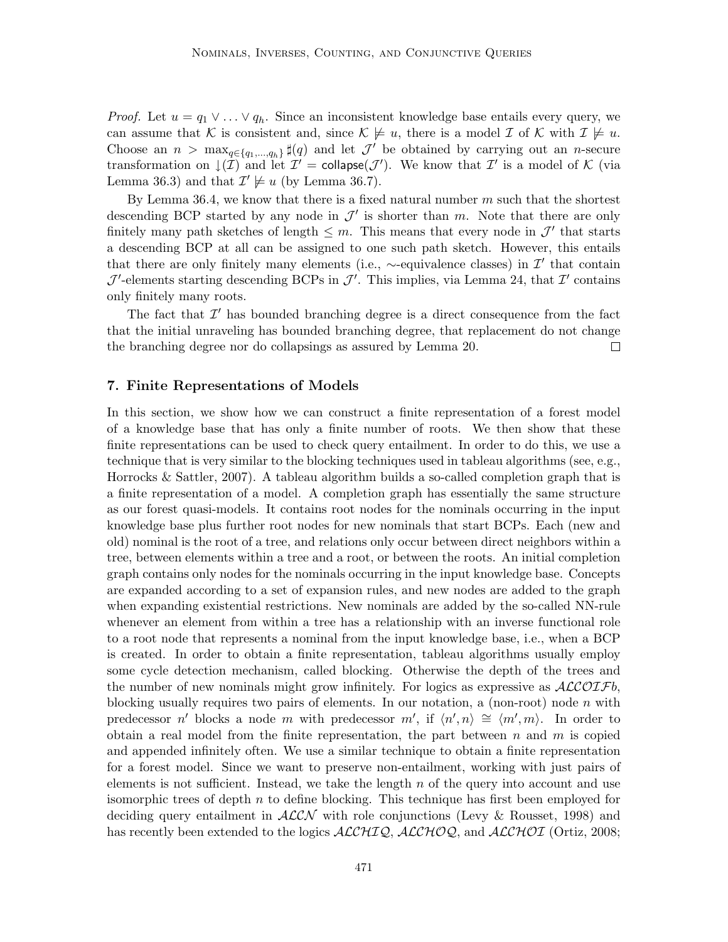*Proof.* Let  $u = q_1 \vee \ldots \vee q_h$ . Since an inconsistent knowledge base entails every query, we can assume that K is consistent and, since  $\mathcal{K} \not\models u$ , there is a model  $\mathcal I$  of K with  $\mathcal I \not\models u$ . Choose an  $n > \max_{q \in \{q_1,\ldots,q_h\}} \sharp(q)$  and let  $\mathcal{J}'$  be obtained by carrying out an *n*-secure transformation on  $\downarrow$  ( $\overline{I}$ ) and let  $I' =$  collapse( $J'$ ). We know that  $I'$  is a model of K (via Lemma 36.3) and that  $\mathcal{I}' \not\models u$  (by Lemma 36.7).

By Lemma 36.4, we know that there is a fixed natural number  $m$  such that the shortest descending BCP started by any node in  $\mathcal{J}'$  is shorter than m. Note that there are only finitely many path sketches of length  $\leq m$ . This means that every node in  $\mathcal{J}'$  that starts a descending BCP at all can be assigned to one such path sketch. However, this entails that there are only finitely many elements (i.e.,  $\sim$ -equivalence classes) in  $\mathcal{I}'$  that contain  $\mathcal{J}'$ -elements starting descending BCPs in  $\mathcal{J}'$ . This implies, via Lemma 24, that  $\mathcal{I}'$  contains only finitely many roots.

The fact that  $\mathcal{I}'$  has bounded branching degree is a direct consequence from the fact that the initial unraveling has bounded branching degree, that replacement do not change the branching degree nor do collapsings as assured by Lemma 20.  $\Box$ 

#### 7. Finite Representations of Models

In this section, we show how we can construct a finite representation of a forest model of a knowledge base that has only a finite number of roots. We then show that these finite representations can be used to check query entailment. In order to do this, we use a technique that is very similar to the blocking techniques used in tableau algorithms (see, e.g., Horrocks & Sattler, 2007). A tableau algorithm builds a so-called completion graph that is a finite representation of a model. A completion graph has essentially the same structure as our forest quasi-models. It contains root nodes for the nominals occurring in the input knowledge base plus further root nodes for new nominals that start BCPs. Each (new and old) nominal is the root of a tree, and relations only occur between direct neighbors within a tree, between elements within a tree and a root, or between the roots. An initial completion graph contains only nodes for the nominals occurring in the input knowledge base. Concepts are expanded according to a set of expansion rules, and new nodes are added to the graph when expanding existential restrictions. New nominals are added by the so-called NN-rule whenever an element from within a tree has a relationship with an inverse functional role to a root node that represents a nominal from the input knowledge base, i.e., when a BCP is created. In order to obtain a finite representation, tableau algorithms usually employ some cycle detection mechanism, called blocking. Otherwise the depth of the trees and the number of new nominals might grow infinitely. For logics as expressive as  $\mathcal{ALCOIF}b$ , blocking usually requires two pairs of elements. In our notation, a (non-root) node n with predecessor n' blocks a node m with predecessor  $m'$ , if  $\langle n', n \rangle \cong \langle m', m \rangle$ . In order to obtain a real model from the finite representation, the part between n and m is copied and appended infinitely often. We use a similar technique to obtain a finite representation for a forest model. Since we want to preserve non-entailment, working with just pairs of elements is not sufficient. Instead, we take the length  $n$  of the query into account and use isomorphic trees of depth  $n$  to define blocking. This technique has first been employed for deciding query entailment in  $ALCN$  with role conjunctions (Levy & Rousset, 1998) and has recently been extended to the logics  $\text{ALCHIQ}, \text{ALCHOQ}, \text{and } \text{ALCHOT}$  (Ortiz, 2008;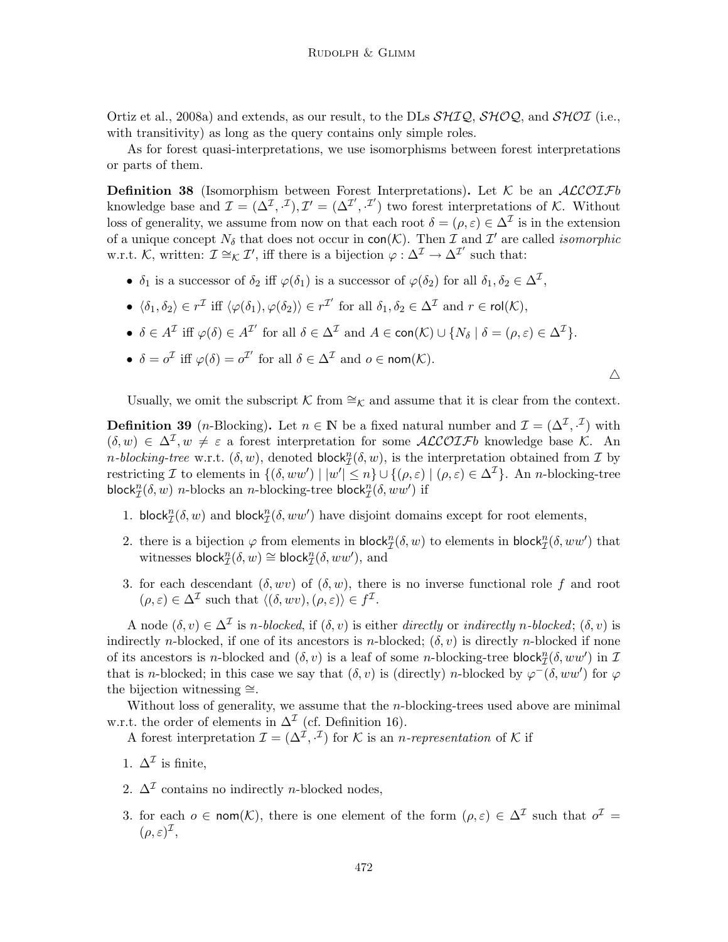Ortiz et al., 2008a) and extends, as our result, to the DLs  $\mathcal{SHQ}, \mathcal{SHQQ}$ , and  $\mathcal{SHOL}$  (i.e., with transitivity) as long as the query contains only simple roles.

As for forest quasi-interpretations, we use isomorphisms between forest interpretations or parts of them.

**Definition 38** (Isomorphism between Forest Interpretations). Let  $K$  be an  $ALCOIFb$ knowledge base and  $\mathcal{I} = (\Delta^{\mathcal{I}}, \cdot^{\mathcal{I}}), \mathcal{I}' = (\Delta^{\mathcal{I}'}, \cdot^{\mathcal{I}'})$  two forest interpretations of K. Without loss of generality, we assume from now on that each root  $\delta = (\rho, \varepsilon) \in \Delta^{\mathcal{I}}$  is in the extension of a unique concept  $N_{\delta}$  that does not occur in  $\text{con}(\mathcal{K})$ . Then  $\mathcal I$  and  $\mathcal I'$  are called *isomorphic* w.r.t. K, written:  $\mathcal{I} \cong_K \mathcal{I}'$ , iff there is a bijection  $\varphi : \Delta^{\mathcal{I}} \to \Delta^{\mathcal{I}'}$  such that:

- $\delta_1$  is a successor of  $\delta_2$  iff  $\varphi(\delta_1)$  is a successor of  $\varphi(\delta_2)$  for all  $\delta_1, \delta_2 \in \Delta^{\mathcal{I}},$
- $\langle \delta_1, \delta_2 \rangle \in r^{\mathcal{I}}$  iff  $\langle \varphi(\delta_1), \varphi(\delta_2) \rangle \in r^{\mathcal{I}'}$  for all  $\delta_1, \delta_2 \in \Delta^{\mathcal{I}}$  and  $r \in \mathsf{rol}(\mathcal{K}),$
- $\delta \in A^{\mathcal{I}}$  iff  $\varphi(\delta) \in A^{\mathcal{I}'}$  for all  $\delta \in \Delta^{\mathcal{I}}$  and  $A \in \text{con}(\mathcal{K}) \cup \{N_{\delta} \mid \delta = (\rho, \varepsilon) \in \Delta^{\mathcal{I}}\}.$
- $\delta = o^{\mathcal{I}}$  iff  $\varphi(\delta) = o^{\mathcal{I}'}$  for all  $\delta \in \Delta^{\mathcal{I}}$  and  $o \in \text{nom}(\mathcal{K})$ .

 $\triangle$ 

Usually, we omit the subscript K from  $\cong_K$  and assume that it is clear from the context.

**Definition 39** (*n*-Blocking). Let  $n \in \mathbb{N}$  be a fixed natural number and  $\mathcal{I} = (\Delta^{\mathcal{I}}, \cdot^{\mathcal{I}})$  with  $(\delta, w) \in \Delta^{\mathcal{I}}, w \neq \varepsilon$  a forest interpretation for some  $\mathcal{ALCOTF}$ b knowledge base K. An *n*-blocking-tree w.r.t.  $(\delta, w)$ , denoted block $_{\mathcal{I}}^{n}(\delta, w)$ , is the interpretation obtained from  $\mathcal{I}$  by restricting I to elements in  $\{(\delta,ww') \mid |w'| \leq n\} \cup \{(\rho,\varepsilon) \mid (\rho,\varepsilon) \in \Delta^{\mathcal{I}}\}.$  An *n*-blocking-tree block ${}^n_{\mathcal{I}}(\delta, w)$  *n*-blocks an *n*-blocking-tree block ${}^n_{\mathcal{I}}(\delta, ww')$  if

- 1. block $_{\mathcal{I}}^{n}(\delta, w)$  and block $_{\mathcal{I}}^{n}(\delta, ww')$  have disjoint domains except for root elements,
- 2. there is a bijection  $\varphi$  from elements in block $_{\mathcal{I}}^{n}(\delta, w)$  to elements in block $_{\mathcal{I}}^{n}(\delta, ww')$  that witnesses  $\mathsf{block}_{\mathcal{I}}^n(\delta, w) \cong \mathsf{block}_{\mathcal{I}}^n(\delta, ww'),$  and
- 3. for each descendant  $(\delta, wv)$  of  $(\delta, w)$ , there is no inverse functional role f and root  $(\rho, \varepsilon) \in \Delta^{\mathcal{I}}$  such that  $\langle (\delta, wv), (\rho, \varepsilon) \rangle \in f^{\mathcal{I}}$ .

A node  $(\delta, v) \in \Delta^{\mathcal{I}}$  is *n*-blocked, if  $(\delta, v)$  is either directly or indirectly *n*-blocked;  $(\delta, v)$  is indirectly *n*-blocked, if one of its ancestors is *n*-blocked;  $(\delta, v)$  is directly *n*-blocked if none of its ancestors is *n*-blocked and  $(\delta, v)$  is a leaf of some *n*-blocking-tree block $_{\mathcal{I}}^{n}(\delta, ww')$  in  $\mathcal{I}$ that is n-blocked; in this case we say that  $(\delta, v)$  is (directly) n-blocked by  $\varphi^-(\delta, ww')$  for  $\varphi$ the bijection witnessing ≅.

Without loss of generality, we assume that the  $n$ -blocking-trees used above are minimal w.r.t. the order of elements in  $\Delta^{\mathcal{I}}$  (cf. Definition 16).

A forest interpretation  $\mathcal{I} = (\Delta^{\mathcal{I}}, \cdot^{\mathcal{I}})$  for K is an *n*-representation of K if

- 1.  $\Delta^{\mathcal{I}}$  is finite,
- 2.  $\Delta^{\mathcal{I}}$  contains no indirectly *n*-blocked nodes,
- 3. for each  $o \in \text{nom}(\mathcal{K})$ , there is one element of the form  $(\rho, \varepsilon) \in \Delta^{\mathcal{I}}$  such that  $o^{\mathcal{I}} =$  $(\rho, \varepsilon)^{\mathcal{I}},$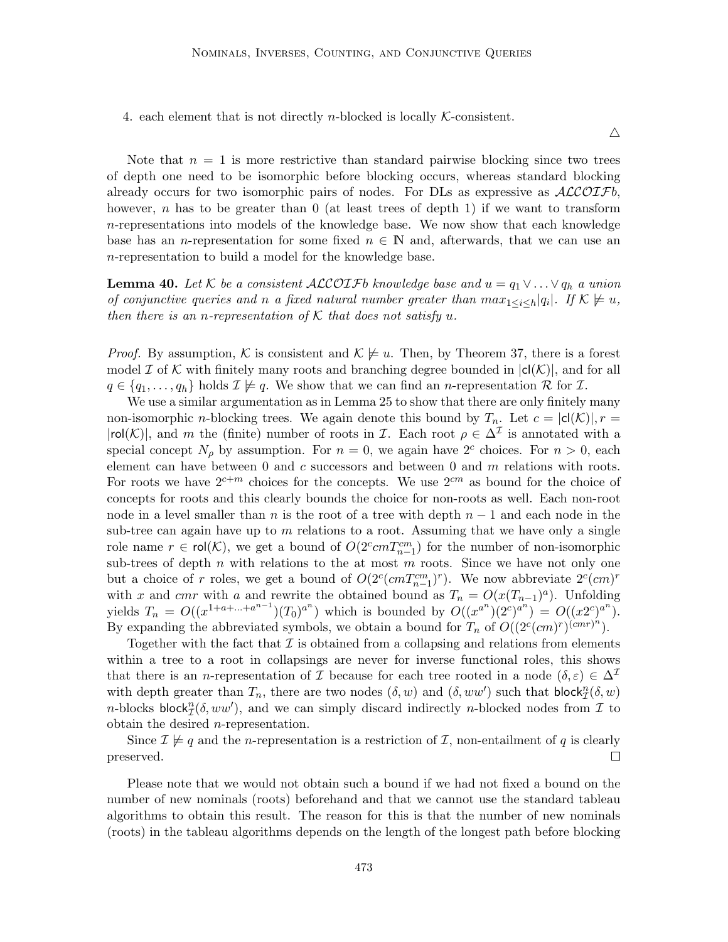4. each element that is not directly *n*-blocked is locally  $K$ -consistent.

 $\triangle$ 

Note that  $n = 1$  is more restrictive than standard pairwise blocking since two trees of depth one need to be isomorphic before blocking occurs, whereas standard blocking already occurs for two isomorphic pairs of nodes. For DLs as expressive as  $\mathcal{ALCOIF}b$ , however,  $n$  has to be greater than  $0$  (at least trees of depth 1) if we want to transform  $n$ -representations into models of the knowledge base. We now show that each knowledge base has an *n*-representation for some fixed  $n \in \mathbb{N}$  and, afterwards, that we can use an n-representation to build a model for the knowledge base.

**Lemma 40.** Let K be a consistent ALCOIFb knowledge base and  $u = q_1 \vee \ldots \vee q_h$  a union of conjunctive queries and n a fixed natural number greater than  $max_{1 \leq i \leq h} |q_i|$ . If  $K \neq u$ , then there is an n-representation of K that does not satisfy u.

*Proof.* By assumption, K is consistent and  $\mathcal{K} \not\models u$ . Then, by Theorem 37, there is a forest model  $\mathcal I$  of K with finitely many roots and branching degree bounded in  $|c|(\mathcal{K})|$ , and for all  $q \in \{q_1, \ldots, q_h\}$  holds  $\mathcal{I} \not\models q$ . We show that we can find an *n*-representation R for I.

We use a similar argumentation as in Lemma 25 to show that there are only finitely many non-isomorphic *n*-blocking trees. We again denote this bound by  $T_n$ . Let  $c = |c|(\mathcal{K})|$ ,  $r =$  $|rol(\mathcal{K})|$ , and m the (finite) number of roots in *I*. Each root  $\rho \in \Delta^{\mathcal{I}}$  is annotated with a special concept  $N_\rho$  by assumption. For  $n = 0$ , we again have  $2^c$  choices. For  $n > 0$ , each element can have between  $0$  and  $c$  successors and between  $0$  and  $m$  relations with roots. For roots we have  $2^{c+m}$  choices for the concepts. We use  $2^{cm}$  as bound for the choice of concepts for roots and this clearly bounds the choice for non-roots as well. Each non-root node in a level smaller than n is the root of a tree with depth  $n-1$  and each node in the sub-tree can again have up to  $m$  relations to a root. Assuming that we have only a single role name  $r \in \text{rol}(\mathcal{K})$ , we get a bound of  $O(2^c cm T_{n-1}^{cm})$  for the number of non-isomorphic sub-trees of depth  $n$  with relations to the at most  $m$  roots. Since we have not only one but a choice of r roles, we get a bound of  $O(2^c(cm T_{n-1}^{cm})^r)$ . We now abbreviate  $2^c(cm)^r$ with x and cmr with a and rewrite the obtained bound as  $T_n = O(x(T_{n-1})^a)$ . Unfolding yields  $T_n = O((x^{1+a+\ldots+a^{n-1}})(T_0)^{a^n})$  which is bounded by  $O((x^{a^n})(2^c)^{a^n}) = O((x^{2c})^{a^n})$ . By expanding the abbreviated symbols, we obtain a bound for  $T_n$  of  $O((2^c(cm)^r)^{(cmr)^n})$ .

Together with the fact that  $\mathcal I$  is obtained from a collapsing and relations from elements within a tree to a root in collapsings are never for inverse functional roles, this shows that there is an n-representation of I because for each tree rooted in a node  $(\delta, \varepsilon) \in \Delta^{\mathcal{I}}$ with depth greater than  $T_n$ , there are two nodes  $(\delta, w)$  and  $(\delta, ww')$  such that block $^n_{\mathcal{I}}(\delta, w)$ *n*-blocks block $_{\mathcal{I}}^{n}(\delta, ww')$ , and we can simply discard indirectly *n*-blocked nodes from  $\mathcal{I}$  to obtain the desired n-representation.

Since  $\mathcal{I} \not\models q$  and the *n*-representation is a restriction of  $\mathcal{I}$ , non-entailment of q is clearly preserved.  $\Box$ 

Please note that we would not obtain such a bound if we had not fixed a bound on the number of new nominals (roots) beforehand and that we cannot use the standard tableau algorithms to obtain this result. The reason for this is that the number of new nominals (roots) in the tableau algorithms depends on the length of the longest path before blocking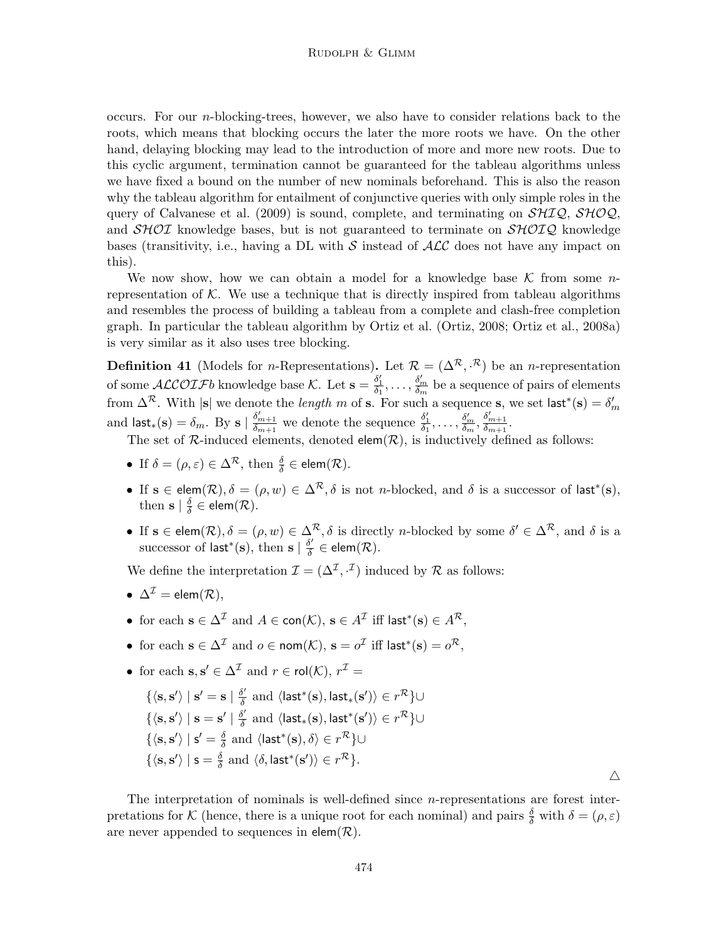occurs. For our n-blocking-trees, however, we also have to consider relations back to the roots, which means that blocking occurs the later the more roots we have. On the other hand, delaying blocking may lead to the introduction of more and more new roots. Due to this cyclic argument, termination cannot be guaranteed for the tableau algorithms unless we have fixed a bound on the number of new nominals beforehand. This is also the reason why the tableau algorithm for entailment of conjunctive queries with only simple roles in the query of Calvanese et al. (2009) is sound, complete, and terminating on  $\mathcal{SHIQ}$ ,  $\mathcal{SHOQ}$ , and  $\mathcal{SHOI}$  knowledge bases, but is not guaranteed to terminate on  $\mathcal{SHOIQ}$  knowledge bases (transitivity, i.e., having a DL with S instead of  $\mathcal{ALC}$  does not have any impact on this).

We now show, how we can obtain a model for a knowledge base  $\mathcal K$  from some nrepresentation of  $K$ . We use a technique that is directly inspired from tableau algorithms and resembles the process of building a tableau from a complete and clash-free completion graph. In particular the tableau algorithm by Ortiz et al. (Ortiz, 2008; Ortiz et al., 2008a) is very similar as it also uses tree blocking.

**Definition 41** (Models for *n*-Representations). Let  $\mathcal{R} = (\Delta^{\mathcal{R}}, \mathcal{R})$  be an *n*-representation of some  $\mathcal{ALCOIF}b$  knowledge base K. Let  $\mathbf{s} = \frac{\delta'_1}{\delta_1}, \ldots, \frac{\delta'_m}{\delta_m}$  $\frac{\delta_m}{\delta_m}$  be a sequence of pairs of elements from  $\Delta^{\mathcal{R}}$ . With  $|s|$  we denote the *length* m of **s**. For such a sequence **s**, we set last<sup>\*</sup>(**s**) =  $\delta'_{m}$ and  $\mathsf{last}_*(\mathbf{s}) = \delta_m$ . By  $\mathbf{s} \mid \frac{\delta'_{m+1}}{\delta_{m+1}}$  we denote the sequence  $\frac{\delta'_1}{\delta_1}, \dots, \frac{\delta'_m}{\delta_m}$  $\frac{\delta'_m}{\delta_m}, \frac{\delta'_{m+1}}{\delta_{m+1}}.$ 

The set of  $\mathcal{R}$ -induced elements, denoted elem $(\mathcal{R})$ , is inductively defined as follows:

- If  $\delta = (\rho, \varepsilon) \in \Delta^{\mathcal{R}},$  then  $\frac{\delta}{\delta} \in \text{elem}(\mathcal{R})$ .
- If  $s \in \text{elem}(\mathcal{R}), \delta = (\rho, w) \in \Delta^{\mathcal{R}}, \delta$  is not *n*-blocked, and  $\delta$  is a successor of last<sup>\*</sup>(s), then  $\mathbf{s} \mid \frac{\delta}{\delta}$  $\frac{\delta}{\delta} \in \mathsf{elem}(\mathcal{R}).$
- If  $s \in \text{elem}(\mathcal{R}), \delta = (\rho, w) \in \Delta^{\mathcal{R}}, \delta$  is directly *n*-blocked by some  $\delta' \in \Delta^{\mathcal{R}},$  and  $\delta$  is a successor of last<sup>\*</sup>(s), then s  $\frac{\delta'}{\delta}$  $\frac{\delta'}{\delta} \in \text{elem}(\mathcal{R}).$

We define the interpretation  $\mathcal{I} = (\Delta^{\mathcal{I}}, \cdot^{\mathcal{I}})$  induced by  $\mathcal{R}$  as follows:

- $\Delta^{\mathcal{I}} =$  elem $(\mathcal{R})$ .
- for each  $\mathbf{s} \in \Delta^{\mathcal{I}}$  and  $A \in \text{con}(\mathcal{K})$ ,  $\mathbf{s} \in A^{\mathcal{I}}$  iff last\* $(\mathbf{s}) \in A^{\mathcal{R}}$ ,
- for each  $\mathbf{s} \in \Delta^{\mathcal{I}}$  and  $o \in \mathsf{nom}(\mathcal{K}), \, \mathbf{s} = o^{\mathcal{I}}$  iff last\* $(\mathbf{s}) = o^{\mathcal{R}},$
- for each  $s, s' \in \Delta^{\mathcal{I}}$  and  $r \in \text{rol}(\mathcal{K}), r^{\mathcal{I}} =$

$$
\{\langle \mathbf{s}, \mathbf{s'} \rangle \mid \mathbf{s'} = \mathbf{s} \mid \frac{\delta'}{\delta} \text{ and } \langle \mathsf{last}^*(\mathbf{s}), \mathsf{last}_*(\mathbf{s'}) \rangle \in r^{\mathcal{R}}\} \cup \{\langle \mathbf{s}, \mathbf{s'} \rangle \mid \mathbf{s} = \mathbf{s'} \mid \frac{\delta'}{\delta} \text{ and } \langle \mathsf{last}_*(\mathbf{s}), \mathsf{last}^*(\mathbf{s'}) \rangle \in r^{\mathcal{R}}\} \cup \{\langle \mathbf{s}, \mathbf{s'} \rangle \mid \mathbf{s'} = \frac{\delta}{\delta} \text{ and } \langle \mathsf{last}^*(\mathbf{s}), \delta \rangle \in r^{\mathcal{R}}\} \cup \{\langle \mathbf{s}, \mathbf{s'} \rangle \mid \mathbf{s} = \frac{\delta}{\delta} \text{ and } \langle \delta, \mathsf{last}^*(\mathbf{s'}) \rangle \in r^{\mathcal{R}}\}.
$$

 $\triangle$ 

The interpretation of nominals is well-defined since  $n$ -representations are forest interpretations for K (hence, there is a unique root for each nominal) and pairs  $\frac{\delta}{\delta}$  with  $\delta = (\rho, \varepsilon)$ are never appended to sequences in  $elem(R)$ .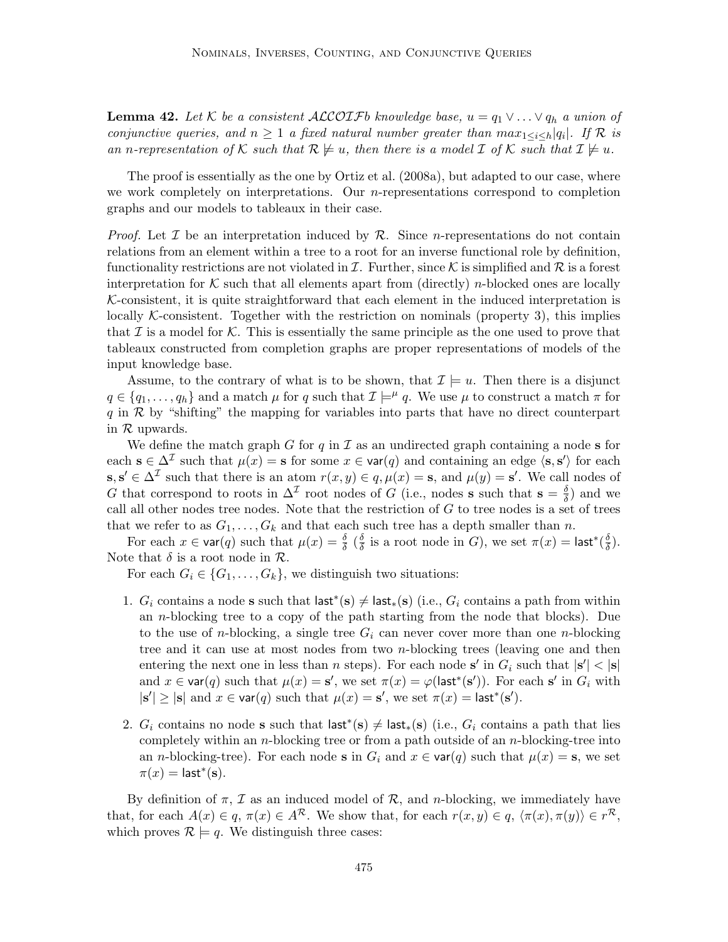**Lemma 42.** Let K be a consistent ALCOIFb knowledge base,  $u = q_1 \vee \ldots \vee q_h$  a union of conjunctive queries, and  $n \geq 1$  a fixed natural number greater than  $max_{1 \leq i \leq h} |q_i|$ . If R is an n-representation of K such that  $\mathcal{R} \not\models u$ , then there is a model I of K such that  $\mathcal{I} \not\models u$ .

The proof is essentially as the one by Ortiz et al. (2008a), but adapted to our case, where we work completely on interpretations. Our *n*-representations correspond to completion graphs and our models to tableaux in their case.

*Proof.* Let  $\mathcal I$  be an interpretation induced by  $\mathcal R$ . Since *n*-representations do not contain relations from an element within a tree to a root for an inverse functional role by definition, functionality restrictions are not violated in  $\mathcal I$ . Further, since  $\mathcal K$  is simplified and  $\mathcal R$  is a forest interpretation for K such that all elements apart from (directly) *n*-blocked ones are locally  $K$ -consistent, it is quite straightforward that each element in the induced interpretation is locally K-consistent. Together with the restriction on nominals (property 3), this implies that  $\mathcal I$  is a model for  $\mathcal K$ . This is essentially the same principle as the one used to prove that tableaux constructed from completion graphs are proper representations of models of the input knowledge base.

Assume, to the contrary of what is to be shown, that  $\mathcal{I} \models u$ . Then there is a disjunct  $q \in \{q_1, \ldots, q_h\}$  and a match  $\mu$  for q such that  $\mathcal{I} \models^{\mu} q$ . We use  $\mu$  to construct a match  $\pi$  for  $q$  in  $R$  by "shifting" the mapping for variables into parts that have no direct counterpart in R upwards.

We define the match graph G for  $q$  in  $\mathcal I$  as an undirected graph containing a node s for each  $\mathbf{s} \in \Delta^{\mathcal{I}}$  such that  $\mu(x) = \mathbf{s}$  for some  $x \in \text{var}(q)$  and containing an edge  $\langle \mathbf{s}, \mathbf{s}' \rangle$  for each  $\mathbf{s}, \mathbf{s}' \in \Delta^{\mathcal{I}}$  such that there is an atom  $r(x, y) \in q$ ,  $\mu(x) = \mathbf{s}$ , and  $\mu(y) = \mathbf{s}'$ . We call nodes of G that correspond to roots in  $\Delta^{\mathcal{I}}$  root nodes of G (i.e., nodes s such that  $s = \frac{\delta}{\delta}$  $\frac{\delta}{\delta}$ ) and we call all other nodes tree nodes. Note that the restriction of  $G$  to tree nodes is a set of trees that we refer to as  $G_1, \ldots, G_k$  and that each such tree has a depth smaller than n.

For each  $x \in \text{var}(q)$  such that  $\mu(x) = \frac{\delta}{\delta} \left( \frac{\delta}{\delta} \right)$  $\frac{\delta}{\delta}$  is a root node in G), we set  $\pi(x) = \mathsf{last}^*(\frac{\delta}{\delta})$  $\frac{\delta}{\delta}$ ). Note that  $\delta$  is a root node in  $\mathcal{R}$ .

For each  $G_i \in \{G_1, \ldots, G_k\}$ , we distinguish two situations:

- 1.  $G_i$  contains a node s such that  $\mathsf{last}^*(s) \neq \mathsf{last}_*(s)$  (i.e.,  $G_i$  contains a path from within an n-blocking tree to a copy of the path starting from the node that blocks). Due to the use of *n*-blocking, a single tree  $G_i$  can never cover more than one *n*-blocking tree and it can use at most nodes from two n-blocking trees (leaving one and then entering the next one in less than n steps). For each node  $s'$  in  $G_i$  such that  $|s'| < |s|$ and  $x \in \text{var}(q)$  such that  $\mu(x) = \mathbf{s}'$ , we set  $\pi(x) = \varphi(\text{last}^*(\mathbf{s}'))$ . For each  $\mathbf{s}'$  in  $G_i$  with  $|\mathbf{s}'| \geq |\mathbf{s}|$  and  $x \in \text{var}(q)$  such that  $\mu(x) = \mathbf{s}'$ , we set  $\pi(x) = \textsf{last}^*(\mathbf{s}')$ .
- 2.  $G_i$  contains no node s such that last<sup>\*</sup>(s)  $\neq$  last<sub>\*</sub>(s) (i.e.,  $G_i$  contains a path that lies completely within an *n*-blocking tree or from a path outside of an *n*-blocking-tree into an *n*-blocking-tree). For each node **s** in  $G_i$  and  $x \in \text{var}(q)$  such that  $\mu(x) = \mathbf{s}$ , we set  $\pi(x) =$  last<sup>\*</sup>(s).

By definition of  $\pi$ ,  $\mathcal I$  as an induced model of  $\mathcal R$ , and *n*-blocking, we immediately have that, for each  $A(x) \in q$ ,  $\pi(x) \in A^{\mathcal{R}}$ . We show that, for each  $r(x, y) \in q$ ,  $\langle \pi(x), \pi(y) \rangle \in r^{\mathcal{R}}$ , which proves  $\mathcal{R} \models q$ . We distinguish three cases: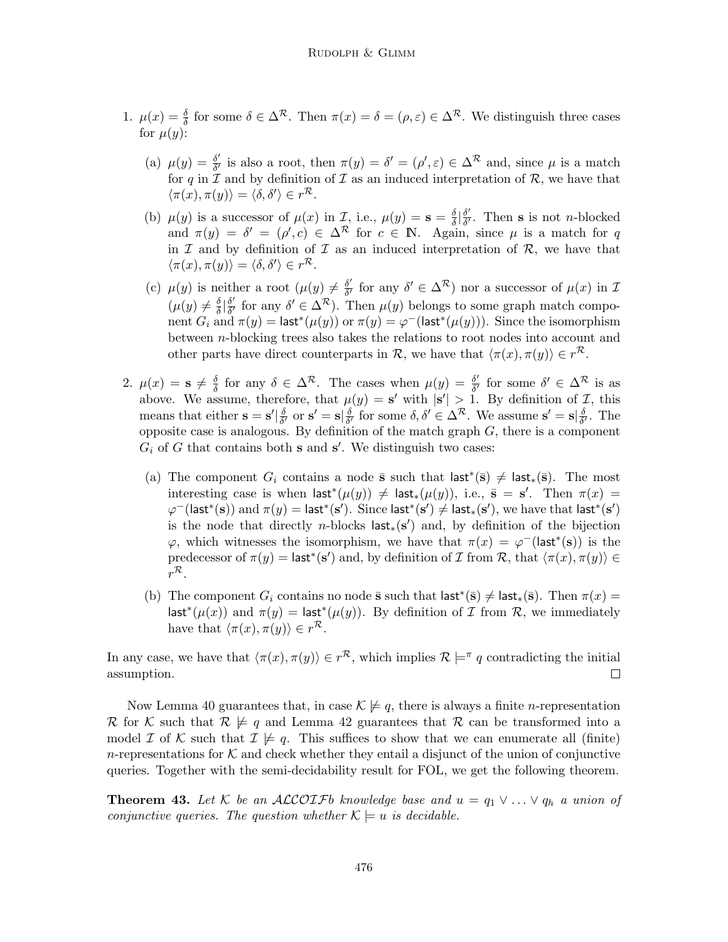- 1.  $\mu(x) = \frac{\delta}{\delta}$  for some  $\delta \in \Delta^{\mathcal{R}}$ . Then  $\pi(x) = \delta = (\rho, \varepsilon) \in \Delta^{\mathcal{R}}$ . We distinguish three cases for  $\mu(y)$ :
	- (a)  $\mu(y) = \frac{\delta'}{\delta'}$  $\frac{\delta'}{\delta'}$  is also a root, then  $\pi(y) = \delta' = (\rho', \varepsilon) \in \Delta^{\mathcal{R}}$  and, since  $\mu$  is a match for q in  $\mathcal I$  and by definition of  $\mathcal I$  as an induced interpretation of  $\mathcal R$ , we have that  $\langle \pi(x), \pi(y) \rangle = \langle \delta, \delta' \rangle \in r^{\mathcal{R}}.$
	- (b)  $\mu(y)$  is a successor of  $\mu(x)$  in *I*, i.e.,  $\mu(y) = s = \frac{\delta}{\delta}$  $rac{\delta}{\delta}$   $\left| \frac{\delta'}{\delta'} \right|$  $\frac{\partial'}{\partial'}$ . Then **s** is not *n*-blocked and  $\pi(y) = \delta' = (\rho', c) \in \Delta^{\mathcal{R}}$  for  $c \in \mathbb{N}$ . Again, since  $\mu$  is a match for q in  $\mathcal I$  and by definition of  $\mathcal I$  as an induced interpretation of  $\mathcal R$ , we have that  $\langle \pi(x), \pi(y) \rangle = \langle \delta, \delta' \rangle \in r^{\mathcal{R}}.$
	- (c)  $\mu(y)$  is neither a root  $(\mu(y) \neq \frac{\delta'}{\delta'}$  $\frac{\delta'}{\delta'}$  for any  $\delta' \in \Delta^{\mathcal{R}}$ ) nor a successor of  $\mu(x)$  in  $\mathcal{I}$  $(\mu(y) \neq \frac{\delta}{\delta}$  $rac{\delta}{\delta}$   $\left| \frac{\delta'}{\delta'} \right|$  $\frac{\delta'}{\delta'}$  for any  $\delta' \in \Delta^{R}$ ). Then  $\mu(y)$  belongs to some graph match component  $G_i$  and  $\pi(y) = \mathsf{last}^*(\mu(y))$  or  $\pi(y) = \varphi^-(\mathsf{last}^*(\mu(y))).$  Since the isomorphism between n-blocking trees also takes the relations to root nodes into account and other parts have direct counterparts in R, we have that  $\langle \pi(x), \pi(y) \rangle \in r^{\mathcal{R}}$ .
- 2.  $\mu(x) = s \neq \frac{\delta}{\delta}$  $\frac{\delta}{\delta}$  for any  $\delta \in \Delta^{\mathcal{R}}$ . The cases when  $\mu(y) = \frac{\delta^{\prime}}{\delta^{\prime}}$  $\frac{\delta'}{\delta'}$  for some  $\delta' \in \Delta^{\mathcal{R}}$  is as above. We assume, therefore, that  $\mu(y) = \mathbf{s}'$  with  $|\mathbf{s}'| > 1$ . By definition of  $\mathcal{I}$ , this means that either  $\mathbf{s} = \mathbf{s}' \vert \frac{\delta}{\delta}$  $\frac{\delta}{\delta'}$  or  $\mathbf{s}' = \mathbf{s} |\frac{\delta}{\delta'}$  $\frac{\delta}{\delta'}$  for some  $\delta, \delta' \in \Delta^{\mathcal{R}}$ . We assume  $\mathbf{s}' = \mathbf{s} | \frac{\delta}{\delta'}$  $\frac{\delta}{\delta'}$ . The opposite case is analogous. By definition of the match graph  $G$ , there is a component  $G_i$  of G that contains both **s** and **s'**. We distinguish two cases:
	- (a) The component  $G_i$  contains a node  $\bar{s}$  such that  $\mathsf{last}^*(\bar{s}) \neq \mathsf{last}_*(\bar{s})$ . The most interesting case is when  $\mathsf{last}^*(\mu(y)) \neq \mathsf{last}_*(\mu(y)),$  i.e.,  $\bar{\mathbf{s}} = \mathbf{s}'$ . Then  $\pi(x) =$  $\varphi^-(\mathsf{last}^*(\mathbf{s}))$  and  $\pi(y) = \mathsf{last}^*(\mathbf{s}')$ . Since  $\mathsf{last}^*(\mathbf{s}') \neq \mathsf{last}_*(\mathbf{s}')$ , we have that  $\mathsf{last}^*(\mathbf{s}')$ is the node that directly n-blocks  $\mathsf{last}_*(s')$  and, by definition of the bijection  $\varphi$ , which witnesses the isomorphism, we have that  $\pi(x) = \varphi^{-}(\mathsf{last}^{*}(s))$  is the predecessor of  $\pi(y) = \mathsf{last}^*(\mathbf{s}')$  and, by definition of I from R, that  $\langle \pi(x), \pi(y) \rangle \in$  $r^{\mathcal{R}}.$
	- (b) The component  $G_i$  contains no node  $\bar{\mathbf{s}}$  such that  $\mathsf{last}^*(\bar{\mathbf{s}}) \neq \mathsf{last}_*(\bar{\mathbf{s}})$ . Then  $\pi(x) =$ last<sup>\*</sup>( $\mu(x)$ ) and  $\pi(y) =$  last<sup>\*</sup>( $\mu(y)$ ). By definition of *I* from *R*, we immediately have that  $\langle \pi(x), \pi(y) \rangle \in r^{\mathcal{R}}$ .

In any case, we have that  $\langle \pi(x), \pi(y) \rangle \in r^{\mathcal{R}}$ , which implies  $\mathcal{R} \models^{\pi} q$  contradicting the initial assumption.  $\Box$ 

Now Lemma 40 guarantees that, in case  $\mathcal{K} \not\models q$ , there is always a finite *n*-representation R for K such that  $\mathcal{R} \not\models q$  and Lemma 42 guarantees that R can be transformed into a model I of K such that  $\mathcal{I} \not\models q$ . This suffices to show that we can enumerate all (finite) n-representations for K and check whether they entail a disjunct of the union of conjunctive queries. Together with the semi-decidability result for FOL, we get the following theorem.

**Theorem 43.** Let K be an ALCOIFb knowledge base and  $u = q_1 \vee ... \vee q_h$  a union of conjunctive queries. The question whether  $\mathcal{K} \models u$  is decidable.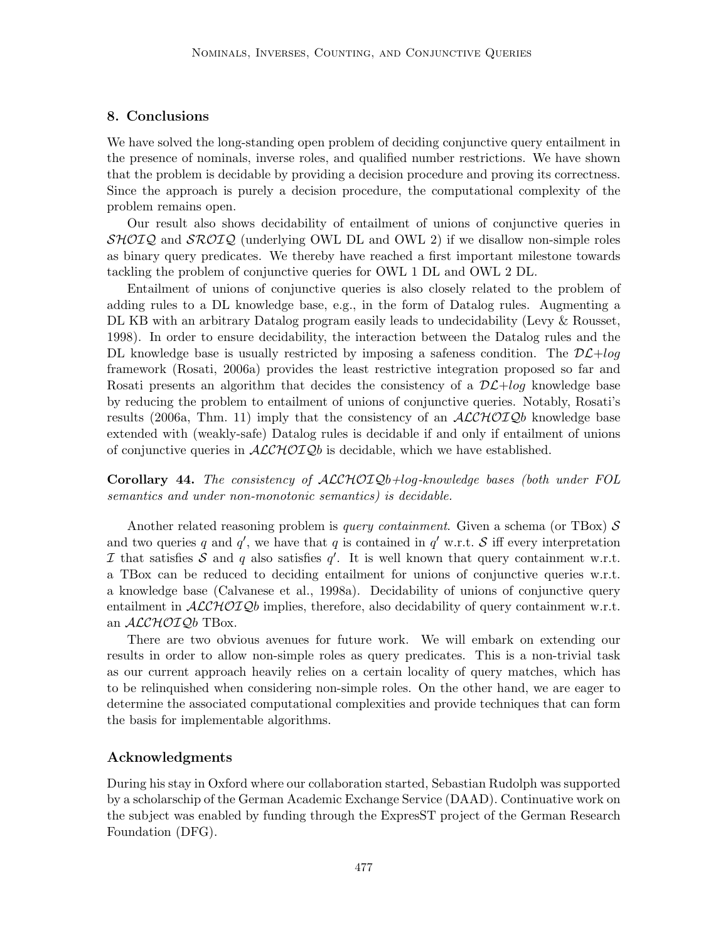# 8. Conclusions

We have solved the long-standing open problem of deciding conjunctive query entailment in the presence of nominals, inverse roles, and qualified number restrictions. We have shown that the problem is decidable by providing a decision procedure and proving its correctness. Since the approach is purely a decision procedure, the computational complexity of the problem remains open.

Our result also shows decidability of entailment of unions of conjunctive queries in  $\mathcal{SHOLQ}$  and  $\mathcal{SROLQ}$  (underlying OWL DL and OWL 2) if we disallow non-simple roles as binary query predicates. We thereby have reached a first important milestone towards tackling the problem of conjunctive queries for OWL 1 DL and OWL 2 DL.

Entailment of unions of conjunctive queries is also closely related to the problem of adding rules to a DL knowledge base, e.g., in the form of Datalog rules. Augmenting a DL KB with an arbitrary Datalog program easily leads to undecidability (Levy & Rousset, 1998). In order to ensure decidability, the interaction between the Datalog rules and the DL knowledge base is usually restricted by imposing a safeness condition. The  $D\mathcal{L}+log$ framework (Rosati, 2006a) provides the least restrictive integration proposed so far and Rosati presents an algorithm that decides the consistency of a  $D\mathcal{L}+log$  knowledge base by reducing the problem to entailment of unions of conjunctive queries. Notably, Rosati's results (2006a, Thm. 11) imply that the consistency of an  $ALCHOTQb$  knowledge base extended with (weakly-safe) Datalog rules is decidable if and only if entailment of unions of conjunctive queries in  $ALCHOTQb$  is decidable, which we have established.

Corollary 44. The consistency of ALCHOIQb+log-knowledge bases (both under FOL semantics and under non-monotonic semantics) is decidable.

Another related reasoning problem is *query containment*. Given a schema (or TBox)  $S$ and two queries q and  $q'$ , we have that q is contained in  $q'$  w.r.t. S iff every interpretation I that satisfies S and q also satisfies  $q'$ . It is well known that query containment w.r.t. a TBox can be reduced to deciding entailment for unions of conjunctive queries w.r.t. a knowledge base (Calvanese et al., 1998a). Decidability of unions of conjunctive query entailment in  $\mathcal{ALCHOLQ}$ b implies, therefore, also decidability of query containment w.r.t. an  $\mathcal{ALCHOLQ}b$  TBox.

There are two obvious avenues for future work. We will embark on extending our results in order to allow non-simple roles as query predicates. This is a non-trivial task as our current approach heavily relies on a certain locality of query matches, which has to be relinquished when considering non-simple roles. On the other hand, we are eager to determine the associated computational complexities and provide techniques that can form the basis for implementable algorithms.

### Acknowledgments

During his stay in Oxford where our collaboration started, Sebastian Rudolph was supported by a scholarschip of the German Academic Exchange Service (DAAD). Continuative work on the subject was enabled by funding through the ExpresST project of the German Research Foundation (DFG).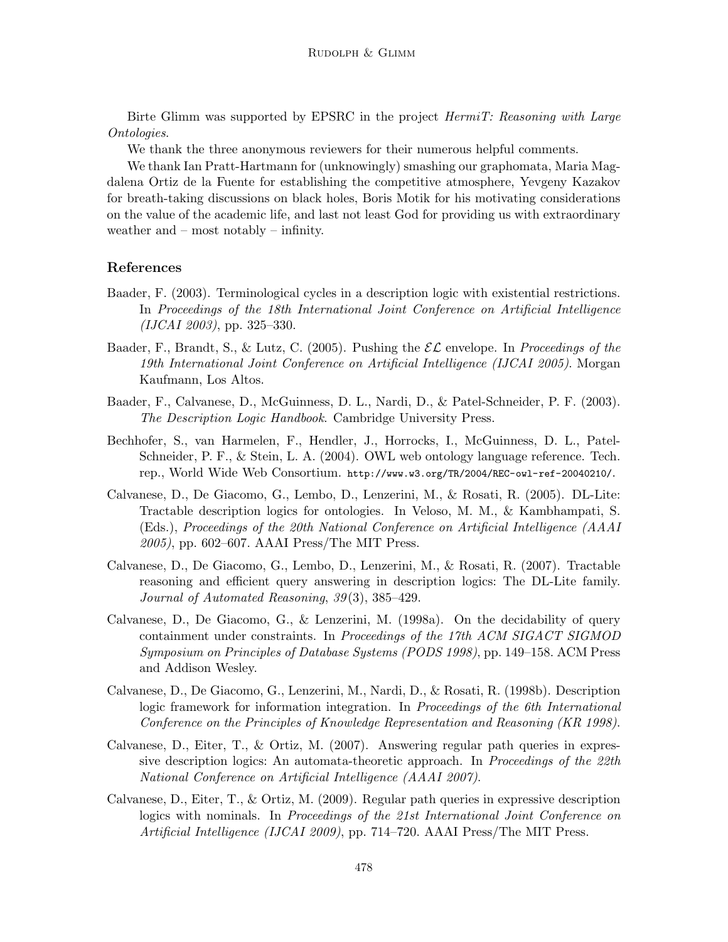Birte Glimm was supported by EPSRC in the project HermiT: Reasoning with Large Ontologies.

We thank the three anonymous reviewers for their numerous helpful comments.

We thank Ian Pratt-Hartmann for (unknowingly) smashing our graphomata, Maria Magdalena Ortiz de la Fuente for establishing the competitive atmosphere, Yevgeny Kazakov for breath-taking discussions on black holes, Boris Motik for his motivating considerations on the value of the academic life, and last not least God for providing us with extraordinary weather and – most notably – infinity.

# References

- Baader, F. (2003). Terminological cycles in a description logic with existential restrictions. In Proceedings of the 18th International Joint Conference on Artificial Intelligence (IJCAI 2003), pp. 325–330.
- Baader, F., Brandt, S., & Lutz, C. (2005). Pushing the  $\mathcal{EL}$  envelope. In Proceedings of the 19th International Joint Conference on Artificial Intelligence (IJCAI 2005). Morgan Kaufmann, Los Altos.
- Baader, F., Calvanese, D., McGuinness, D. L., Nardi, D., & Patel-Schneider, P. F. (2003). The Description Logic Handbook. Cambridge University Press.
- Bechhofer, S., van Harmelen, F., Hendler, J., Horrocks, I., McGuinness, D. L., Patel-Schneider, P. F., & Stein, L. A. (2004). OWL web ontology language reference. Tech. rep., World Wide Web Consortium. http://www.w3.org/TR/2004/REC-owl-ref-20040210/.
- Calvanese, D., De Giacomo, G., Lembo, D., Lenzerini, M., & Rosati, R. (2005). DL-Lite: Tractable description logics for ontologies. In Veloso, M. M., & Kambhampati, S. (Eds.), Proceedings of the 20th National Conference on Artificial Intelligence (AAAI 2005), pp. 602–607. AAAI Press/The MIT Press.
- Calvanese, D., De Giacomo, G., Lembo, D., Lenzerini, M., & Rosati, R. (2007). Tractable reasoning and efficient query answering in description logics: The DL-Lite family. Journal of Automated Reasoning, 39(3), 385–429.
- Calvanese, D., De Giacomo, G., & Lenzerini, M. (1998a). On the decidability of query containment under constraints. In Proceedings of the 17th ACM SIGACT SIGMOD Symposium on Principles of Database Systems (PODS 1998), pp. 149–158. ACM Press and Addison Wesley.
- Calvanese, D., De Giacomo, G., Lenzerini, M., Nardi, D., & Rosati, R. (1998b). Description logic framework for information integration. In Proceedings of the 6th International Conference on the Principles of Knowledge Representation and Reasoning (KR 1998).
- Calvanese, D., Eiter, T., & Ortiz, M. (2007). Answering regular path queries in expressive description logics: An automata-theoretic approach. In Proceedings of the 22th National Conference on Artificial Intelligence (AAAI 2007).
- Calvanese, D., Eiter, T., & Ortiz, M. (2009). Regular path queries in expressive description logics with nominals. In Proceedings of the 21st International Joint Conference on Artificial Intelligence (IJCAI 2009), pp. 714–720. AAAI Press/The MIT Press.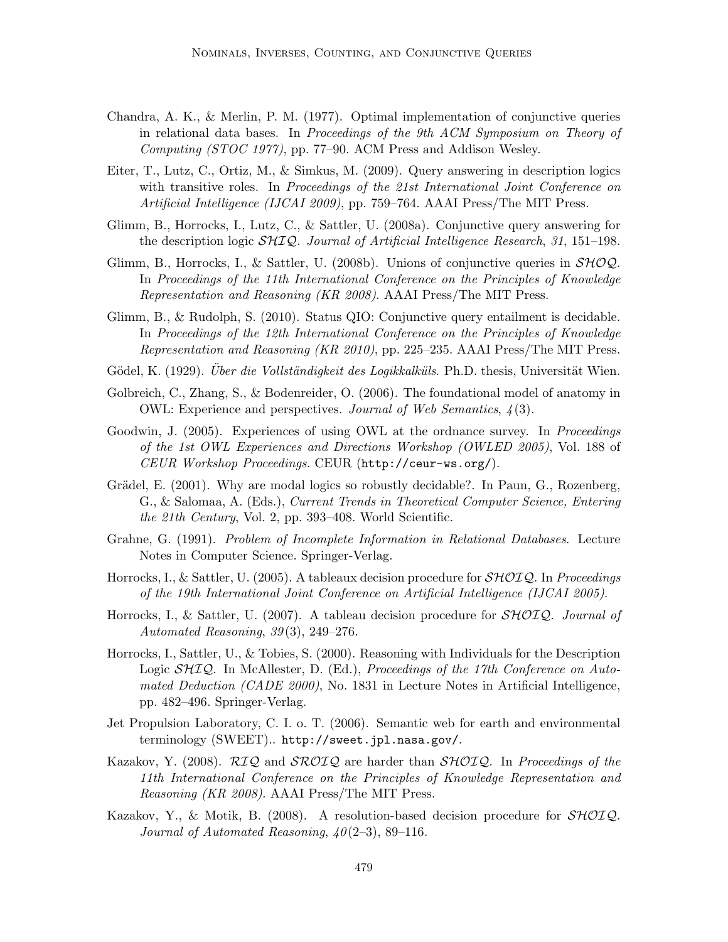- Chandra, A. K., & Merlin, P. M. (1977). Optimal implementation of conjunctive queries in relational data bases. In Proceedings of the 9th ACM Symposium on Theory of Computing (STOC 1977), pp. 77–90. ACM Press and Addison Wesley.
- Eiter, T., Lutz, C., Ortiz, M., & Simkus, M. (2009). Query answering in description logics with transitive roles. In Proceedings of the 21st International Joint Conference on Artificial Intelligence (IJCAI 2009), pp. 759–764. AAAI Press/The MIT Press.
- Glimm, B., Horrocks, I., Lutz, C., & Sattler, U. (2008a). Conjunctive query answering for the description logic SHIQ. Journal of Artificial Intelligence Research, 31, 151–198.
- Glimm, B., Horrocks, I., & Sattler, U. (2008b). Unions of conjunctive queries in  $\mathcal{SHOQ}$ . In Proceedings of the 11th International Conference on the Principles of Knowledge Representation and Reasoning (KR 2008). AAAI Press/The MIT Press.
- Glimm, B., & Rudolph, S. (2010). Status QIO: Conjunctive query entailment is decidable. In Proceedings of the 12th International Conference on the Principles of Knowledge Representation and Reasoning (KR 2010), pp. 225–235. AAAI Press/The MIT Press.
- Gödel, K. (1929). *Über die Vollständigkeit des Logikkalküls*. Ph.D. thesis, Universität Wien.
- Golbreich, C., Zhang, S., & Bodenreider, O. (2006). The foundational model of anatomy in OWL: Experience and perspectives. Journal of Web Semantics, 4 (3).
- Goodwin, J. (2005). Experiences of using OWL at the ordnance survey. In *Proceedings* of the 1st OWL Experiences and Directions Workshop (OWLED 2005), Vol. 188 of CEUR Workshop Proceedings. CEUR (http://ceur-ws.org/).
- Grädel, E. (2001). Why are modal logics so robustly decidable?. In Paun, G., Rozenberg, G., & Salomaa, A. (Eds.), Current Trends in Theoretical Computer Science, Entering the 21th Century, Vol. 2, pp. 393–408. World Scientific.
- Grahne, G. (1991). Problem of Incomplete Information in Relational Databases. Lecture Notes in Computer Science. Springer-Verlag.
- Horrocks, I., & Sattler, U. (2005). A tableaux decision procedure for  $\mathcal{SHOLQ}$ . In Proceedings of the 19th International Joint Conference on Artificial Intelligence (IJCAI 2005).
- Horrocks, I., & Sattler, U. (2007). A tableau decision procedure for  $\mathcal{SHOLQ}$ . Journal of Automated Reasoning,  $39(3)$ ,  $249-276$ .
- Horrocks, I., Sattler, U., & Tobies, S. (2000). Reasoning with Individuals for the Description Logic  $\mathcal{SHIQ}$ . In McAllester, D. (Ed.), *Proceedings of the 17th Conference on Auto*mated Deduction (CADE 2000), No. 1831 in Lecture Notes in Artificial Intelligence, pp. 482–496. Springer-Verlag.
- Jet Propulsion Laboratory, C. I. o. T. (2006). Semantic web for earth and environmental terminology (SWEET).. http://sweet.jpl.nasa.gov/.
- Kazakov, Y. (2008). RIQ and SROIQ are harder than SHOIQ. In Proceedings of the 11th International Conference on the Principles of Knowledge Representation and Reasoning (KR 2008). AAAI Press/The MIT Press.
- Kazakov, Y., & Motik, B. (2008). A resolution-based decision procedure for  $\mathcal{SHOLQ}$ . Journal of Automated Reasoning,  $40(2-3)$ , 89-116.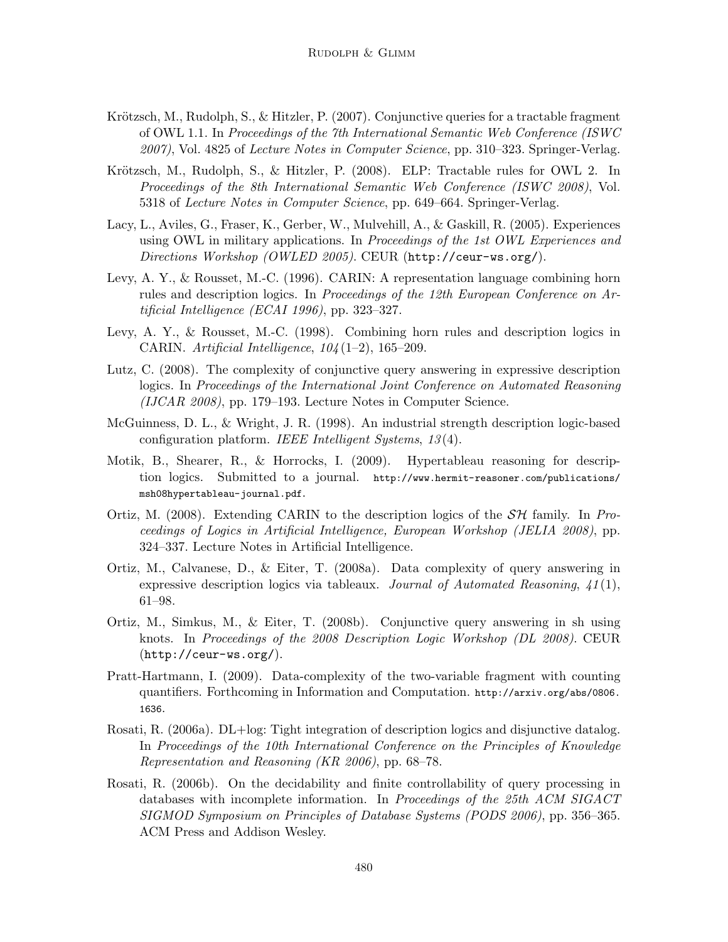- Krötzsch, M., Rudolph, S., & Hitzler, P. (2007). Conjunctive queries for a tractable fragment of OWL 1.1. In Proceedings of the 7th International Semantic Web Conference (ISWC 2007), Vol. 4825 of Lecture Notes in Computer Science, pp. 310–323. Springer-Verlag.
- Krötzsch, M., Rudolph, S., & Hitzler, P. (2008). ELP: Tractable rules for OWL 2. In Proceedings of the 8th International Semantic Web Conference (ISWC 2008), Vol. 5318 of Lecture Notes in Computer Science, pp. 649–664. Springer-Verlag.
- Lacy, L., Aviles, G., Fraser, K., Gerber, W., Mulvehill, A., & Gaskill, R. (2005). Experiences using OWL in military applications. In *Proceedings of the 1st OWL Experiences and* Directions Workshop (OWLED 2005). CEUR (http://ceur-ws.org/).
- Levy, A. Y., & Rousset, M.-C. (1996). CARIN: A representation language combining horn rules and description logics. In Proceedings of the 12th European Conference on Artificial Intelligence (ECAI 1996), pp. 323–327.
- Levy, A. Y., & Rousset, M.-C. (1998). Combining horn rules and description logics in CARIN. Artificial Intelligence,  $104(1-2)$ , 165-209.
- Lutz, C. (2008). The complexity of conjunctive query answering in expressive description logics. In Proceedings of the International Joint Conference on Automated Reasoning (IJCAR 2008), pp. 179–193. Lecture Notes in Computer Science.
- McGuinness, D. L., & Wright, J. R. (1998). An industrial strength description logic-based configuration platform. IEEE Intelligent Systems, 13 (4).
- Motik, B., Shearer, R., & Horrocks, I. (2009). Hypertableau reasoning for description logics. Submitted to a journal. http://www.hermit-reasoner.com/publications/ msh08hypertableau-journal.pdf.
- Ortiz, M. (2008). Extending CARIN to the description logics of the  $\mathcal{SH}$  family. In Proceedings of Logics in Artificial Intelligence, European Workshop (JELIA 2008), pp. 324–337. Lecture Notes in Artificial Intelligence.
- Ortiz, M., Calvanese, D., & Eiter, T. (2008a). Data complexity of query answering in expressive description logics via tableaux. Journal of Automated Reasoning,  $41(1)$ , 61–98.
- Ortiz, M., Simkus, M., & Eiter, T. (2008b). Conjunctive query answering in sh using knots. In Proceedings of the 2008 Description Logic Workshop (DL 2008). CEUR (http://ceur-ws.org/).
- Pratt-Hartmann, I. (2009). Data-complexity of the two-variable fragment with counting quantifiers. Forthcoming in Information and Computation. http://arxiv.org/abs/0806. 1636.
- Rosati, R. (2006a). DL+log: Tight integration of description logics and disjunctive datalog. In Proceedings of the 10th International Conference on the Principles of Knowledge Representation and Reasoning (KR 2006), pp. 68–78.
- Rosati, R. (2006b). On the decidability and finite controllability of query processing in databases with incomplete information. In Proceedings of the 25th ACM SIGACT SIGMOD Symposium on Principles of Database Systems (PODS 2006), pp. 356–365. ACM Press and Addison Wesley.